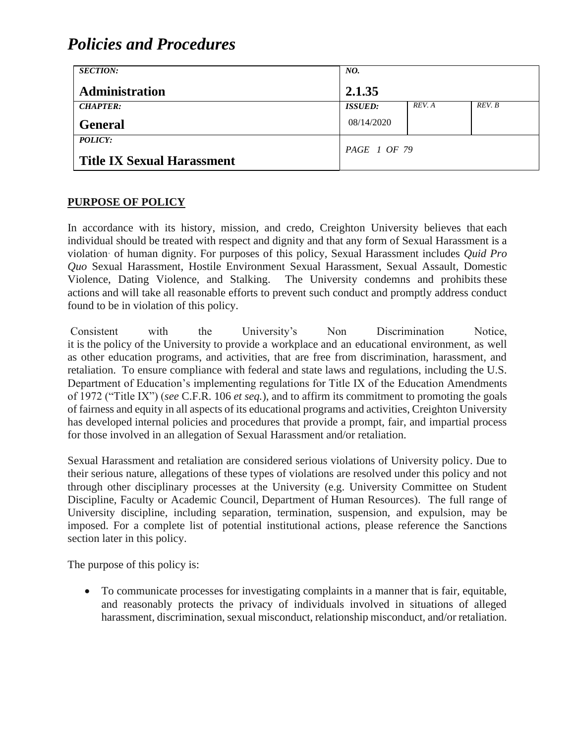| <b>SECTION:</b>                   | NO.            |        |        |
|-----------------------------------|----------------|--------|--------|
| <b>Administration</b>             | 2.1.35         |        |        |
| <b>CHAPTER:</b>                   | <b>ISSUED:</b> | REV. A | REV. B |
| <b>General</b>                    | 08/14/2020     |        |        |
| POLICY:                           | PAGE 1 OF 79   |        |        |
| <b>Title IX Sexual Harassment</b> |                |        |        |

#### **PURPOSE OF POLICY**

In accordance with its history, mission, and credo, Creighton University believes that each individual should be treated with respect and dignity and that any form of Sexual Harassment is a violation· of human dignity. For purposes of this policy, Sexual Harassment includes *Quid Pro Quo* Sexual Harassment, Hostile Environment Sexual Harassment, Sexual Assault, Domestic Violence, Dating Violence, and Stalking. The University condemns and prohibits these actions and will take all reasonable efforts to prevent such conduct and promptly address conduct found to be in violation of this policy.

Consistent with the University's Non Discrimination Notice, it is the policy of the University to provide a workplace and an educational environment, as well as other education programs, and activities, that are free from discrimination, harassment, and retaliation. To ensure compliance with federal and state laws and regulations, including the U.S. Department of Education's implementing regulations for Title IX of the Education Amendments of 1972 ("Title IX") (*see* C.F.R. 106 *et seq.*), and to affirm its commitment to promoting the goals of fairness and equity in all aspects of its educational programs and activities, Creighton University has developed internal policies and procedures that provide a prompt, fair, and impartial process for those involved in an allegation of Sexual Harassment and/or retaliation.

Sexual Harassment and retaliation are considered serious violations of University policy. Due to their serious nature, allegations of these types of violations are resolved under this policy and not through other disciplinary processes at the University (e.g. University Committee on Student Discipline, Faculty or Academic Council, Department of Human Resources). The full range of University discipline, including separation, termination, suspension, and expulsion, may be imposed. For a complete list of potential institutional actions, please reference the Sanctions section later in this policy.

The purpose of this policy is:

• To communicate processes for investigating complaints in a manner that is fair, equitable, and reasonably protects the privacy of individuals involved in situations of alleged harassment, discrimination, sexual misconduct, relationship misconduct, and/or retaliation.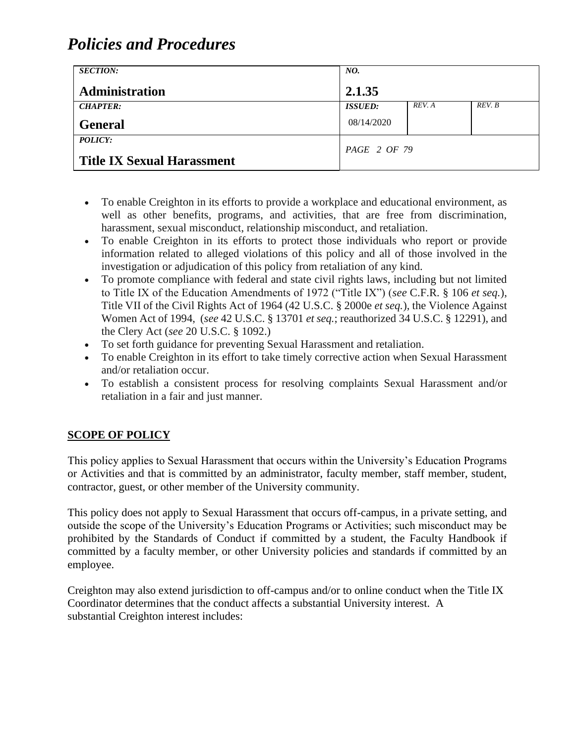| <b>SECTION:</b>                   | NO.            |        |        |
|-----------------------------------|----------------|--------|--------|
| Administration                    | 2.1.35         |        |        |
| <b>CHAPTER:</b>                   | <b>ISSUED:</b> | REV. A | REV. B |
| <b>General</b>                    | 08/14/2020     |        |        |
| <b>POLICY:</b>                    | PAGE 2 OF 79   |        |        |
| <b>Title IX Sexual Harassment</b> |                |        |        |

- To enable Creighton in its efforts to provide a workplace and educational environment, as well as other benefits, programs, and activities, that are free from discrimination, harassment, sexual misconduct, relationship misconduct, and retaliation.
- To enable Creighton in its efforts to protect those individuals who report or provide information related to alleged violations of this policy and all of those involved in the investigation or adjudication of this policy from retaliation of any kind.
- To promote compliance with federal and state civil rights laws, including but not limited to Title IX of the Education Amendments of 1972 ("Title IX") (*see* C.F.R. § 106 *et seq.*), Title VII of the Civil Rights Act of 1964 (42 U.S.C. § 2000e *et seq.*), the Violence Against Women Act of 1994, (*see* 42 U.S.C. § 13701 *et seq.*; reauthorized 34 U.S.C. § 12291), and the Clery Act (*see* 20 U.S.C. § 1092.)
- To set forth guidance for preventing Sexual Harassment and retaliation.
- To enable Creighton in its effort to take timely corrective action when Sexual Harassment and/or retaliation occur.
- To establish a consistent process for resolving complaints Sexual Harassment and/or retaliation in a fair and just manner.

### **SCOPE OF POLICY**

This policy applies to Sexual Harassment that occurs within the University's Education Programs or Activities and that is committed by an administrator, faculty member, staff member, student, contractor, guest, or other member of the University community.

This policy does not apply to Sexual Harassment that occurs off-campus, in a private setting, and outside the scope of the University's Education Programs or Activities; such misconduct may be prohibited by the Standards of Conduct if committed by a student, the Faculty Handbook if committed by a faculty member, or other University policies and standards if committed by an employee.

Creighton may also extend jurisdiction to off-campus and/or to online conduct when the Title IX Coordinator determines that the conduct affects a substantial University interest. A substantial Creighton interest includes: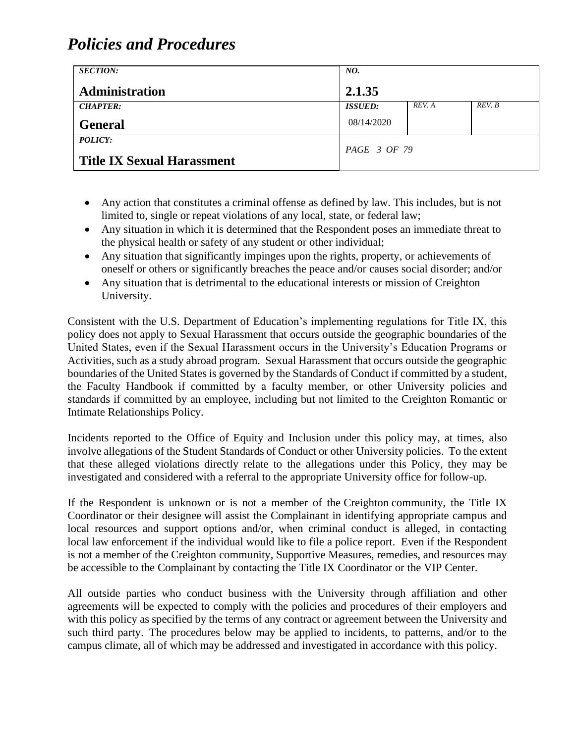| <b>SECTION:</b>                   | NO.            |        |        |
|-----------------------------------|----------------|--------|--------|
| Administration                    | 2.1.35         |        |        |
| <b>CHAPTER:</b>                   | <b>ISSUED:</b> | REV. A | REV. B |
| <b>General</b>                    | 08/14/2020     |        |        |
| <b>POLICY:</b>                    | PAGE 3 OF 79   |        |        |
| <b>Title IX Sexual Harassment</b> |                |        |        |

- Any action that constitutes a criminal offense as defined by law. This includes, but is not limited to, single or repeat violations of any local, state, or federal law;
- Any situation in which it is determined that the Respondent poses an immediate threat to the physical health or safety of any student or other individual;
- Any situation that significantly impinges upon the rights, property, or achievements of oneself or others or significantly breaches the peace and/or causes social disorder; and/or
- Any situation that is detrimental to the educational interests or mission of Creighton University.

Consistent with the U.S. Department of Education's implementing regulations for Title IX, this policy does not apply to Sexual Harassment that occurs outside the geographic boundaries of the United States, even if the Sexual Harassment occurs in the University's Education Programs or Activities, such as a study abroad program. Sexual Harassment that occurs outside the geographic boundaries of the United States is governed by the Standards of Conduct if committed by a student, the Faculty Handbook if committed by a faculty member, or other University policies and standards if committed by an employee, including but not limited to the Creighton Romantic or Intimate Relationships Policy.

Incidents reported to the Office of Equity and Inclusion under this policy may, at times, also involve allegations of the Student Standards of Conduct or other University policies. To the extent that these alleged violations directly relate to the allegations under this Policy, they may be investigated and considered with a referral to the appropriate University office for follow-up.

If the Respondent is unknown or is not a member of the Creighton community, the Title IX Coordinator or their designee will assist the Complainant in identifying appropriate campus and local resources and support options and/or, when criminal conduct is alleged, in contacting local law enforcement if the individual would like to file a police report. Even if the Respondent is not a member of the Creighton community, Supportive Measures, remedies, and resources may be accessible to the Complainant by contacting the Title IX Coordinator or the VIP Center.

All outside parties who conduct business with the University through affiliation and other agreements will be expected to comply with the policies and procedures of their employers and with this policy as specified by the terms of any contract or agreement between the University and such third party. The procedures below may be applied to incidents, to patterns, and/or to the campus climate, all of which may be addressed and investigated in accordance with this policy.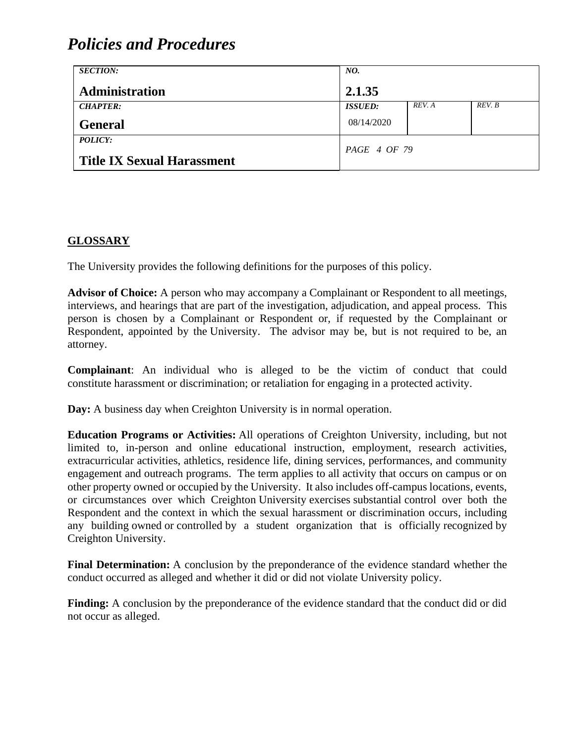| <b>SECTION:</b>                   | NO.            |        |        |
|-----------------------------------|----------------|--------|--------|
| <b>Administration</b>             | 2.1.35         |        |        |
| <b>CHAPTER:</b>                   | <b>ISSUED:</b> | REV. A | REV. B |
| <b>General</b>                    | 08/14/2020     |        |        |
| POLICY:                           | PAGE 4 OF 79   |        |        |
| <b>Title IX Sexual Harassment</b> |                |        |        |

### **GLOSSARY**

The University provides the following definitions for the purposes of this policy.

**Advisor of Choice:** A person who may accompany a Complainant or Respondent to all meetings, interviews, and hearings that are part of the investigation, adjudication, and appeal process. This person is chosen by a Complainant or Respondent or, if requested by the Complainant or Respondent, appointed by the University. The advisor may be, but is not required to be, an attorney.

**Complainant**: An individual who is alleged to be the victim of conduct that could constitute harassment or discrimination; or retaliation for engaging in a protected activity.

**Day:** A business day when Creighton University is in normal operation.

**Education Programs or Activities:** All operations of Creighton University, including, but not limited to, in-person and online educational instruction, employment, research activities, extracurricular activities, athletics, residence life, dining services, performances, and community engagement and outreach programs. The term applies to all activity that occurs on campus or on other property owned or occupied by the University. It also includes off-campus locations, events, or circumstances over which Creighton University exercises substantial control over both the Respondent and the context in which the sexual harassment or discrimination occurs, including any building owned or controlled by a student organization that is officially recognized by Creighton University.

**Final Determination:** A conclusion by the preponderance of the evidence standard whether the conduct occurred as alleged and whether it did or did not violate University policy.

**Finding:** A conclusion by the preponderance of the evidence standard that the conduct did or did not occur as alleged.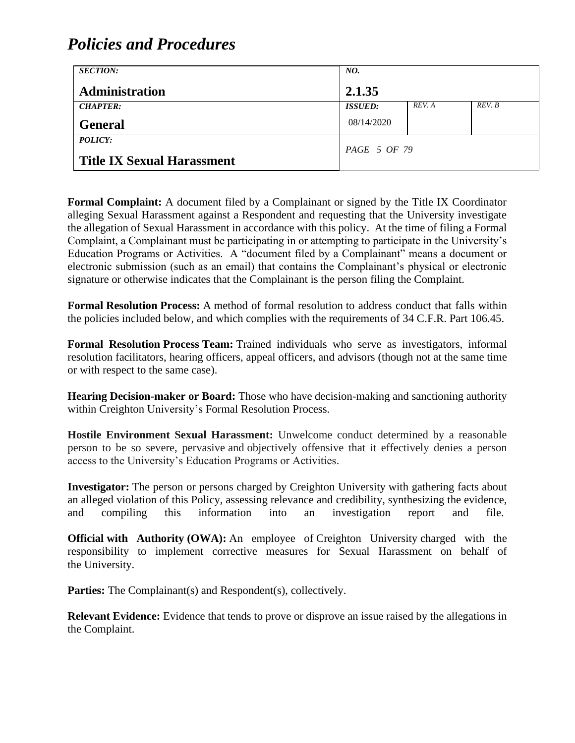| <b>SECTION:</b>                   | NO.            |        |        |
|-----------------------------------|----------------|--------|--------|
| <b>Administration</b>             | 2.1.35         |        |        |
| <b>CHAPTER:</b>                   | <b>ISSUED:</b> | REV. A | REV. B |
| <b>General</b>                    | 08/14/2020     |        |        |
| POLICY:                           | PAGE 5 OF 79   |        |        |
| <b>Title IX Sexual Harassment</b> |                |        |        |

**Formal Complaint:** A document filed by a Complainant or signed by the Title IX Coordinator alleging Sexual Harassment against a Respondent and requesting that the University investigate the allegation of Sexual Harassment in accordance with this policy. At the time of filing a Formal Complaint, a Complainant must be participating in or attempting to participate in the University's Education Programs or Activities. A "document filed by a Complainant" means a document or electronic submission (such as an email) that contains the Complainant's physical or electronic signature or otherwise indicates that the Complainant is the person filing the Complaint.

**Formal Resolution Process:** A method of formal resolution to address conduct that falls within the policies included below, and which complies with the requirements of 34 C.F.R. Part 106.45.

**Formal Resolution Process Team:** Trained individuals who serve as investigators, informal resolution facilitators, hearing officers, appeal officers, and advisors (though not at the same time or with respect to the same case).

**Hearing Decision-maker or Board:** Those who have decision-making and sanctioning authority within Creighton University's Formal Resolution Process.

**Hostile Environment Sexual Harassment:** Unwelcome conduct determined by a reasonable person to be so severe, pervasive and objectively offensive that it effectively denies a person access to the University's Education Programs or Activities.

**Investigator:** The person or persons charged by Creighton University with gathering facts about an alleged violation of this Policy, assessing relevance and credibility, synthesizing the evidence, and compiling this information into an investigation report and file.

**Official with Authority (OWA):** An employee of Creighton University charged with the responsibility to implement corrective measures for Sexual Harassment on behalf of the University.

Parties: The Complainant(s) and Respondent(s), collectively.

**Relevant Evidence:** Evidence that tends to prove or disprove an issue raised by the allegations in the Complaint.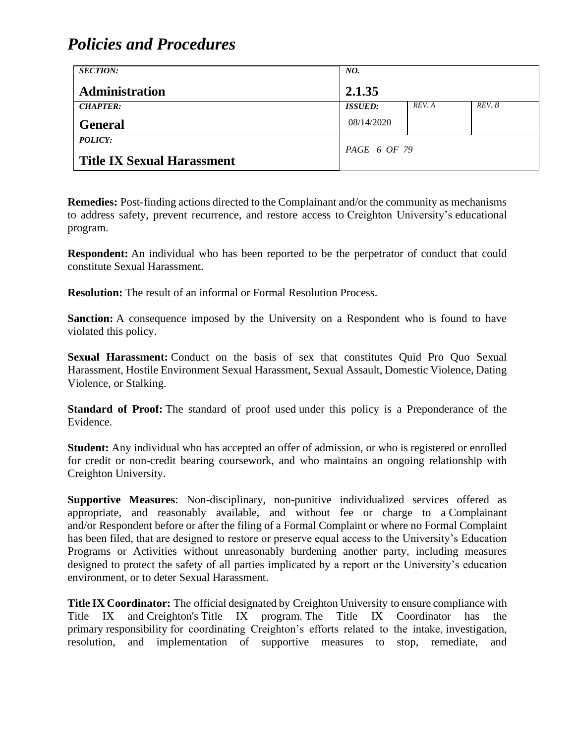| <b>SECTION:</b>                   | NO.            |        |        |
|-----------------------------------|----------------|--------|--------|
| <b>Administration</b>             | 2.1.35         |        |        |
| <b>CHAPTER:</b>                   | <b>ISSUED:</b> | REV. A | REV. B |
| <b>General</b>                    | 08/14/2020     |        |        |
| <b>POLICY:</b>                    | PAGE 6 OF 79   |        |        |
| <b>Title IX Sexual Harassment</b> |                |        |        |

**Remedies:** Post-finding actions directed to the Complainant and/or the community as mechanisms to address safety, prevent recurrence, and restore access to Creighton University's educational program.

**Respondent:** An individual who has been reported to be the perpetrator of conduct that could constitute Sexual Harassment.

**Resolution:** The result of an informal or Formal Resolution Process.

**Sanction:** A consequence imposed by the University on a Respondent who is found to have violated this policy.

**Sexual Harassment:** Conduct on the basis of sex that constitutes Quid Pro Quo Sexual Harassment, Hostile Environment Sexual Harassment, Sexual Assault, Domestic Violence, Dating Violence, or Stalking.

**Standard of Proof:** The standard of proof used under this policy is a Preponderance of the Evidence.

**Student:** Any individual who has accepted an offer of admission, or who is registered or enrolled for credit or non-credit bearing coursework, and who maintains an ongoing relationship with Creighton University.

**Supportive Measures**: Non-disciplinary, non-punitive individualized services offered as appropriate, and reasonably available, and without fee or charge to a Complainant and/or Respondent before or after the filing of a Formal Complaint or where no Formal Complaint has been filed, that are designed to restore or preserve equal access to the University's Education Programs or Activities without unreasonably burdening another party, including measures designed to protect the safety of all parties implicated by a report or the University's education environment, or to deter Sexual Harassment.

**Title IX Coordinator:** The official designated by Creighton University to ensure compliance with Title IX and Creighton's Title IX program. The Title IX Coordinator has the primary responsibility for coordinating Creighton's efforts related to the intake, investigation, resolution, and implementation of supportive measures to stop, remediate, and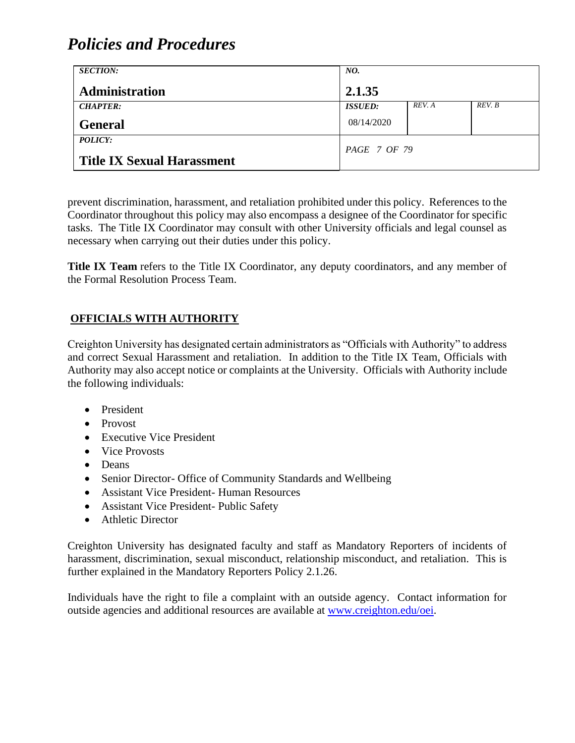| <b>SECTION:</b>                   | NO.                   |        |        |
|-----------------------------------|-----------------------|--------|--------|
| <b>Administration</b>             | 2.1.35                |        |        |
| <b>CHAPTER:</b>                   | <i><b>ISSUED:</b></i> | REV. A | REV. B |
| <b>General</b>                    | 08/14/2020            |        |        |
| <b>POLICY:</b>                    |                       |        |        |
| <b>Title IX Sexual Harassment</b> | PAGE 7 OF 79          |        |        |

prevent discrimination, harassment, and retaliation prohibited under this policy. References to the Coordinator throughout this policy may also encompass a designee of the Coordinator for specific tasks. The Title IX Coordinator may consult with other University officials and legal counsel as necessary when carrying out their duties under this policy.

Title IX Team refers to the Title IX Coordinator, any deputy coordinators, and any member of the Formal Resolution Process Team.

### **OFFICIALS WITH AUTHORITY**

Creighton University has designated certain administrators as "Officials with Authority" to address and correct Sexual Harassment and retaliation. In addition to the Title IX Team, Officials with Authority may also accept notice or complaints at the University. Officials with Authority include the following individuals:

- President
- Provost
- Executive Vice President
- Vice Provosts
- Deans
- Senior Director- Office of Community Standards and Wellbeing
- Assistant Vice President- Human Resources
- Assistant Vice President- Public Safety
- Athletic Director

Creighton University has designated faculty and staff as Mandatory Reporters of incidents of harassment, discrimination, sexual misconduct, relationship misconduct, and retaliation. This is further explained in the Mandatory Reporters Policy 2.1.26.

Individuals have the right to file a complaint with an outside agency. Contact information for outside agencies and additional resources are available at [www.creighton.edu/oei.](http://www.creighton.edu/oei)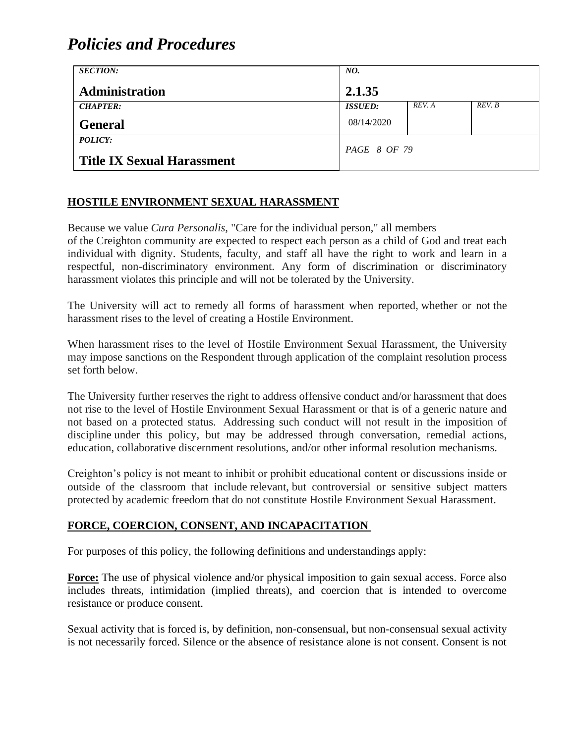| <b>SECTION:</b>                   | NO.            |        |        |
|-----------------------------------|----------------|--------|--------|
| <b>Administration</b>             | 2.1.35         |        |        |
| <b>CHAPTER:</b>                   | <b>ISSUED:</b> | REV. A | REV. B |
| <b>General</b>                    | 08/14/2020     |        |        |
| POLICY:                           | PAGE 8 OF 79   |        |        |
| <b>Title IX Sexual Harassment</b> |                |        |        |

### **HOSTILE ENVIRONMENT SEXUAL HARASSMENT**

Because we value *Cura Personalis,* "Care for the individual person," all members of the Creighton community are expected to respect each person as a child of God and treat each individual with dignity. Students, faculty, and staff all have the right to work and learn in a respectful, non-discriminatory environment. Any form of discrimination or discriminatory harassment violates this principle and will not be tolerated by the University.

The University will act to remedy all forms of harassment when reported, whether or not the harassment rises to the level of creating a Hostile Environment.

When harassment rises to the level of Hostile Environment Sexual Harassment, the University may impose sanctions on the Respondent through application of the complaint resolution process set forth below.

The University further reserves the right to address offensive conduct and/or harassment that does not rise to the level of Hostile Environment Sexual Harassment or that is of a generic nature and not based on a protected status. Addressing such conduct will not result in the imposition of discipline under this policy, but may be addressed through conversation, remedial actions, education, collaborative discernment resolutions, and/or other informal resolution mechanisms.

Creighton's policy is not meant to inhibit or prohibit educational content or discussions inside or outside of the classroom that include relevant, but controversial or sensitive subject matters protected by academic freedom that do not constitute Hostile Environment Sexual Harassment.

#### **FORCE, COERCION, CONSENT, AND INCAPACITATION**

For purposes of this policy, the following definitions and understandings apply:

**Force:** The use of physical violence and/or physical imposition to gain sexual access. Force also includes threats, intimidation (implied threats), and coercion that is intended to overcome resistance or produce consent.

Sexual activity that is forced is, by definition, non-consensual, but non-consensual sexual activity is not necessarily forced. Silence or the absence of resistance alone is not consent. Consent is not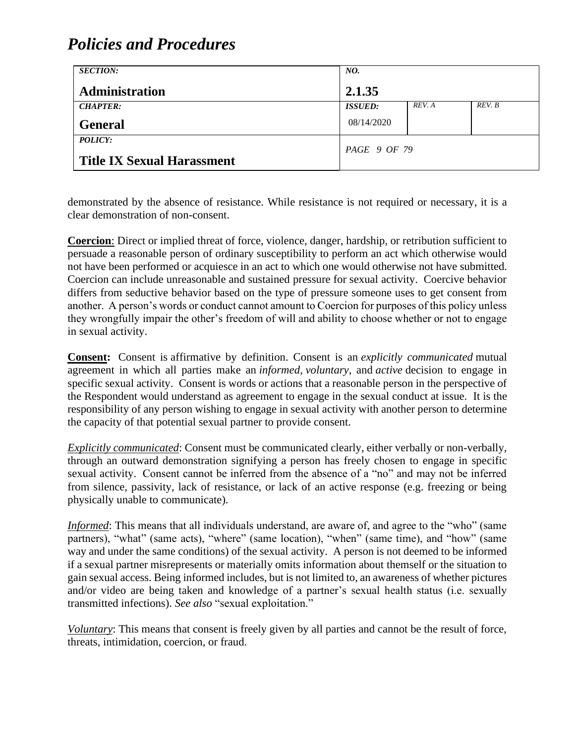| <b>SECTION:</b>                   | NO.            |        |        |
|-----------------------------------|----------------|--------|--------|
| Administration                    | 2.1.35         |        |        |
| <b>CHAPTER:</b>                   | <b>ISSUED:</b> | REV. A | REV. B |
| <b>General</b>                    | 08/14/2020     |        |        |
| POLICY:                           |                |        |        |
| <b>Title IX Sexual Harassment</b> | PAGE 9 OF 79   |        |        |

demonstrated by the absence of resistance. While resistance is not required or necessary, it is a clear demonstration of non-consent.

**Coercion**: Direct or implied threat of force, violence, danger, hardship, or retribution sufficient to persuade a reasonable person of ordinary susceptibility to perform an act which otherwise would not have been performed or acquiesce in an act to which one would otherwise not have submitted. Coercion can include unreasonable and sustained pressure for sexual activity. Coercive behavior differs from seductive behavior based on the type of pressure someone uses to get consent from another. A person's words or conduct cannot amount to Coercion for purposes of this policy unless they wrongfully impair the other's freedom of will and ability to choose whether or not to engage in sexual activity.

**Consent:** Consent is affirmative by definition. Consent is an *explicitly communicated* mutual agreement in which all parties make an *informed*, *voluntary*, and *active* decision to engage in specific sexual activity. Consent is words or actions that a reasonable person in the perspective of the Respondent would understand as agreement to engage in the sexual conduct at issue. It is the responsibility of any person wishing to engage in sexual activity with another person to determine the capacity of that potential sexual partner to provide consent.

*Explicitly communicated*: Consent must be communicated clearly, either verbally or non-verbally, through an outward demonstration signifying a person has freely chosen to engage in specific sexual activity. Consent cannot be inferred from the absence of a "no" and may not be inferred from silence, passivity, lack of resistance, or lack of an active response (e.g. freezing or being physically unable to communicate).

*Informed*: This means that all individuals understand, are aware of, and agree to the "who" (same partners), "what" (same acts), "where" (same location), "when" (same time), and "how" (same way and under the same conditions) of the sexual activity. A person is not deemed to be informed if a sexual partner misrepresents or materially omits information about themself or the situation to gain sexual access. Being informed includes, but is not limited to, an awareness of whether pictures and/or video are being taken and knowledge of a partner's sexual health status (i.e. sexually transmitted infections). *See also* "sexual exploitation."

*Voluntary*: This means that consent is freely given by all parties and cannot be the result of force, threats, intimidation, coercion, or fraud.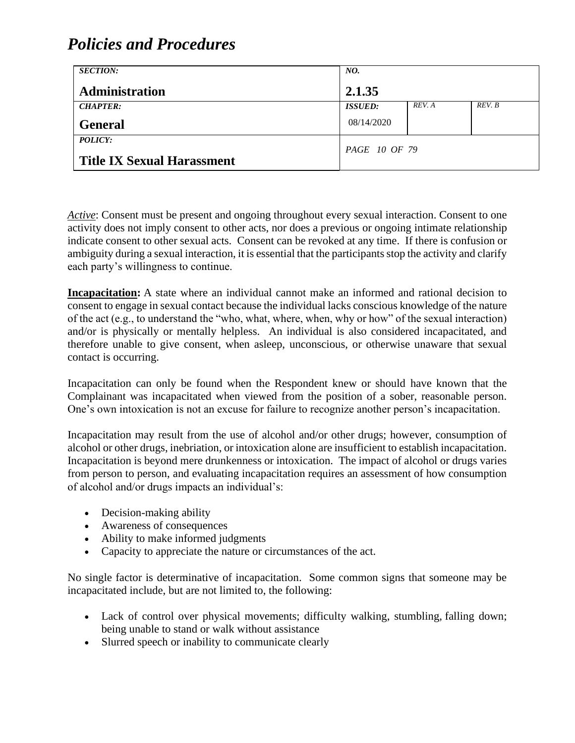| <b>SECTION:</b>                   | NO.                  |        |        |
|-----------------------------------|----------------------|--------|--------|
| <b>Administration</b>             | 2.1.35               |        |        |
| <b>CHAPTER:</b>                   | <b>ISSUED:</b>       | REV. A | REV. B |
| <b>General</b>                    | 08/14/2020           |        |        |
| POLICY:                           | <i>PAGE 10 OF 79</i> |        |        |
| <b>Title IX Sexual Harassment</b> |                      |        |        |

*Active*: Consent must be present and ongoing throughout every sexual interaction. Consent to one activity does not imply consent to other acts, nor does a previous or ongoing intimate relationship indicate consent to other sexual acts. Consent can be revoked at any time. If there is confusion or ambiguity during a sexual interaction, it is essential that the participants stop the activity and clarify each party's willingness to continue.

**Incapacitation:** A state where an individual cannot make an informed and rational decision to consent to engage in sexual contact because the individual lacks conscious knowledge of the nature of the act (e.g., to understand the "who, what, where, when, why or how" of the sexual interaction) and/or is physically or mentally helpless. An individual is also considered incapacitated, and therefore unable to give consent, when asleep, unconscious, or otherwise unaware that sexual contact is occurring.

Incapacitation can only be found when the Respondent knew or should have known that the Complainant was incapacitated when viewed from the position of a sober, reasonable person. One's own intoxication is not an excuse for failure to recognize another person's incapacitation.

Incapacitation may result from the use of alcohol and/or other drugs; however, consumption of alcohol or other drugs, inebriation, or intoxication alone are insufficient to establish incapacitation. Incapacitation is beyond mere drunkenness or intoxication. The impact of alcohol or drugs varies from person to person, and evaluating incapacitation requires an assessment of how consumption of alcohol and/or drugs impacts an individual's:

- Decision-making ability
- Awareness of consequences
- Ability to make informed judgments
- Capacity to appreciate the nature or circumstances of the act.

No single factor is determinative of incapacitation. Some common signs that someone may be incapacitated include, but are not limited to, the following:

- Lack of control over physical movements; difficulty walking, stumbling, falling down; being unable to stand or walk without assistance
- Slurred speech or inability to communicate clearly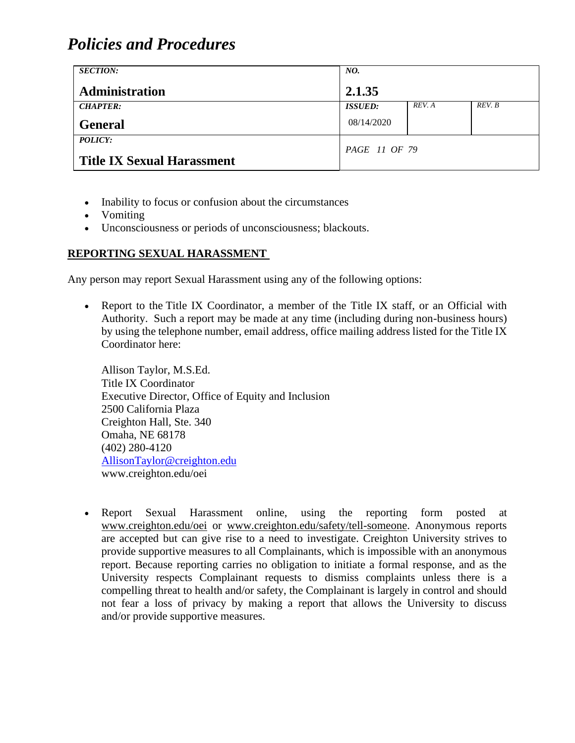| <b>SECTION:</b>                                     | NO.                  |        |        |
|-----------------------------------------------------|----------------------|--------|--------|
| Administration                                      | 2.1.35               |        |        |
| <b>CHAPTER:</b>                                     | <b>ISSUED:</b>       | REV. A | REV. B |
| <b>General</b>                                      | 08/14/2020           |        |        |
| <b>POLICY:</b><br><b>Title IX Sexual Harassment</b> | <i>PAGE 11 OF 79</i> |        |        |

- Inability to focus or confusion about the circumstances
- Vomiting
- Unconsciousness or periods of unconsciousness; blackouts.

### **REPORTING SEXUAL HARASSMENT**

Any person may report Sexual Harassment using any of the following options:

• Report to the Title IX Coordinator, a member of the Title IX staff, or an Official with Authority. Such a report may be made at any time (including during non-business hours) by using the telephone number, email address, office mailing address listed for the Title IX Coordinator here:

Allison Taylor, M.S.Ed. Title IX Coordinator Executive Director, Office of Equity and Inclusion 2500 California Plaza Creighton Hall, Ste. 340 Omaha, NE 68178 (402) 280-4120 [AllisonTaylor@creighton.edu](mailto:AllisonTaylor@creighton.edu) www.creighton.edu/oei

• Report Sexual Harassment online, using the reporting form posted at [www.creighton.edu/oei](http://www.creighton.edu/oei) or [www.creighton.edu/safety/tell-someone.](http://www.creighton.edu/safety/tell-someone) Anonymous reports are accepted but can give rise to a need to investigate. Creighton University strives to provide supportive measures to all Complainants, which is impossible with an anonymous report. Because reporting carries no obligation to initiate a formal response, and as the University respects Complainant requests to dismiss complaints unless there is a compelling threat to health and/or safety, the Complainant is largely in control and should not fear a loss of privacy by making a report that allows the University to discuss and/or provide supportive measures.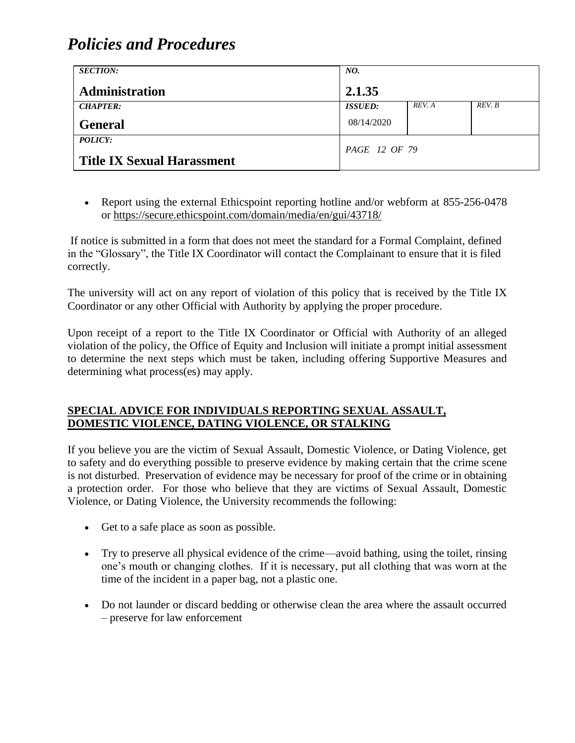| <b>SECTION:</b>                                     | NO.                  |        |        |
|-----------------------------------------------------|----------------------|--------|--------|
| Administration                                      | 2.1.35               |        |        |
| <b>CHAPTER:</b>                                     | <b>ISSUED:</b>       | REV. A | REV. B |
| <b>General</b>                                      | 08/14/2020           |        |        |
| <b>POLICY:</b><br><b>Title IX Sexual Harassment</b> | <i>PAGE 12 OF 79</i> |        |        |

• Report using the external Ethicspoint reporting hotline and/or webform at 855-256-0478 or<https://secure.ethicspoint.com/domain/media/en/gui/43718/>

If notice is submitted in a form that does not meet the standard for a Formal Complaint, defined in the "Glossary", the Title IX Coordinator will contact the Complainant to ensure that it is filed correctly.

The university will act on any report of violation of this policy that is received by the Title IX Coordinator or any other Official with Authority by applying the proper procedure.

Upon receipt of a report to the Title IX Coordinator or Official with Authority of an alleged violation of the policy, the Office of Equity and Inclusion will initiate a prompt initial assessment to determine the next steps which must be taken, including offering Supportive Measures and determining what process(es) may apply.

#### **SPECIAL ADVICE FOR INDIVIDUALS REPORTING SEXUAL ASSAULT, DOMESTIC VIOLENCE, DATING VIOLENCE, OR STALKING**

If you believe you are the victim of Sexual Assault, Domestic Violence, or Dating Violence, get to safety and do everything possible to preserve evidence by making certain that the crime scene is not disturbed. Preservation of evidence may be necessary for proof of the crime or in obtaining a protection order. For those who believe that they are victims of Sexual Assault, Domestic Violence, or Dating Violence, the University recommends the following:

- Get to a safe place as soon as possible.
- Try to preserve all physical evidence of the crime—avoid bathing, using the toilet, rinsing one's mouth or changing clothes. If it is necessary, put all clothing that was worn at the time of the incident in a paper bag, not a plastic one.
- Do not launder or discard bedding or otherwise clean the area where the assault occurred – preserve for law enforcement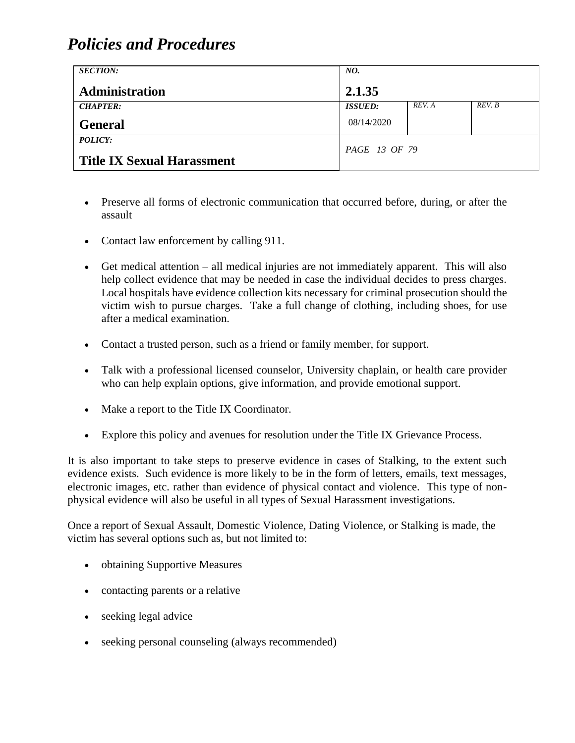| <b>SECTION:</b>                                     | NO.            |        |        |
|-----------------------------------------------------|----------------|--------|--------|
| Administration                                      | 2.1.35         |        |        |
| <b>CHAPTER:</b>                                     | <b>ISSUED:</b> | REV. A | REV. B |
| <b>General</b>                                      | 08/14/2020     |        |        |
| <b>POLICY:</b><br><b>Title IX Sexual Harassment</b> | PAGE 13 OF 79  |        |        |

- Preserve all forms of electronic communication that occurred before, during, or after the assault
- Contact law enforcement by calling 911.
- Get medical attention all medical injuries are not immediately apparent. This will also help collect evidence that may be needed in case the individual decides to press charges. Local hospitals have evidence collection kits necessary for criminal prosecution should the victim wish to pursue charges. Take a full change of clothing, including shoes, for use after a medical examination.
- Contact a trusted person, such as a friend or family member, for support.
- Talk with a professional licensed counselor, University chaplain, or health care provider who can help explain options, give information, and provide emotional support.
- Make a report to the Title IX Coordinator.
- Explore this policy and avenues for resolution under the Title IX Grievance Process.

It is also important to take steps to preserve evidence in cases of Stalking, to the extent such evidence exists. Such evidence is more likely to be in the form of letters, emails, text messages, electronic images, etc. rather than evidence of physical contact and violence. This type of nonphysical evidence will also be useful in all types of Sexual Harassment investigations.

Once a report of Sexual Assault, Domestic Violence, Dating Violence, or Stalking is made, the victim has several options such as, but not limited to:

- obtaining Supportive Measures
- contacting parents or a relative
- seeking legal advice
- seeking personal counseling (always recommended)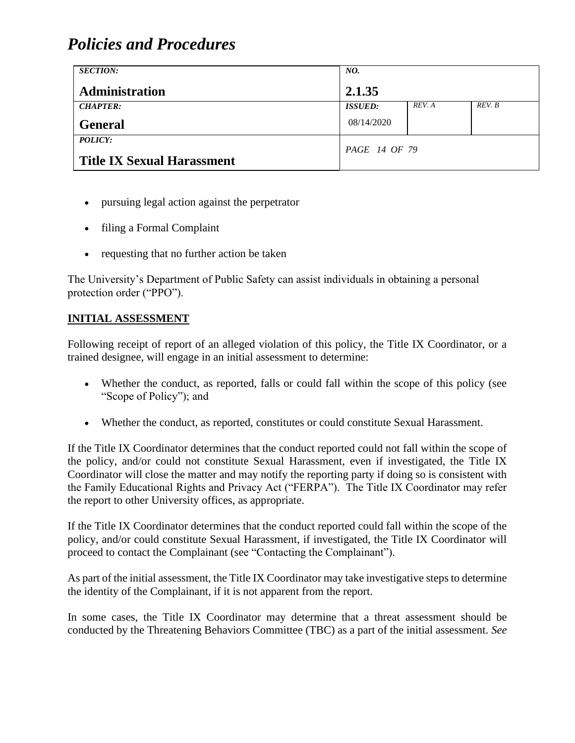| <b>SECTION:</b>                                     | NO.            |        |        |
|-----------------------------------------------------|----------------|--------|--------|
| <b>Administration</b>                               | 2.1.35         |        |        |
| <b>CHAPTER:</b>                                     | <b>ISSUED:</b> | REV. A | REV. B |
| <b>General</b>                                      | 08/14/2020     |        |        |
| <b>POLICY:</b><br><b>Title IX Sexual Harassment</b> | PAGE 14 OF 79  |        |        |

- pursuing legal action against the perpetrator
- filing a Formal Complaint
- requesting that no further action be taken

The University's Department of Public Safety can assist individuals in obtaining a personal protection order ("PPO").

### **INITIAL ASSESSMENT**

Following receipt of report of an alleged violation of this policy, the Title IX Coordinator, or a trained designee, will engage in an initial assessment to determine:

- Whether the conduct, as reported, falls or could fall within the scope of this policy (see "Scope of Policy"); and
- Whether the conduct, as reported, constitutes or could constitute Sexual Harassment.

If the Title IX Coordinator determines that the conduct reported could not fall within the scope of the policy, and/or could not constitute Sexual Harassment, even if investigated, the Title IX Coordinator will close the matter and may notify the reporting party if doing so is consistent with the Family Educational Rights and Privacy Act ("FERPA"). The Title IX Coordinator may refer the report to other University offices, as appropriate.

If the Title IX Coordinator determines that the conduct reported could fall within the scope of the policy, and/or could constitute Sexual Harassment, if investigated, the Title IX Coordinator will proceed to contact the Complainant (see "Contacting the Complainant").

As part of the initial assessment, the Title IX Coordinator may take investigative steps to determine the identity of the Complainant, if it is not apparent from the report.

In some cases, the Title IX Coordinator may determine that a threat assessment should be conducted by the Threatening Behaviors Committee (TBC) as a part of the initial assessment. *See*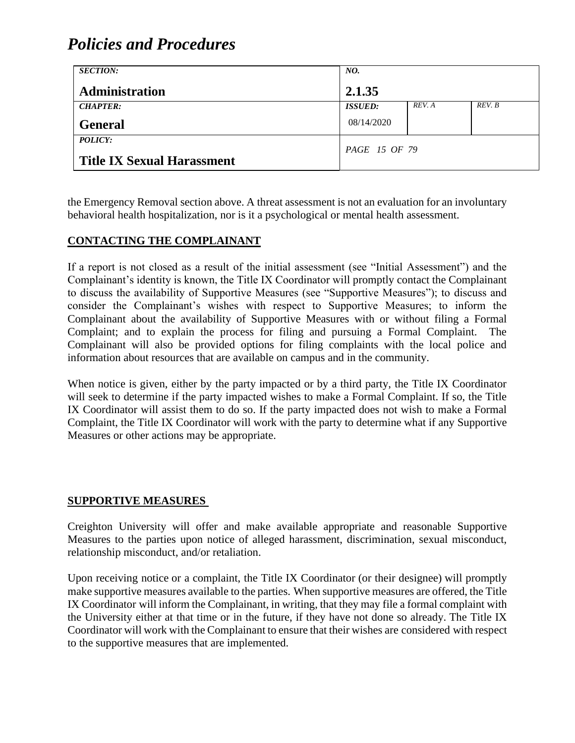| <b>SECTION:</b>                   | NO.            |        |        |
|-----------------------------------|----------------|--------|--------|
| <b>Administration</b>             | 2.1.35         |        |        |
| <b>CHAPTER:</b>                   | <b>ISSUED:</b> | REV. A | REV. B |
| <b>General</b>                    | 08/14/2020     |        |        |
| POLICY:                           | PAGE 15 OF 79  |        |        |
| <b>Title IX Sexual Harassment</b> |                |        |        |

the Emergency Removal section above. A threat assessment is not an evaluation for an involuntary behavioral health hospitalization, nor is it a psychological or mental health assessment.

#### **CONTACTING THE COMPLAINANT**

If a report is not closed as a result of the initial assessment (see "Initial Assessment") and the Complainant's identity is known, the Title IX Coordinator will promptly contact the Complainant to discuss the availability of Supportive Measures (see "Supportive Measures"); to discuss and consider the Complainant's wishes with respect to Supportive Measures; to inform the Complainant about the availability of Supportive Measures with or without filing a Formal Complaint; and to explain the process for filing and pursuing a Formal Complaint. The Complainant will also be provided options for filing complaints with the local police and information about resources that are available on campus and in the community.

When notice is given, either by the party impacted or by a third party, the Title IX Coordinator will seek to determine if the party impacted wishes to make a Formal Complaint. If so, the Title IX Coordinator will assist them to do so. If the party impacted does not wish to make a Formal Complaint, the Title IX Coordinator will work with the party to determine what if any Supportive Measures or other actions may be appropriate.

#### **SUPPORTIVE MEASURES**

Creighton University will offer and make available appropriate and reasonable Supportive Measures to the parties upon notice of alleged harassment, discrimination, sexual misconduct, relationship misconduct, and/or retaliation.

Upon receiving notice or a complaint, the Title IX Coordinator (or their designee) will promptly make supportive measures available to the parties. When supportive measures are offered, the Title IX Coordinator will inform the Complainant, in writing, that they may file a formal complaint with the University either at that time or in the future, if they have not done so already. The Title IX Coordinator will work with the Complainant to ensure that their wishes are considered with respect to the supportive measures that are implemented.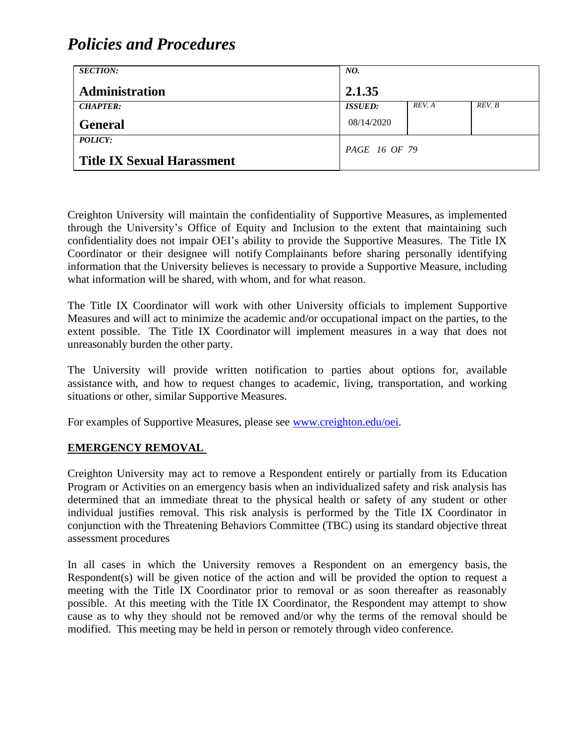| <b>SECTION:</b>                   | NO.                   |        |        |
|-----------------------------------|-----------------------|--------|--------|
| <b>Administration</b>             | 2.1.35                |        |        |
| <b>CHAPTER:</b>                   | <i><b>ISSUED:</b></i> | REV. A | REV. B |
| <b>General</b>                    | 08/14/2020            |        |        |
| <b>POLICY:</b>                    | <i>PAGE 16 OF 79</i>  |        |        |
| <b>Title IX Sexual Harassment</b> |                       |        |        |

Creighton University will maintain the confidentiality of Supportive Measures, as implemented through the University's Office of Equity and Inclusion to the extent that maintaining such confidentiality does not impair OEI's ability to provide the Supportive Measures. The Title IX Coordinator or their designee will notify Complainants before sharing personally identifying information that the University believes is necessary to provide a Supportive Measure, including what information will be shared, with whom, and for what reason.

The Title IX Coordinator will work with other University officials to implement Supportive Measures and will act to minimize the academic and/or occupational impact on the parties, to the extent possible. The Title IX Coordinator will implement measures in a way that does not unreasonably burden the other party.

The University will provide written notification to parties about options for, available assistance with, and how to request changes to academic, living, transportation, and working situations or other, similar Supportive Measures.

For examples of Supportive Measures, please see [www.creighton.edu/oei.](http://www.creighton.edu/oei)

#### **EMERGENCY REMOVAL**

Creighton University may act to remove a Respondent entirely or partially from its Education Program or Activities on an emergency basis when an individualized safety and risk analysis has determined that an immediate threat to the physical health or safety of any student or other individual justifies removal. This risk analysis is performed by the Title IX Coordinator in conjunction with the Threatening Behaviors Committee (TBC) using its standard objective threat assessment procedures

In all cases in which the University removes a Respondent on an emergency basis, the Respondent(s) will be given notice of the action and will be provided the option to request a meeting with the Title IX Coordinator prior to removal or as soon thereafter as reasonably possible. At this meeting with the Title IX Coordinator, the Respondent may attempt to show cause as to why they should not be removed and/or why the terms of the removal should be modified. This meeting may be held in person or remotely through video conference.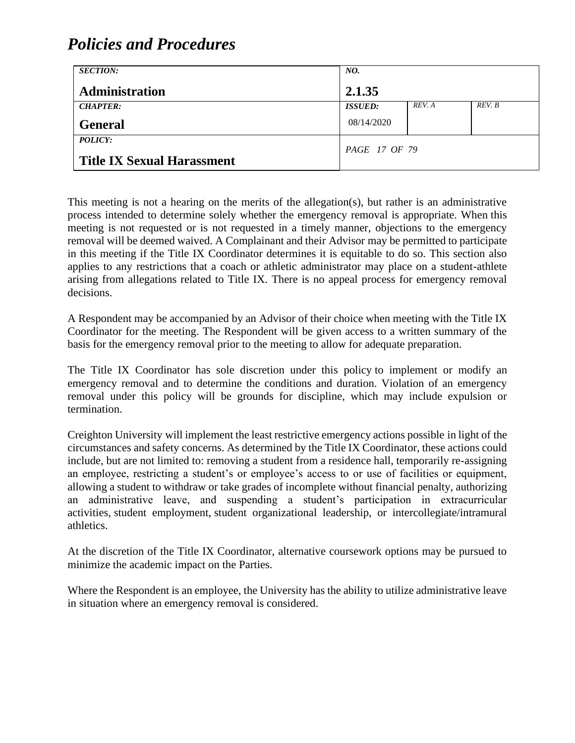| <b>SECTION:</b>                   | NO.            |        |        |
|-----------------------------------|----------------|--------|--------|
| <b>Administration</b>             | 2.1.35         |        |        |
| <b>CHAPTER:</b>                   | <b>ISSUED:</b> | REV. A | REV. B |
| <b>General</b>                    | 08/14/2020     |        |        |
| POLICY:                           | PAGE 17 OF 79  |        |        |
| <b>Title IX Sexual Harassment</b> |                |        |        |

This meeting is not a hearing on the merits of the allegation(s), but rather is an administrative process intended to determine solely whether the emergency removal is appropriate. When this meeting is not requested or is not requested in a timely manner, objections to the emergency removal will be deemed waived. A Complainant and their Advisor may be permitted to participate in this meeting if the Title IX Coordinator determines it is equitable to do so. This section also applies to any restrictions that a coach or athletic administrator may place on a student-athlete arising from allegations related to Title IX. There is no appeal process for emergency removal decisions.

A Respondent may be accompanied by an Advisor of their choice when meeting with the Title IX Coordinator for the meeting. The Respondent will be given access to a written summary of the basis for the emergency removal prior to the meeting to allow for adequate preparation.

The Title IX Coordinator has sole discretion under this policy to implement or modify an emergency removal and to determine the conditions and duration. Violation of an emergency removal under this policy will be grounds for discipline, which may include expulsion or termination.

Creighton University will implement the least restrictive emergency actions possible in light of the circumstances and safety concerns. As determined by the Title IX Coordinator, these actions could include, but are not limited to: removing a student from a residence hall, temporarily re-assigning an employee, restricting a student's or employee's access to or use of facilities or equipment, allowing a student to withdraw or take grades of incomplete without financial penalty, authorizing an administrative leave, and suspending a student's participation in extracurricular activities, student employment, student organizational leadership, or intercollegiate/intramural athletics.

At the discretion of the Title IX Coordinator, alternative coursework options may be pursued to minimize the academic impact on the Parties.

Where the Respondent is an employee, the University has the ability to utilize administrative leave in situation where an emergency removal is considered.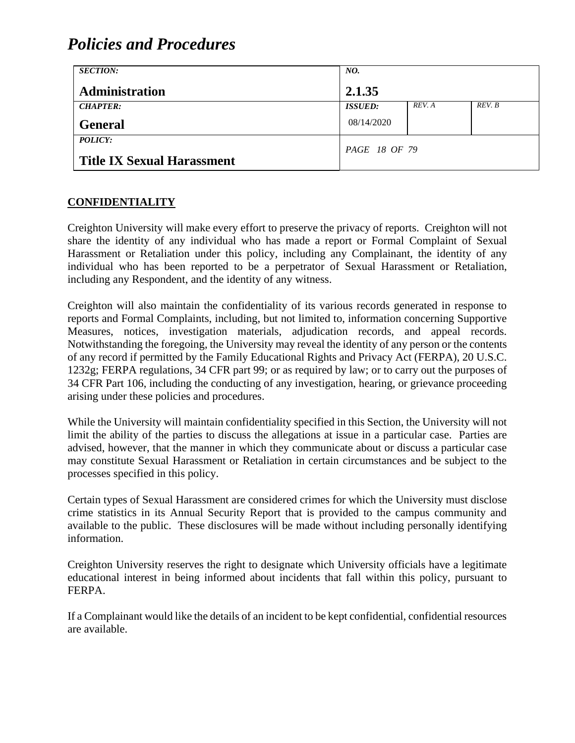| <b>SECTION:</b>                   | NO.                  |        |        |
|-----------------------------------|----------------------|--------|--------|
| <b>Administration</b>             | 2.1.35               |        |        |
| <b>CHAPTER:</b>                   | <b>ISSUED:</b>       | REV. A | REV. B |
| <b>General</b>                    | 08/14/2020           |        |        |
| POLICY:                           | <i>PAGE 18 OF 79</i> |        |        |
| <b>Title IX Sexual Harassment</b> |                      |        |        |

#### **CONFIDENTIALITY**

Creighton University will make every effort to preserve the privacy of reports. Creighton will not share the identity of any individual who has made a report or Formal Complaint of Sexual Harassment or Retaliation under this policy, including any Complainant, the identity of any individual who has been reported to be a perpetrator of Sexual Harassment or Retaliation, including any Respondent, and the identity of any witness.

Creighton will also maintain the confidentiality of its various records generated in response to reports and Formal Complaints, including, but not limited to, information concerning Supportive Measures, notices, investigation materials, adjudication records, and appeal records. Notwithstanding the foregoing, the University may reveal the identity of any person or the contents of any record if permitted by the Family Educational Rights and Privacy Act (FERPA), 20 U.S.C. 1232g; FERPA regulations, 34 CFR part 99; or as required by law; or to carry out the purposes of 34 CFR Part 106, including the conducting of any investigation, hearing, or grievance proceeding arising under these policies and procedures.

While the University will maintain confidentiality specified in this Section, the University will not limit the ability of the parties to discuss the allegations at issue in a particular case. Parties are advised, however, that the manner in which they communicate about or discuss a particular case may constitute Sexual Harassment or Retaliation in certain circumstances and be subject to the processes specified in this policy.

Certain types of Sexual Harassment are considered crimes for which the University must disclose crime statistics in its Annual Security Report that is provided to the campus community and available to the public. These disclosures will be made without including personally identifying information.

Creighton University reserves the right to designate which University officials have a legitimate educational interest in being informed about incidents that fall within this policy, pursuant to FERPA.

If a Complainant would like the details of an incident to be kept confidential, confidential resources are available.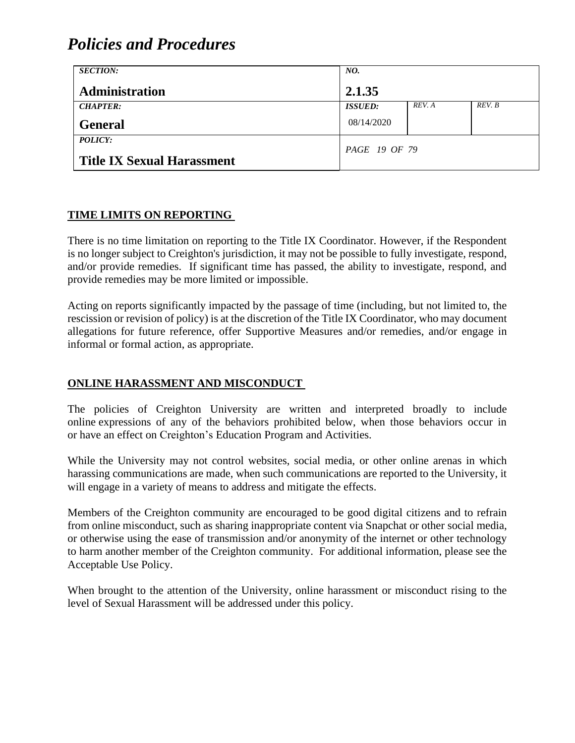| <b>SECTION:</b>                   | NO.            |        |        |
|-----------------------------------|----------------|--------|--------|
| <b>Administration</b>             | 2.1.35         |        |        |
| <b>CHAPTER:</b>                   | <b>ISSUED:</b> | REV. A | REV. B |
| <b>General</b>                    | 08/14/2020     |        |        |
| POLICY:                           | PAGE 19 OF 79  |        |        |
| <b>Title IX Sexual Harassment</b> |                |        |        |

#### **TIME LIMITS ON REPORTING**

There is no time limitation on reporting to the Title IX Coordinator. However, if the Respondent is no longer subject to Creighton's jurisdiction, it may not be possible to fully investigate, respond, and/or provide remedies. If significant time has passed, the ability to investigate, respond, and provide remedies may be more limited or impossible.

Acting on reports significantly impacted by the passage of time (including, but not limited to, the rescission or revision of policy) is at the discretion of the Title IX Coordinator, who may document allegations for future reference, offer Supportive Measures and/or remedies, and/or engage in informal or formal action, as appropriate.

#### **ONLINE HARASSMENT AND MISCONDUCT**

The policies of Creighton University are written and interpreted broadly to include online expressions of any of the behaviors prohibited below, when those behaviors occur in or have an effect on Creighton's Education Program and Activities.

While the University may not control websites, social media, or other online arenas in which harassing communications are made, when such communications are reported to the University, it will engage in a variety of means to address and mitigate the effects.

Members of the Creighton community are encouraged to be good digital citizens and to refrain from online misconduct, such as sharing inappropriate content via Snapchat or other social media, or otherwise using the ease of transmission and/or anonymity of the internet or other technology to harm another member of the Creighton community. For additional information, please see the Acceptable Use Policy.

When brought to the attention of the University, online harassment or misconduct rising to the level of Sexual Harassment will be addressed under this policy.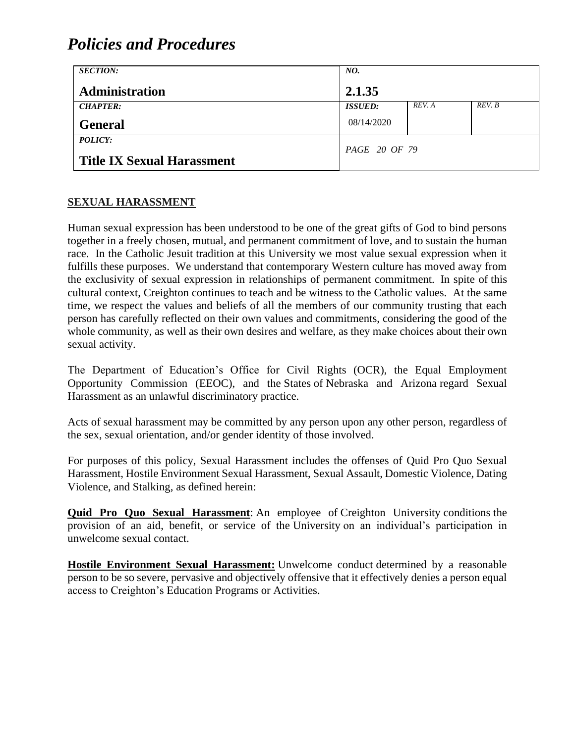| <b>SECTION:</b>                   | NO.            |        |        |
|-----------------------------------|----------------|--------|--------|
| <b>Administration</b>             | 2.1.35         |        |        |
| <b>CHAPTER:</b>                   | <b>ISSUED:</b> | REV. A | REV. B |
| <b>General</b>                    | 08/14/2020     |        |        |
| POLICY:                           | PAGE 20 OF 79  |        |        |
| <b>Title IX Sexual Harassment</b> |                |        |        |

### **SEXUAL HARASSMENT**

Human sexual expression has been understood to be one of the great gifts of God to bind persons together in a freely chosen, mutual, and permanent commitment of love, and to sustain the human race. In the Catholic Jesuit tradition at this University we most value sexual expression when it fulfills these purposes. We understand that contemporary Western culture has moved away from the exclusivity of sexual expression in relationships of permanent commitment. In spite of this cultural context, Creighton continues to teach and be witness to the Catholic values. At the same time, we respect the values and beliefs of all the members of our community trusting that each person has carefully reflected on their own values and commitments, considering the good of the whole community, as well as their own desires and welfare, as they make choices about their own sexual activity.

The Department of Education's Office for Civil Rights (OCR), the Equal Employment Opportunity Commission (EEOC), and the States of Nebraska and Arizona regard Sexual Harassment as an unlawful discriminatory practice.

Acts of sexual harassment may be committed by any person upon any other person, regardless of the sex, sexual orientation, and/or gender identity of those involved.

For purposes of this policy, Sexual Harassment includes the offenses of Quid Pro Quo Sexual Harassment, Hostile Environment Sexual Harassment, Sexual Assault, Domestic Violence, Dating Violence, and Stalking, as defined herein:

**Quid Pro Quo Sexual Harassment**: An employee of Creighton University conditions the provision of an aid, benefit, or service of the University on an individual's participation in unwelcome sexual contact.

**Hostile Environment Sexual Harassment:** Unwelcome conduct determined by a reasonable person to be so severe, pervasive and objectively offensive that it effectively denies a person equal access to Creighton's Education Programs or Activities.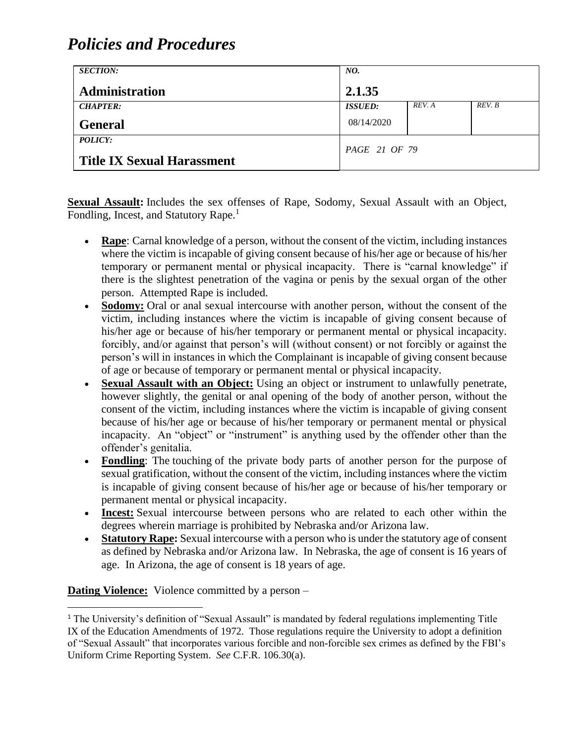| <b>SECTION:</b>                   | NO.            |        |        |
|-----------------------------------|----------------|--------|--------|
| <b>Administration</b>             | 2.1.35         |        |        |
| <b>CHAPTER:</b>                   | <b>ISSUED:</b> | REV. A | REV. B |
| <b>General</b>                    | 08/14/2020     |        |        |
| POLICY:                           | PAGE 21 OF 79  |        |        |
| <b>Title IX Sexual Harassment</b> |                |        |        |

**Sexual Assault:** Includes the sex offenses of Rape, Sodomy, Sexual Assault with an Object, Fondling, Incest, and Statutory Rape.<sup>1</sup>

- **Rape**: Carnal knowledge of a person, without the consent of the victim, including instances where the victim is incapable of giving consent because of his/her age or because of his/her temporary or permanent mental or physical incapacity. There is "carnal knowledge" if there is the slightest penetration of the vagina or penis by the sexual organ of the other person. Attempted Rape is included.
- **Sodomy:** Oral or anal sexual intercourse with another person, without the consent of the victim, including instances where the victim is incapable of giving consent because of his/her age or because of his/her temporary or permanent mental or physical incapacity. forcibly, and/or against that person's will (without consent) or not forcibly or against the person's will in instances in which the Complainant is incapable of giving consent because of age or because of temporary or permanent mental or physical incapacity.
- **Sexual Assault with an Object:** Using an object or instrument to unlawfully penetrate, however slightly, the genital or anal opening of the body of another person, without the consent of the victim, including instances where the victim is incapable of giving consent because of his/her age or because of his/her temporary or permanent mental or physical incapacity. An "object" or "instrument" is anything used by the offender other than the offender's genitalia.
- **Fondling**: The touching of the private body parts of another person for the purpose of sexual gratification, without the consent of the victim, including instances where the victim is incapable of giving consent because of his/her age or because of his/her temporary or permanent mental or physical incapacity.
- **Incest:** Sexual intercourse between persons who are related to each other within the degrees wherein marriage is prohibited by Nebraska and/or Arizona law.
- **Statutory Rape:** Sexual intercourse with a person who is under the statutory age of consent as defined by Nebraska and/or Arizona law. In Nebraska, the age of consent is 16 years of age. In Arizona, the age of consent is 18 years of age.

**Dating Violence:** Violence committed by a person –

<sup>&</sup>lt;sup>1</sup> The University's definition of "Sexual Assault" is mandated by federal regulations implementing Title IX of the Education Amendments of 1972. Those regulations require the University to adopt a definition of "Sexual Assault" that incorporates various forcible and non-forcible sex crimes as defined by the FBI's Uniform Crime Reporting System. *See* C.F.R. 106.30(a).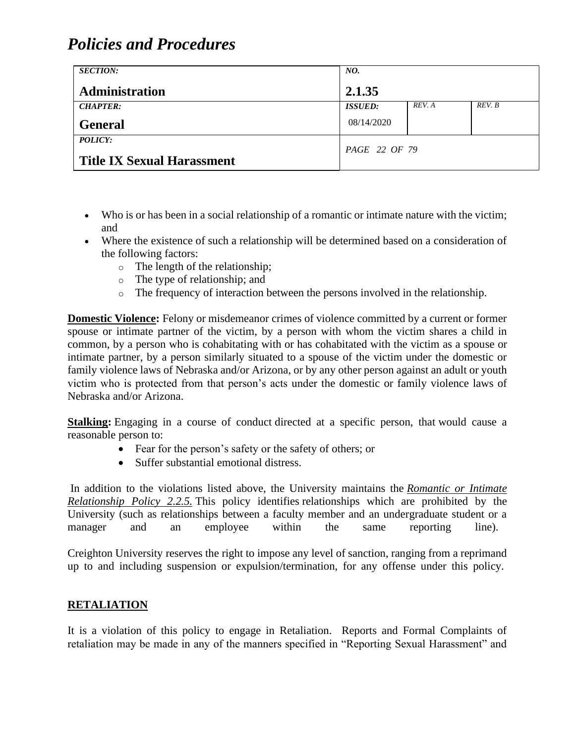| <b>SECTION:</b>                   | NO.                   |        |        |
|-----------------------------------|-----------------------|--------|--------|
| Administration                    | 2.1.35                |        |        |
| <b>CHAPTER:</b>                   | <i><b>ISSUED:</b></i> | REV. A | REV. B |
| <b>General</b>                    | 08/14/2020            |        |        |
| <b>POLICY:</b>                    | PAGE 22 OF 79         |        |        |
| <b>Title IX Sexual Harassment</b> |                       |        |        |

- Who is or has been in a social relationship of a romantic or intimate nature with the victim; and
- Where the existence of such a relationship will be determined based on a consideration of the following factors:
	- o The length of the relationship;
	- o The type of relationship; and
	- o The frequency of interaction between the persons involved in the relationship.

**Domestic Violence:** Felony or misdemeanor crimes of violence committed by a current or former spouse or intimate partner of the victim, by a person with whom the victim shares a child in common, by a person who is cohabitating with or has cohabitated with the victim as a spouse or intimate partner, by a person similarly situated to a spouse of the victim under the domestic or family violence laws of Nebraska and/or Arizona, or by any other person against an adult or youth victim who is protected from that person's acts under the domestic or family violence laws of Nebraska and/or Arizona.

**Stalking:** Engaging in a course of conduct directed at a specific person, that would cause a reasonable person to:

- Fear for the person's safety or the safety of others; or
- Suffer substantial emotional distress.

In addition to the violations listed above, the University maintains the *[Romantic or Intimate](https://www.creighton.edu/fileadmin/user/GeneralCounsel/docs/2.2.5._Romantic_or_Intimate_Relationship__new_name_-_rev_4-20-2020.pdf)  [Relationship Policy 2.2.5.](https://www.creighton.edu/fileadmin/user/GeneralCounsel/docs/2.2.5._Romantic_or_Intimate_Relationship__new_name_-_rev_4-20-2020.pdf)* This policy identifies relationships which are prohibited by the University (such as relationships between a faculty member and an undergraduate student or a manager and an employee within the same reporting line).

Creighton University reserves the right to impose any level of sanction, ranging from a reprimand up to and including suspension or expulsion/termination, for any offense under this policy.

### **RETALIATION**

It is a violation of this policy to engage in Retaliation. Reports and Formal Complaints of retaliation may be made in any of the manners specified in "Reporting Sexual Harassment" and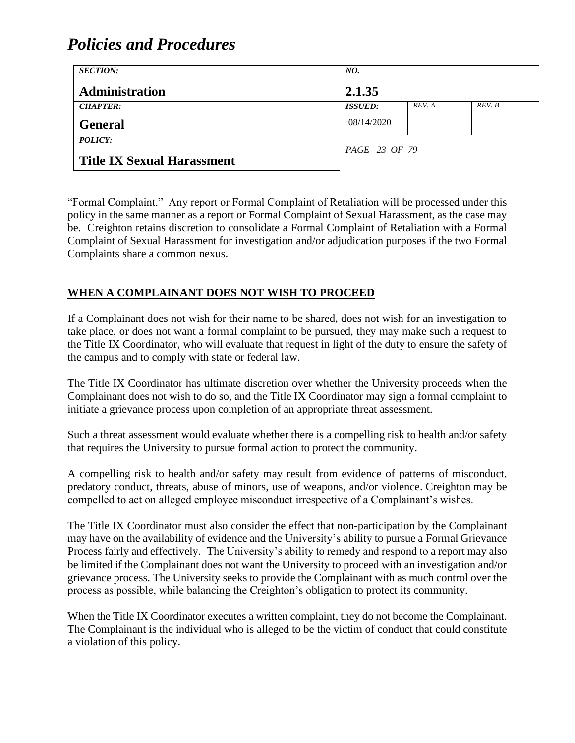| <b>SECTION:</b>                              | NO.            |        |        |
|----------------------------------------------|----------------|--------|--------|
| <b>Administration</b>                        | 2.1.35         |        |        |
| <b>CHAPTER:</b>                              | <b>ISSUED:</b> | REV. A | REV. B |
| <b>General</b>                               | 08/14/2020     |        |        |
| POLICY:<br><b>Title IX Sexual Harassment</b> | PAGE 23 OF 79  |        |        |

"Formal Complaint." Any report or Formal Complaint of Retaliation will be processed under this policy in the same manner as a report or Formal Complaint of Sexual Harassment, as the case may be. Creighton retains discretion to consolidate a Formal Complaint of Retaliation with a Formal Complaint of Sexual Harassment for investigation and/or adjudication purposes if the two Formal Complaints share a common nexus.

### **WHEN A COMPLAINANT DOES NOT WISH TO PROCEED**

If a Complainant does not wish for their name to be shared, does not wish for an investigation to take place, or does not want a formal complaint to be pursued, they may make such a request to the Title IX Coordinator, who will evaluate that request in light of the duty to ensure the safety of the campus and to comply with state or federal law.

The Title IX Coordinator has ultimate discretion over whether the University proceeds when the Complainant does not wish to do so, and the Title IX Coordinator may sign a formal complaint to initiate a grievance process upon completion of an appropriate threat assessment.

Such a threat assessment would evaluate whether there is a compelling risk to health and/or safety that requires the University to pursue formal action to protect the community.

A compelling risk to health and/or safety may result from evidence of patterns of misconduct, predatory conduct, threats, abuse of minors, use of weapons, and/or violence. Creighton may be compelled to act on alleged employee misconduct irrespective of a Complainant's wishes.

The Title IX Coordinator must also consider the effect that non-participation by the Complainant may have on the availability of evidence and the University's ability to pursue a Formal Grievance Process fairly and effectively. The University's ability to remedy and respond to a report may also be limited if the Complainant does not want the University to proceed with an investigation and/or grievance process. The University seeks to provide the Complainant with as much control over the process as possible, while balancing the Creighton's obligation to protect its community.

When the Title IX Coordinator executes a written complaint, they do not become the Complainant. The Complainant is the individual who is alleged to be the victim of conduct that could constitute a violation of this policy.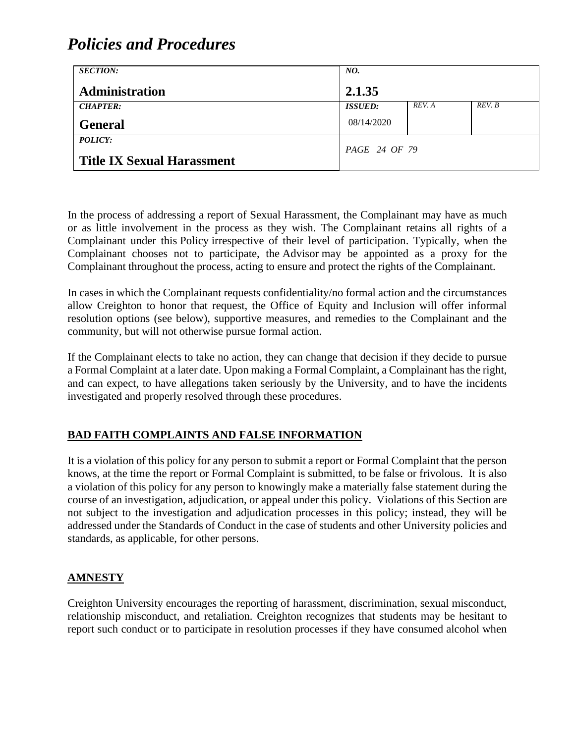| <b>SECTION:</b>                   | NO.            |        |        |
|-----------------------------------|----------------|--------|--------|
| <b>Administration</b>             | 2.1.35         |        |        |
| <b>CHAPTER:</b>                   | <b>ISSUED:</b> | REV. A | REV. B |
| <b>General</b>                    | 08/14/2020     |        |        |
| POLICY:                           | PAGE 24 OF 79  |        |        |
| <b>Title IX Sexual Harassment</b> |                |        |        |

In the process of addressing a report of Sexual Harassment, the Complainant may have as much or as little involvement in the process as they wish. The Complainant retains all rights of a Complainant under this Policy irrespective of their level of participation. Typically, when the Complainant chooses not to participate, the Advisor may be appointed as a proxy for the Complainant throughout the process, acting to ensure and protect the rights of the Complainant.

In cases in which the Complainant requests confidentiality/no formal action and the circumstances allow Creighton to honor that request, the Office of Equity and Inclusion will offer informal resolution options (see below), supportive measures, and remedies to the Complainant and the community, but will not otherwise pursue formal action.

If the Complainant elects to take no action, they can change that decision if they decide to pursue a Formal Complaint at a later date. Upon making a Formal Complaint, a Complainant has the right, and can expect, to have allegations taken seriously by the University, and to have the incidents investigated and properly resolved through these procedures.

### **BAD FAITH COMPLAINTS AND FALSE INFORMATION**

It is a violation of this policy for any person to submit a report or Formal Complaint that the person knows, at the time the report or Formal Complaint is submitted, to be false or frivolous. It is also a violation of this policy for any person to knowingly make a materially false statement during the course of an investigation, adjudication, or appeal under this policy. Violations of this Section are not subject to the investigation and adjudication processes in this policy; instead, they will be addressed under the Standards of Conduct in the case of students and other University policies and standards, as applicable, for other persons.

#### **AMNESTY**

Creighton University encourages the reporting of harassment, discrimination, sexual misconduct, relationship misconduct, and retaliation. Creighton recognizes that students may be hesitant to report such conduct or to participate in resolution processes if they have consumed alcohol when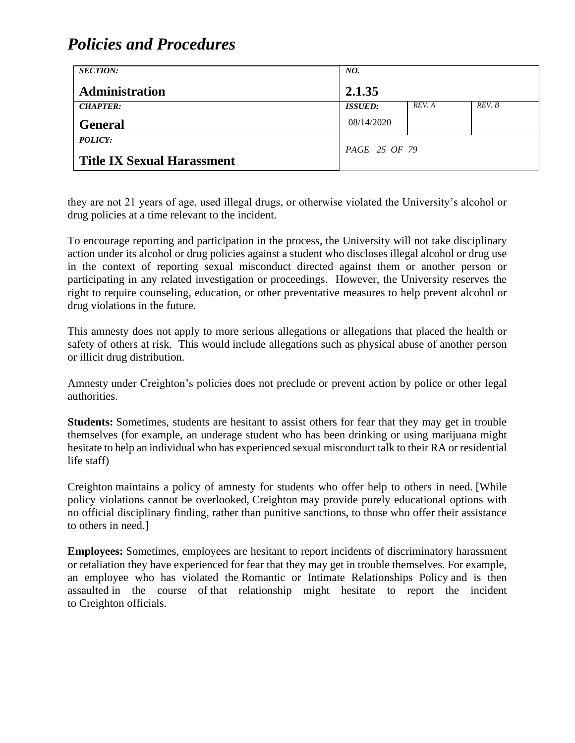| <b>SECTION:</b>                   | NO.            |        |        |
|-----------------------------------|----------------|--------|--------|
| <b>Administration</b>             | 2.1.35         |        |        |
| <b>CHAPTER:</b>                   | <b>ISSUED:</b> | REV. A | REV. B |
| <b>General</b>                    | 08/14/2020     |        |        |
| POLICY:                           | PAGE 25 OF 79  |        |        |
| <b>Title IX Sexual Harassment</b> |                |        |        |

they are not 21 years of age, used illegal drugs, or otherwise violated the University's alcohol or drug policies at a time relevant to the incident.

To encourage reporting and participation in the process, the University will not take disciplinary action under its alcohol or drug policies against a student who discloses illegal alcohol or drug use in the context of reporting sexual misconduct directed against them or another person or participating in any related investigation or proceedings. However, the University reserves the right to require counseling, education, or other preventative measures to help prevent alcohol or drug violations in the future.

This amnesty does not apply to more serious allegations or allegations that placed the health or safety of others at risk. This would include allegations such as physical abuse of another person or illicit drug distribution.

Amnesty under Creighton's policies does not preclude or prevent action by police or other legal authorities.

**Students:** Sometimes, students are hesitant to assist others for fear that they may get in trouble themselves (for example, an underage student who has been drinking or using marijuana might hesitate to help an individual who has experienced sexual misconduct talk to their RA or residential life staff)

Creighton maintains a policy of amnesty for students who offer help to others in need. [While policy violations cannot be overlooked, Creighton may provide purely educational options with no official disciplinary finding, rather than punitive sanctions, to those who offer their assistance to others in need.]

**Employees:** Sometimes, employees are hesitant to report incidents of discriminatory harassment or retaliation they have experienced for fear that they may get in trouble themselves. For example, an employee who has violated the Romantic or Intimate Relationships Policy and is then assaulted in the course of that relationship might hesitate to report the incident to Creighton officials.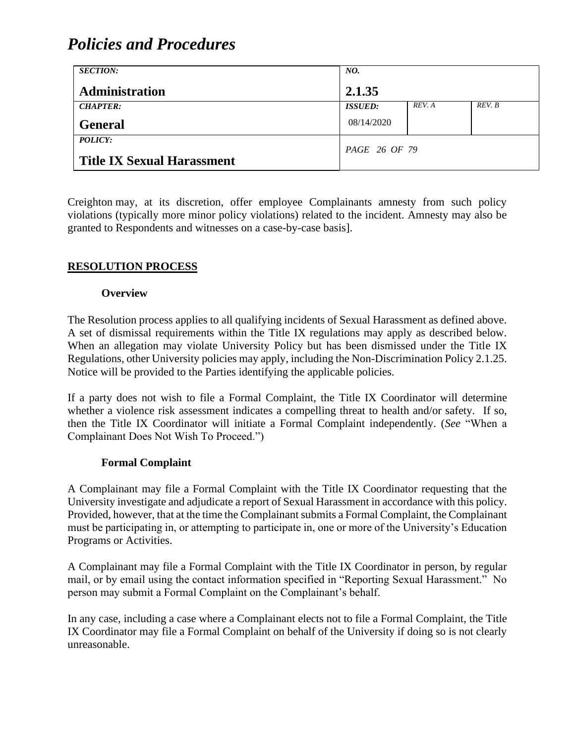| <b>SECTION:</b>                                     | NO.            |        |        |
|-----------------------------------------------------|----------------|--------|--------|
| Administration                                      | 2.1.35         |        |        |
| <b>CHAPTER:</b>                                     | <b>ISSUED:</b> | REV. A | REV. B |
| <b>General</b>                                      | 08/14/2020     |        |        |
| <b>POLICY:</b><br><b>Title IX Sexual Harassment</b> | PAGE 26 OF 79  |        |        |

Creighton may, at its discretion, offer employee Complainants amnesty from such policy violations (typically more minor policy violations) related to the incident. Amnesty may also be granted to Respondents and witnesses on a case-by-case basis].

### **RESOLUTION PROCESS**

#### **Overview**

The Resolution process applies to all qualifying incidents of Sexual Harassment as defined above. A set of dismissal requirements within the Title IX regulations may apply as described below. When an allegation may violate University Policy but has been dismissed under the Title IX Regulations, other University policies may apply, including the Non-Discrimination Policy 2.1.25. Notice will be provided to the Parties identifying the applicable policies.

If a party does not wish to file a Formal Complaint, the Title IX Coordinator will determine whether a violence risk assessment indicates a compelling threat to health and/or safety. If so, then the Title IX Coordinator will initiate a Formal Complaint independently. (*See* "When a Complainant Does Not Wish To Proceed.")

#### **Formal Complaint**

A Complainant may file a Formal Complaint with the Title IX Coordinator requesting that the University investigate and adjudicate a report of Sexual Harassment in accordance with this policy. Provided, however, that at the time the Complainant submits a Formal Complaint, the Complainant must be participating in, or attempting to participate in, one or more of the University's Education Programs or Activities.

A Complainant may file a Formal Complaint with the Title IX Coordinator in person, by regular mail, or by email using the contact information specified in "Reporting Sexual Harassment." No person may submit a Formal Complaint on the Complainant's behalf.

In any case, including a case where a Complainant elects not to file a Formal Complaint, the Title IX Coordinator may file a Formal Complaint on behalf of the University if doing so is not clearly unreasonable.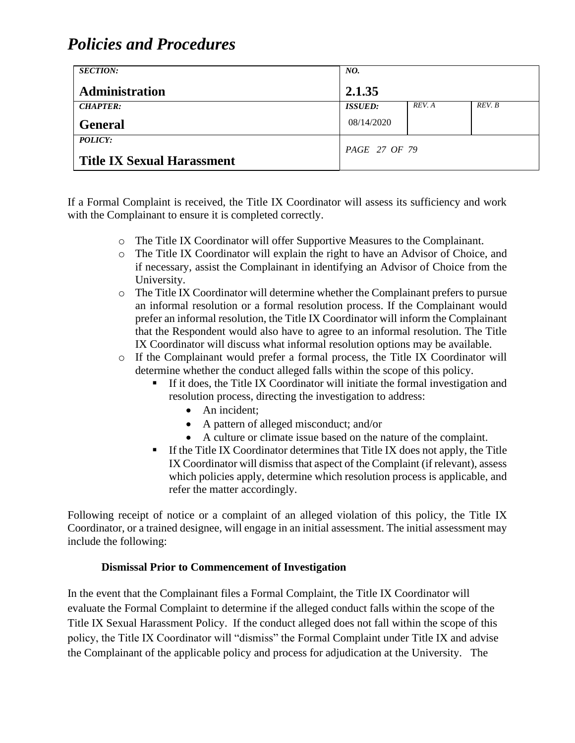| <b>SECTION:</b>                   | NO.            |        |        |
|-----------------------------------|----------------|--------|--------|
| <b>Administration</b>             | 2.1.35         |        |        |
| <b>CHAPTER:</b>                   | <b>ISSUED:</b> | REV. A | REV. B |
| <b>General</b>                    | 08/14/2020     |        |        |
| POLICY:                           | PAGE 27 OF 79  |        |        |
| <b>Title IX Sexual Harassment</b> |                |        |        |

If a Formal Complaint is received, the Title IX Coordinator will assess its sufficiency and work with the Complainant to ensure it is completed correctly.

- o The Title IX Coordinator will offer Supportive Measures to the Complainant.
- o The Title IX Coordinator will explain the right to have an Advisor of Choice, and if necessary, assist the Complainant in identifying an Advisor of Choice from the University.
- o The Title IX Coordinator will determine whether the Complainant prefers to pursue an informal resolution or a formal resolution process. If the Complainant would prefer an informal resolution, the Title IX Coordinator will inform the Complainant that the Respondent would also have to agree to an informal resolution. The Title IX Coordinator will discuss what informal resolution options may be available.
- o If the Complainant would prefer a formal process, the Title IX Coordinator will determine whether the conduct alleged falls within the scope of this policy.
	- If it does, the Title IX Coordinator will initiate the formal investigation and resolution process, directing the investigation to address:
		- An incident:
		- A pattern of alleged misconduct; and/or
		- A culture or climate issue based on the nature of the complaint.
	- $\blacksquare$  If the Title IX Coordinator determines that Title IX does not apply, the Title IX Coordinator will dismiss that aspect of the Complaint (if relevant), assess which policies apply, determine which resolution process is applicable, and refer the matter accordingly.

Following receipt of notice or a complaint of an alleged violation of this policy, the Title IX Coordinator, or a trained designee, will engage in an initial assessment. The initial assessment may include the following:

#### **Dismissal Prior to Commencement of Investigation**

In the event that the Complainant files a Formal Complaint, the Title IX Coordinator will evaluate the Formal Complaint to determine if the alleged conduct falls within the scope of the Title IX Sexual Harassment Policy. If the conduct alleged does not fall within the scope of this policy, the Title IX Coordinator will "dismiss" the Formal Complaint under Title IX and advise the Complainant of the applicable policy and process for adjudication at the University. The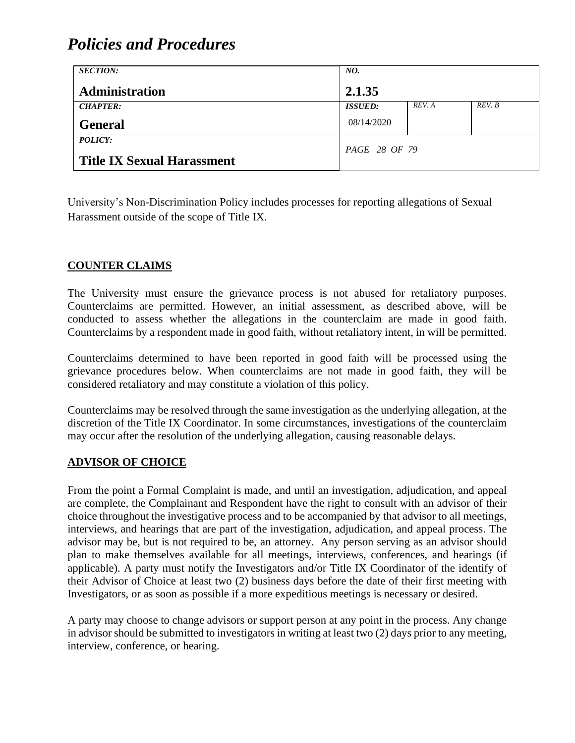| <b>SECTION:</b>                   | NO.            |        |        |
|-----------------------------------|----------------|--------|--------|
| <b>Administration</b>             | 2.1.35         |        |        |
| <b>CHAPTER:</b>                   | <b>ISSUED:</b> | REV. A | REV. B |
| <b>General</b>                    | 08/14/2020     |        |        |
| POLICY:                           |                |        |        |
| <b>Title IX Sexual Harassment</b> | PAGE 28 OF 79  |        |        |

University's Non-Discrimination Policy includes processes for reporting allegations of Sexual Harassment outside of the scope of Title IX.

### **COUNTER CLAIMS**

The University must ensure the grievance process is not abused for retaliatory purposes. Counterclaims are permitted. However, an initial assessment, as described above, will be conducted to assess whether the allegations in the counterclaim are made in good faith. Counterclaims by a respondent made in good faith, without retaliatory intent, in will be permitted.

Counterclaims determined to have been reported in good faith will be processed using the grievance procedures below. When counterclaims are not made in good faith, they will be considered retaliatory and may constitute a violation of this policy.

Counterclaims may be resolved through the same investigation as the underlying allegation, at the discretion of the Title IX Coordinator. In some circumstances, investigations of the counterclaim may occur after the resolution of the underlying allegation, causing reasonable delays.

#### **ADVISOR OF CHOICE**

From the point a Formal Complaint is made, and until an investigation, adjudication, and appeal are complete, the Complainant and Respondent have the right to consult with an advisor of their choice throughout the investigative process and to be accompanied by that advisor to all meetings, interviews, and hearings that are part of the investigation, adjudication, and appeal process. The advisor may be, but is not required to be, an attorney. Any person serving as an advisor should plan to make themselves available for all meetings, interviews, conferences, and hearings (if applicable). A party must notify the Investigators and/or Title IX Coordinator of the identify of their Advisor of Choice at least two (2) business days before the date of their first meeting with Investigators, or as soon as possible if a more expeditious meetings is necessary or desired.

A party may choose to change advisors or support person at any point in the process. Any change in advisor should be submitted to investigators in writing at least two (2) days prior to any meeting, interview, conference, or hearing.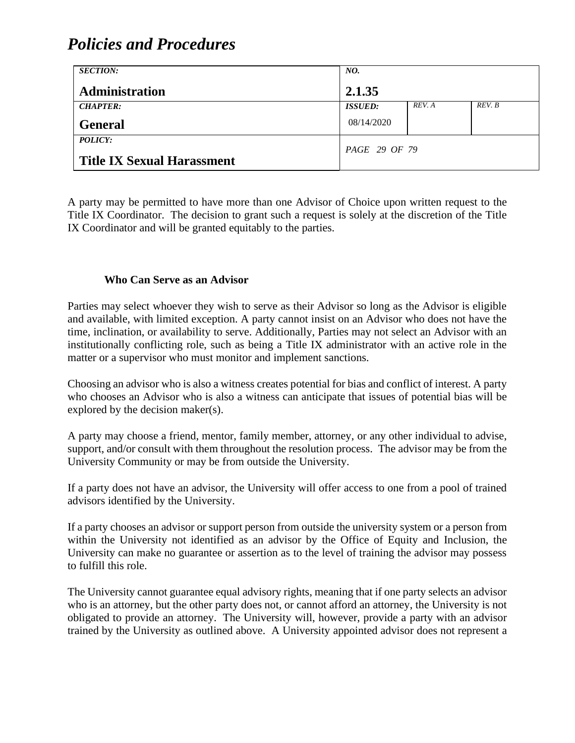| <b>SECTION:</b>                                     | NO.                  |        |        |
|-----------------------------------------------------|----------------------|--------|--------|
| <b>Administration</b>                               | 2.1.35               |        |        |
| <b>CHAPTER:</b>                                     | <b>ISSUED:</b>       | REV. A | REV. B |
| <b>General</b>                                      | 08/14/2020           |        |        |
| <i>POLICY:</i><br><b>Title IX Sexual Harassment</b> | <i>PAGE 29 OF 79</i> |        |        |

A party may be permitted to have more than one Advisor of Choice upon written request to the Title IX Coordinator. The decision to grant such a request is solely at the discretion of the Title IX Coordinator and will be granted equitably to the parties.

#### **Who Can Serve as an Advisor**

Parties may select whoever they wish to serve as their Advisor so long as the Advisor is eligible and available, with limited exception. A party cannot insist on an Advisor who does not have the time, inclination, or availability to serve. Additionally, Parties may not select an Advisor with an institutionally conflicting role, such as being a Title IX administrator with an active role in the matter or a supervisor who must monitor and implement sanctions.

Choosing an advisor who is also a witness creates potential for bias and conflict of interest. A party who chooses an Advisor who is also a witness can anticipate that issues of potential bias will be explored by the decision maker(s).

A party may choose a friend, mentor, family member, attorney, or any other individual to advise, support, and/or consult with them throughout the resolution process. The advisor may be from the University Community or may be from outside the University.

If a party does not have an advisor, the University will offer access to one from a pool of trained advisors identified by the University.

If a party chooses an advisor or support person from outside the university system or a person from within the University not identified as an advisor by the Office of Equity and Inclusion, the University can make no guarantee or assertion as to the level of training the advisor may possess to fulfill this role.

The University cannot guarantee equal advisory rights, meaning that if one party selects an advisor who is an attorney, but the other party does not, or cannot afford an attorney, the University is not obligated to provide an attorney. The University will, however, provide a party with an advisor trained by the University as outlined above. A University appointed advisor does not represent a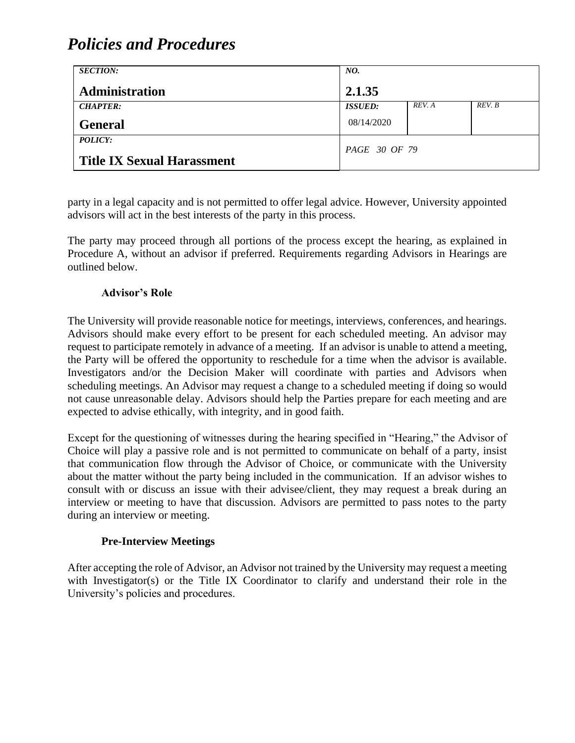| <b>SECTION:</b>                   | NO.            |        |        |
|-----------------------------------|----------------|--------|--------|
| <b>Administration</b>             | 2.1.35         |        |        |
| <b>CHAPTER:</b>                   | <b>ISSUED:</b> | REV. A | REV. B |
| <b>General</b>                    | 08/14/2020     |        |        |
| <i>POLICY:</i>                    | PAGE 30 OF 79  |        |        |
| <b>Title IX Sexual Harassment</b> |                |        |        |

party in a legal capacity and is not permitted to offer legal advice. However, University appointed advisors will act in the best interests of the party in this process.

The party may proceed through all portions of the process except the hearing, as explained in Procedure A, without an advisor if preferred. Requirements regarding Advisors in Hearings are outlined below.

#### **Advisor's Role**

The University will provide reasonable notice for meetings, interviews, conferences, and hearings. Advisors should make every effort to be present for each scheduled meeting. An advisor may request to participate remotely in advance of a meeting. If an advisor is unable to attend a meeting, the Party will be offered the opportunity to reschedule for a time when the advisor is available. Investigators and/or the Decision Maker will coordinate with parties and Advisors when scheduling meetings. An Advisor may request a change to a scheduled meeting if doing so would not cause unreasonable delay. Advisors should help the Parties prepare for each meeting and are expected to advise ethically, with integrity, and in good faith.

Except for the questioning of witnesses during the hearing specified in "Hearing," the Advisor of Choice will play a passive role and is not permitted to communicate on behalf of a party, insist that communication flow through the Advisor of Choice, or communicate with the University about the matter without the party being included in the communication. If an advisor wishes to consult with or discuss an issue with their advisee/client, they may request a break during an interview or meeting to have that discussion. Advisors are permitted to pass notes to the party during an interview or meeting.

#### **Pre-Interview Meetings**

After accepting the role of Advisor, an Advisor not trained by the University may request a meeting with Investigator(s) or the Title IX Coordinator to clarify and understand their role in the University's policies and procedures.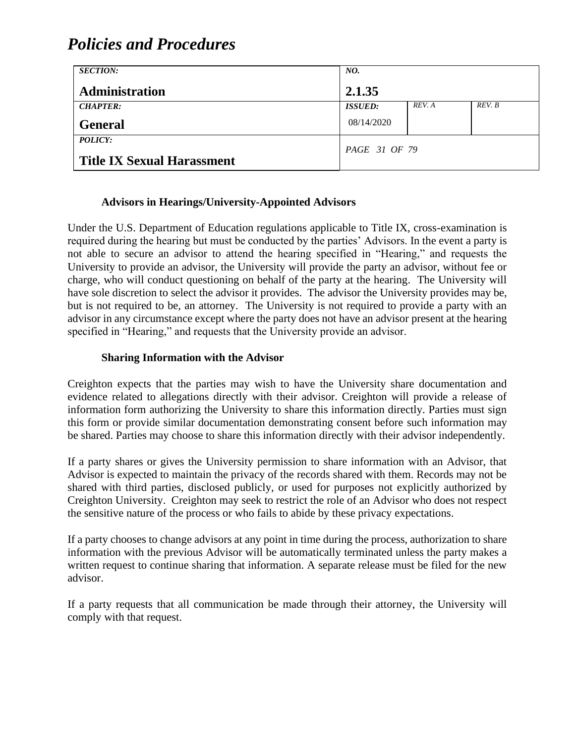| <b>SECTION:</b>                   | NO.            |        |        |
|-----------------------------------|----------------|--------|--------|
| <b>Administration</b>             | 2.1.35         |        |        |
| <b>CHAPTER:</b>                   | <b>ISSUED:</b> | REV. A | REV. B |
| <b>General</b>                    | 08/14/2020     |        |        |
| <i>POLICY:</i>                    |                |        |        |
| <b>Title IX Sexual Harassment</b> | PAGE 31 OF 79  |        |        |

#### **Advisors in Hearings/University-Appointed Advisors**

Under the U.S. Department of Education regulations applicable to Title IX, cross-examination is required during the hearing but must be conducted by the parties' Advisors. In the event a party is not able to secure an advisor to attend the hearing specified in "Hearing," and requests the University to provide an advisor, the University will provide the party an advisor, without fee or charge, who will conduct questioning on behalf of the party at the hearing. The University will have sole discretion to select the advisor it provides. The advisor the University provides may be, but is not required to be, an attorney. The University is not required to provide a party with an advisor in any circumstance except where the party does not have an advisor present at the hearing specified in "Hearing," and requests that the University provide an advisor.

#### **Sharing Information with the Advisor**

Creighton expects that the parties may wish to have the University share documentation and evidence related to allegations directly with their advisor. Creighton will provide a release of information form authorizing the University to share this information directly. Parties must sign this form or provide similar documentation demonstrating consent before such information may be shared. Parties may choose to share this information directly with their advisor independently.

If a party shares or gives the University permission to share information with an Advisor, that Advisor is expected to maintain the privacy of the records shared with them. Records may not be shared with third parties, disclosed publicly, or used for purposes not explicitly authorized by Creighton University. Creighton may seek to restrict the role of an Advisor who does not respect the sensitive nature of the process or who fails to abide by these privacy expectations.

If a party chooses to change advisors at any point in time during the process, authorization to share information with the previous Advisor will be automatically terminated unless the party makes a written request to continue sharing that information. A separate release must be filed for the new advisor.

If a party requests that all communication be made through their attorney, the University will comply with that request.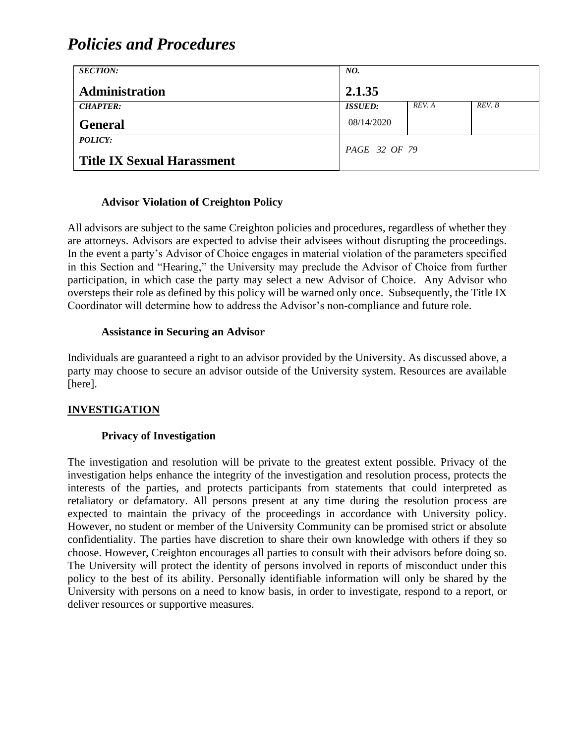| <b>SECTION:</b>                   | NO.            |        |        |
|-----------------------------------|----------------|--------|--------|
| <b>Administration</b>             | 2.1.35         |        |        |
| <b>CHAPTER:</b>                   | <b>ISSUED:</b> | REV. A | REV. B |
| <b>General</b>                    | 08/14/2020     |        |        |
| POLICY:                           | PAGE 32 OF 79  |        |        |
| <b>Title IX Sexual Harassment</b> |                |        |        |

#### **Advisor Violation of Creighton Policy**

All advisors are subject to the same Creighton policies and procedures, regardless of whether they are attorneys. Advisors are expected to advise their advisees without disrupting the proceedings. In the event a party's Advisor of Choice engages in material violation of the parameters specified in this Section and "Hearing," the University may preclude the Advisor of Choice from further participation, in which case the party may select a new Advisor of Choice. Any Advisor who oversteps their role as defined by this policy will be warned only once. Subsequently, the Title IX Coordinator will determine how to address the Advisor's non-compliance and future role.

#### **Assistance in Securing an Advisor**

Individuals are guaranteed a right to an advisor provided by the University. As discussed above, a party may choose to secure an advisor outside of the University system. Resources are available [here].

#### **INVESTIGATION**

#### **Privacy of Investigation**

The investigation and resolution will be private to the greatest extent possible. Privacy of the investigation helps enhance the integrity of the investigation and resolution process, protects the interests of the parties, and protects participants from statements that could interpreted as retaliatory or defamatory. All persons present at any time during the resolution process are expected to maintain the privacy of the proceedings in accordance with University policy. However, no student or member of the University Community can be promised strict or absolute confidentiality. The parties have discretion to share their own knowledge with others if they so choose. However, Creighton encourages all parties to consult with their advisors before doing so. The University will protect the identity of persons involved in reports of misconduct under this policy to the best of its ability. Personally identifiable information will only be shared by the University with persons on a need to know basis, in order to investigate, respond to a report, or deliver resources or supportive measures.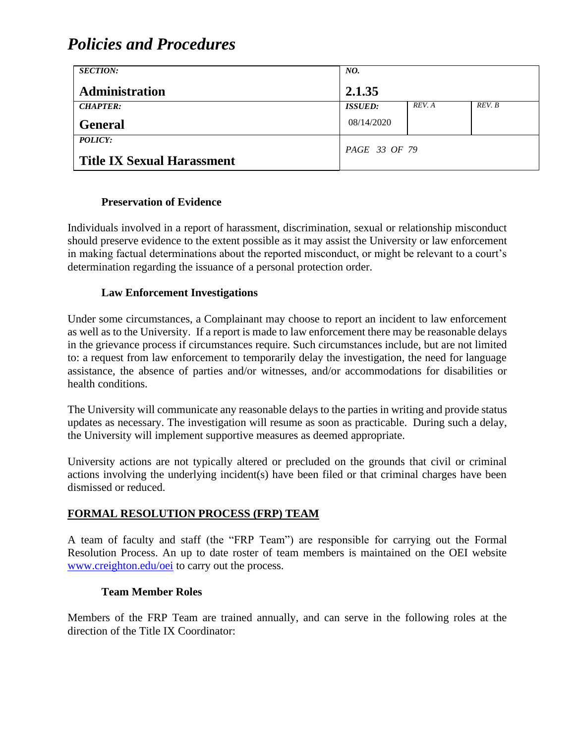| <b>SECTION:</b>                   | NO.            |        |        |
|-----------------------------------|----------------|--------|--------|
| <b>Administration</b>             | 2.1.35         |        |        |
| <b>CHAPTER:</b>                   | <b>ISSUED:</b> | REV. A | REV. B |
| <b>General</b>                    | 08/14/2020     |        |        |
| <i>POLICY:</i>                    | PAGE 33 OF 79  |        |        |
| <b>Title IX Sexual Harassment</b> |                |        |        |

#### **Preservation of Evidence**

Individuals involved in a report of harassment, discrimination, sexual or relationship misconduct should preserve evidence to the extent possible as it may assist the University or law enforcement in making factual determinations about the reported misconduct, or might be relevant to a court's determination regarding the issuance of a personal protection order.

#### **Law Enforcement Investigations**

Under some circumstances, a Complainant may choose to report an incident to law enforcement as well as to the University. If a report is made to law enforcement there may be reasonable delays in the grievance process if circumstances require. Such circumstances include, but are not limited to: a request from law enforcement to temporarily delay the investigation, the need for language assistance, the absence of parties and/or witnesses, and/or accommodations for disabilities or health conditions.

The University will communicate any reasonable delays to the parties in writing and provide status updates as necessary. The investigation will resume as soon as practicable. During such a delay, the University will implement supportive measures as deemed appropriate.

University actions are not typically altered or precluded on the grounds that civil or criminal actions involving the underlying incident(s) have been filed or that criminal charges have been dismissed or reduced.

#### **FORMAL RESOLUTION PROCESS (FRP) TEAM**

A team of faculty and staff (the "FRP Team") are responsible for carrying out the Formal Resolution Process. An up to date roster of team members is maintained on the OEI website [www.creighton.edu/oei](http://www.creighton.edu/oei) to carry out the process.

#### **Team Member Roles**

Members of the FRP Team are trained annually, and can serve in the following roles at the direction of the Title IX Coordinator: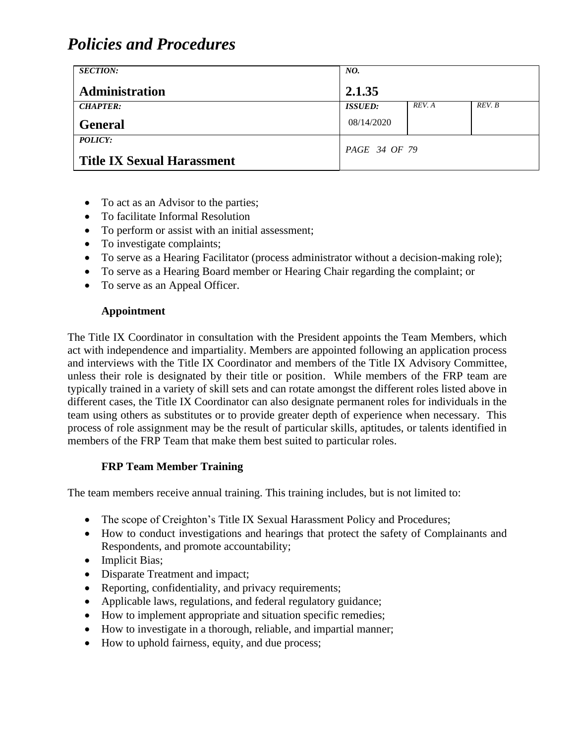| <b>SECTION:</b>                                     | NO.            |        |        |
|-----------------------------------------------------|----------------|--------|--------|
| Administration                                      | 2.1.35         |        |        |
| <b>CHAPTER:</b>                                     | <b>ISSUED:</b> | REV. A | REV. B |
| <b>General</b>                                      | 08/14/2020     |        |        |
| <b>POLICY:</b><br><b>Title IX Sexual Harassment</b> | PAGE 34 OF 79  |        |        |

- To act as an Advisor to the parties;
- To facilitate Informal Resolution
- To perform or assist with an initial assessment;
- To investigate complaints;
- To serve as a Hearing Facilitator (process administrator without a decision-making role);
- To serve as a Hearing Board member or Hearing Chair regarding the complaint; or
- To serve as an Appeal Officer.

#### **Appointment**

The Title IX Coordinator in consultation with the President appoints the Team Members, which act with independence and impartiality. Members are appointed following an application process and interviews with the Title IX Coordinator and members of the Title IX Advisory Committee, unless their role is designated by their title or position. While members of the FRP team are typically trained in a variety of skill sets and can rotate amongst the different roles listed above in different cases, the Title IX Coordinator can also designate permanent roles for individuals in the team using others as substitutes or to provide greater depth of experience when necessary. This process of role assignment may be the result of particular skills, aptitudes, or talents identified in members of the FRP Team that make them best suited to particular roles.

#### **FRP Team Member Training**

The team members receive annual training. This training includes, but is not limited to:

- The scope of Creighton's Title IX Sexual Harassment Policy and Procedures;
- How to conduct investigations and hearings that protect the safety of Complainants and Respondents, and promote accountability;
- Implicit Bias;
- Disparate Treatment and impact;
- Reporting, confidentiality, and privacy requirements;
- Applicable laws, regulations, and federal regulatory guidance;
- How to implement appropriate and situation specific remedies;
- How to investigate in a thorough, reliable, and impartial manner;
- How to uphold fairness, equity, and due process;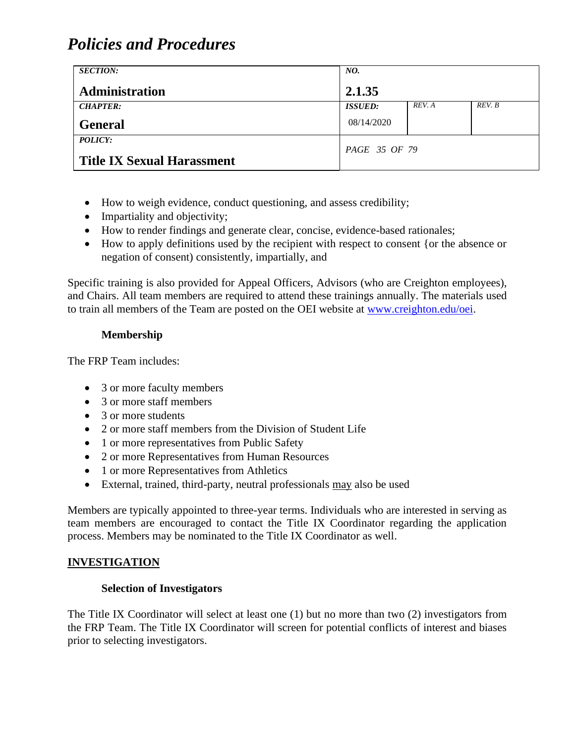| <b>SECTION:</b>                   | NO.                   |        |        |
|-----------------------------------|-----------------------|--------|--------|
| Administration                    | 2.1.35                |        |        |
| <b>CHAPTER:</b>                   | <i><b>ISSUED:</b></i> | REV. A | REV. B |
| <b>General</b>                    | 08/14/2020            |        |        |
| <b>POLICY:</b>                    | <i>PAGE 35 OF 79</i>  |        |        |
| <b>Title IX Sexual Harassment</b> |                       |        |        |

- How to weigh evidence, conduct questioning, and assess credibility;
- Impartiality and objectivity;
- How to render findings and generate clear, concise, evidence-based rationales;
- How to apply definitions used by the recipient with respect to consent {or the absence or negation of consent) consistently, impartially, and

Specific training is also provided for Appeal Officers, Advisors (who are Creighton employees), and Chairs. All team members are required to attend these trainings annually. The materials used to train all members of the Team are posted on the OEI website at [www.creighton.edu/oei.](http://www.creighton.edu/oei)

### **Membership**

The FRP Team includes:

- 3 or more faculty members
- 3 or more staff members
- 3 or more students
- 2 or more staff members from the Division of Student Life
- 1 or more representatives from Public Safety
- 2 or more Representatives from Human Resources
- 1 or more Representatives from Athletics
- External, trained, third-party, neutral professionals may also be used

Members are typically appointed to three-year terms. Individuals who are interested in serving as team members are encouraged to contact the Title IX Coordinator regarding the application process. Members may be nominated to the Title IX Coordinator as well.

#### **INVESTIGATION**

#### **Selection of Investigators**

The Title IX Coordinator will select at least one (1) but no more than two (2) investigators from the FRP Team. The Title IX Coordinator will screen for potential conflicts of interest and biases prior to selecting investigators.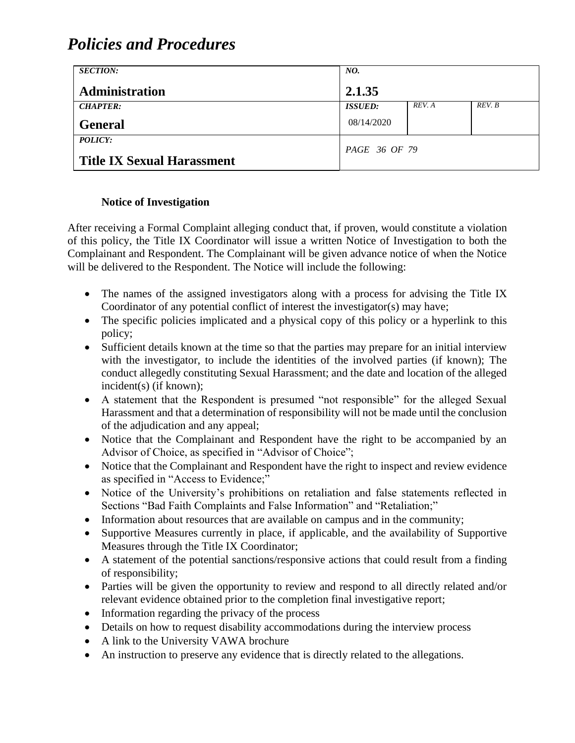| <b>SECTION:</b>                   | NO.                  |        |        |
|-----------------------------------|----------------------|--------|--------|
| <b>Administration</b>             | 2.1.35               |        |        |
| <b>CHAPTER:</b>                   | <b>ISSUED:</b>       | REV. A | REV. B |
| <b>General</b>                    | 08/14/2020           |        |        |
| POLICY:                           | <i>PAGE 36 OF 79</i> |        |        |
| <b>Title IX Sexual Harassment</b> |                      |        |        |

### **Notice of Investigation**

After receiving a Formal Complaint alleging conduct that, if proven, would constitute a violation of this policy, the Title IX Coordinator will issue a written Notice of Investigation to both the Complainant and Respondent. The Complainant will be given advance notice of when the Notice will be delivered to the Respondent. The Notice will include the following:

- The names of the assigned investigators along with a process for advising the Title IX Coordinator of any potential conflict of interest the investigator(s) may have;
- The specific policies implicated and a physical copy of this policy or a hyperlink to this policy;
- Sufficient details known at the time so that the parties may prepare for an initial interview with the investigator, to include the identities of the involved parties (if known); The conduct allegedly constituting Sexual Harassment; and the date and location of the alleged incident(s) (if known);
- A statement that the Respondent is presumed "not responsible" for the alleged Sexual Harassment and that a determination of responsibility will not be made until the conclusion of the adjudication and any appeal;
- Notice that the Complainant and Respondent have the right to be accompanied by an Advisor of Choice, as specified in "Advisor of Choice";
- Notice that the Complainant and Respondent have the right to inspect and review evidence as specified in "Access to Evidence;"
- Notice of the University's prohibitions on retaliation and false statements reflected in Sections "Bad Faith Complaints and False Information" and "Retaliation;"
- Information about resources that are available on campus and in the community;
- Supportive Measures currently in place, if applicable, and the availability of Supportive Measures through the Title IX Coordinator;
- A statement of the potential sanctions/responsive actions that could result from a finding of responsibility;
- Parties will be given the opportunity to review and respond to all directly related and/or relevant evidence obtained prior to the completion final investigative report;
- Information regarding the privacy of the process
- Details on how to request disability accommodations during the interview process
- A link to the University VAWA brochure
- An instruction to preserve any evidence that is directly related to the allegations.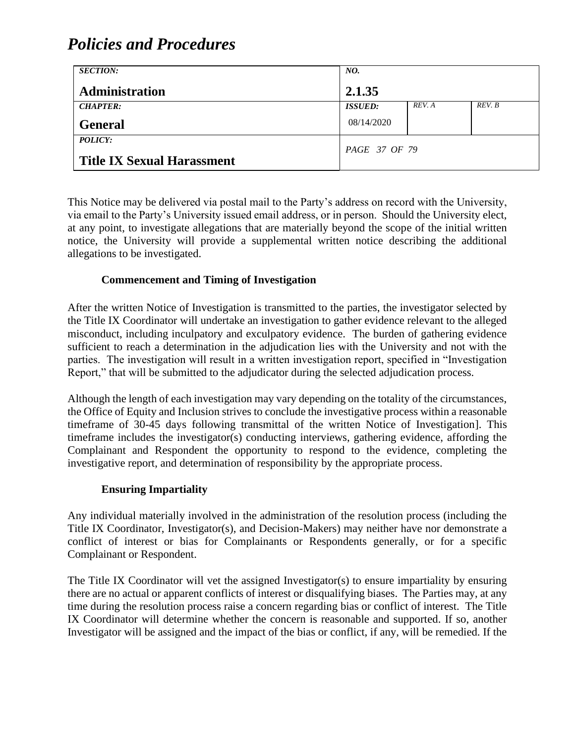| <b>SECTION:</b>                   | NO.            |        |        |
|-----------------------------------|----------------|--------|--------|
| <b>Administration</b>             | 2.1.35         |        |        |
| <b>CHAPTER:</b>                   | <b>ISSUED:</b> | REV. A | REV. B |
| <b>General</b>                    | 08/14/2020     |        |        |
| <b>POLICY:</b>                    | PAGE 37 OF 79  |        |        |
| <b>Title IX Sexual Harassment</b> |                |        |        |

This Notice may be delivered via postal mail to the Party's address on record with the University, via email to the Party's University issued email address, or in person. Should the University elect, at any point, to investigate allegations that are materially beyond the scope of the initial written notice, the University will provide a supplemental written notice describing the additional allegations to be investigated.

#### **Commencement and Timing of Investigation**

After the written Notice of Investigation is transmitted to the parties, the investigator selected by the Title IX Coordinator will undertake an investigation to gather evidence relevant to the alleged misconduct, including inculpatory and exculpatory evidence. The burden of gathering evidence sufficient to reach a determination in the adjudication lies with the University and not with the parties. The investigation will result in a written investigation report, specified in "Investigation Report," that will be submitted to the adjudicator during the selected adjudication process.

Although the length of each investigation may vary depending on the totality of the circumstances, the Office of Equity and Inclusion strives to conclude the investigative process within a reasonable timeframe of 30-45 days following transmittal of the written Notice of Investigation]. This timeframe includes the investigator(s) conducting interviews, gathering evidence, affording the Complainant and Respondent the opportunity to respond to the evidence, completing the investigative report, and determination of responsibility by the appropriate process.

#### **Ensuring Impartiality**

Any individual materially involved in the administration of the resolution process (including the Title IX Coordinator, Investigator(s), and Decision-Makers) may neither have nor demonstrate a conflict of interest or bias for Complainants or Respondents generally, or for a specific Complainant or Respondent.

The Title IX Coordinator will vet the assigned Investigator(s) to ensure impartiality by ensuring there are no actual or apparent conflicts of interest or disqualifying biases. The Parties may, at any time during the resolution process raise a concern regarding bias or conflict of interest. The Title IX Coordinator will determine whether the concern is reasonable and supported. If so, another Investigator will be assigned and the impact of the bias or conflict, if any, will be remedied. If the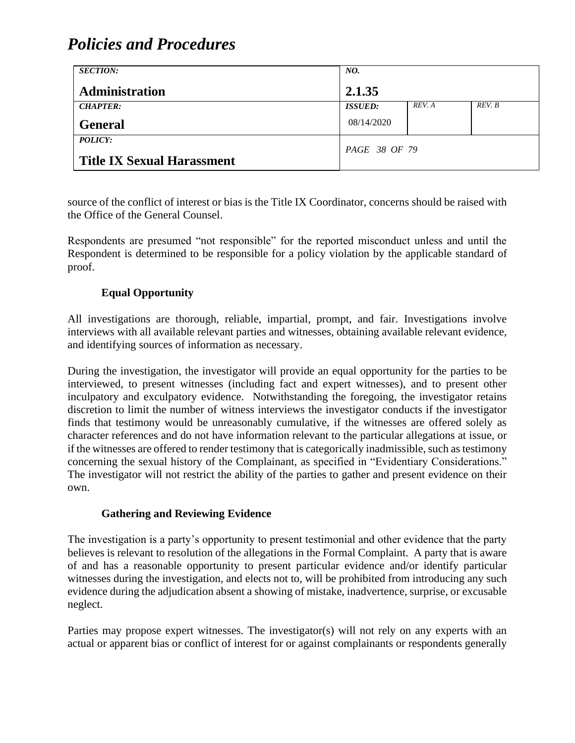| <b>SECTION:</b>                   | NO.            |        |        |
|-----------------------------------|----------------|--------|--------|
| <b>Administration</b>             | 2.1.35         |        |        |
| <b>CHAPTER:</b>                   | <b>ISSUED:</b> | REV. A | REV. B |
| <b>General</b>                    | 08/14/2020     |        |        |
| <b>POLICY:</b>                    | PAGE 38 OF 79  |        |        |
| <b>Title IX Sexual Harassment</b> |                |        |        |

source of the conflict of interest or bias is the Title IX Coordinator, concerns should be raised with the Office of the General Counsel.

Respondents are presumed "not responsible" for the reported misconduct unless and until the Respondent is determined to be responsible for a policy violation by the applicable standard of proof.

#### **Equal Opportunity**

All investigations are thorough, reliable, impartial, prompt, and fair. Investigations involve interviews with all available relevant parties and witnesses, obtaining available relevant evidence, and identifying sources of information as necessary.

During the investigation, the investigator will provide an equal opportunity for the parties to be interviewed, to present witnesses (including fact and expert witnesses), and to present other inculpatory and exculpatory evidence. Notwithstanding the foregoing, the investigator retains discretion to limit the number of witness interviews the investigator conducts if the investigator finds that testimony would be unreasonably cumulative, if the witnesses are offered solely as character references and do not have information relevant to the particular allegations at issue, or if the witnesses are offered to render testimony that is categorically inadmissible, such as testimony concerning the sexual history of the Complainant, as specified in "Evidentiary Considerations." The investigator will not restrict the ability of the parties to gather and present evidence on their own.

#### **Gathering and Reviewing Evidence**

The investigation is a party's opportunity to present testimonial and other evidence that the party believes is relevant to resolution of the allegations in the Formal Complaint. A party that is aware of and has a reasonable opportunity to present particular evidence and/or identify particular witnesses during the investigation, and elects not to, will be prohibited from introducing any such evidence during the adjudication absent a showing of mistake, inadvertence, surprise, or excusable neglect.

Parties may propose expert witnesses. The investigator(s) will not rely on any experts with an actual or apparent bias or conflict of interest for or against complainants or respondents generally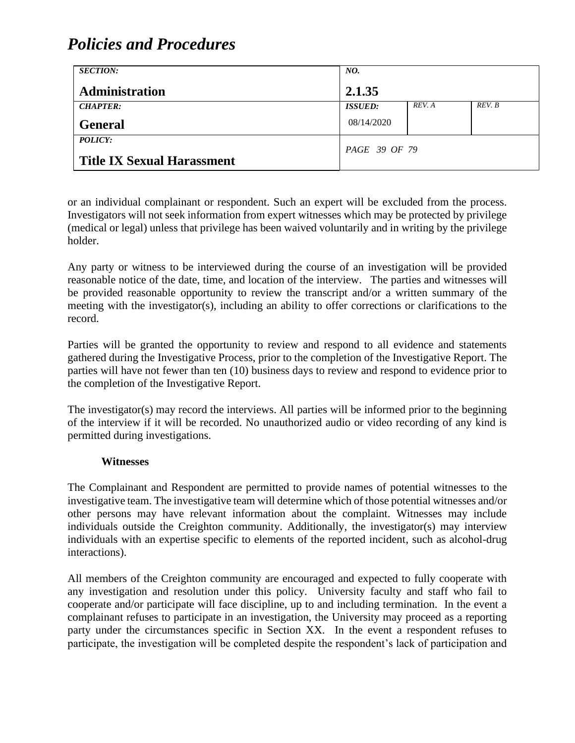| <b>SECTION:</b>                   | NO.                  |        |        |
|-----------------------------------|----------------------|--------|--------|
| <b>Administration</b>             | 2.1.35               |        |        |
| <b>CHAPTER:</b>                   | <b>ISSUED:</b>       | REV. A | REV. B |
| <b>General</b>                    | 08/14/2020           |        |        |
| POLICY:                           | <i>PAGE 39 OF 79</i> |        |        |
| <b>Title IX Sexual Harassment</b> |                      |        |        |

or an individual complainant or respondent. Such an expert will be excluded from the process. Investigators will not seek information from expert witnesses which may be protected by privilege (medical or legal) unless that privilege has been waived voluntarily and in writing by the privilege holder.

Any party or witness to be interviewed during the course of an investigation will be provided reasonable notice of the date, time, and location of the interview. The parties and witnesses will be provided reasonable opportunity to review the transcript and/or a written summary of the meeting with the investigator(s), including an ability to offer corrections or clarifications to the record.

Parties will be granted the opportunity to review and respond to all evidence and statements gathered during the Investigative Process, prior to the completion of the Investigative Report. The parties will have not fewer than ten (10) business days to review and respond to evidence prior to the completion of the Investigative Report.

The investigator(s) may record the interviews. All parties will be informed prior to the beginning of the interview if it will be recorded. No unauthorized audio or video recording of any kind is permitted during investigations.

#### **Witnesses**

The Complainant and Respondent are permitted to provide names of potential witnesses to the investigative team. The investigative team will determine which of those potential witnesses and/or other persons may have relevant information about the complaint. Witnesses may include individuals outside the Creighton community. Additionally, the investigator(s) may interview individuals with an expertise specific to elements of the reported incident, such as alcohol-drug interactions).

All members of the Creighton community are encouraged and expected to fully cooperate with any investigation and resolution under this policy. University faculty and staff who fail to cooperate and/or participate will face discipline, up to and including termination. In the event a complainant refuses to participate in an investigation, the University may proceed as a reporting party under the circumstances specific in Section XX. In the event a respondent refuses to participate, the investigation will be completed despite the respondent's lack of participation and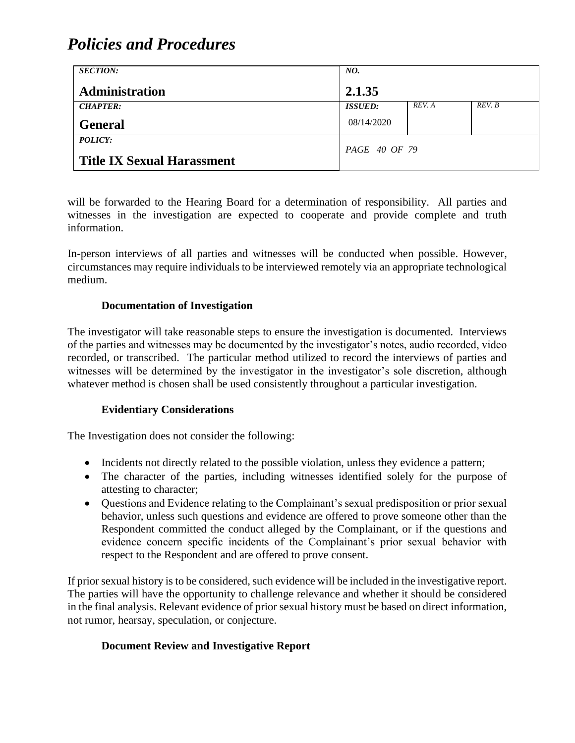| <b>SECTION:</b>                                     | NO.            |        |        |
|-----------------------------------------------------|----------------|--------|--------|
| <b>Administration</b>                               | 2.1.35         |        |        |
| <b>CHAPTER:</b>                                     | <b>ISSUED:</b> | REV. A | REV. B |
| <b>General</b>                                      | 08/14/2020     |        |        |
| <b>POLICY:</b><br><b>Title IX Sexual Harassment</b> | PAGE 40 OF 79  |        |        |

will be forwarded to the Hearing Board for a determination of responsibility. All parties and witnesses in the investigation are expected to cooperate and provide complete and truth information.

In-person interviews of all parties and witnesses will be conducted when possible. However, circumstances may require individuals to be interviewed remotely via an appropriate technological medium.

#### **Documentation of Investigation**

The investigator will take reasonable steps to ensure the investigation is documented. Interviews of the parties and witnesses may be documented by the investigator's notes, audio recorded, video recorded, or transcribed. The particular method utilized to record the interviews of parties and witnesses will be determined by the investigator in the investigator's sole discretion, although whatever method is chosen shall be used consistently throughout a particular investigation.

#### **Evidentiary Considerations**

The Investigation does not consider the following:

- Incidents not directly related to the possible violation, unless they evidence a pattern;
- The character of the parties, including witnesses identified solely for the purpose of attesting to character;
- Questions and Evidence relating to the Complainant's sexual predisposition or prior sexual behavior, unless such questions and evidence are offered to prove someone other than the Respondent committed the conduct alleged by the Complainant, or if the questions and evidence concern specific incidents of the Complainant's prior sexual behavior with respect to the Respondent and are offered to prove consent.

If prior sexual history is to be considered, such evidence will be included in the investigative report. The parties will have the opportunity to challenge relevance and whether it should be considered in the final analysis. Relevant evidence of prior sexual history must be based on direct information, not rumor, hearsay, speculation, or conjecture.

#### **Document Review and Investigative Report**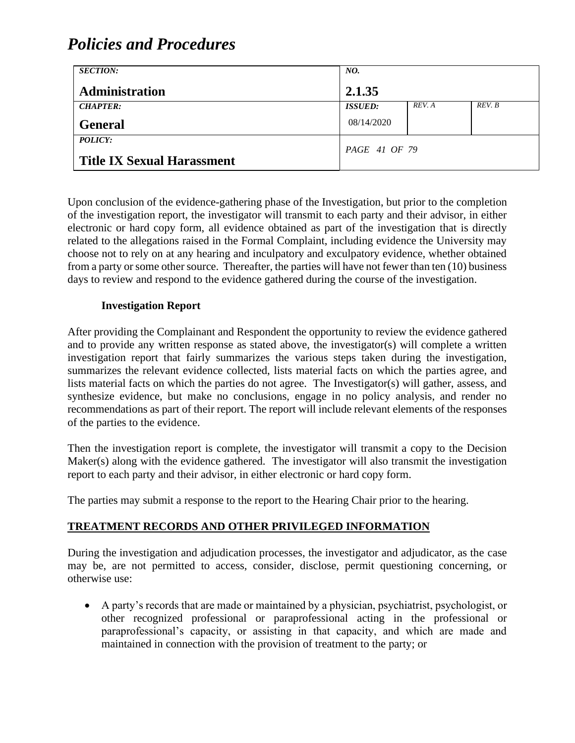| <b>SECTION:</b>                   | NO.            |        |        |
|-----------------------------------|----------------|--------|--------|
| Administration                    | 2.1.35         |        |        |
| <b>CHAPTER:</b>                   | <b>ISSUED:</b> | REV. A | REV. B |
| <b>General</b>                    | 08/14/2020     |        |        |
| <i>POLICY:</i>                    | PAGE 41 OF 79  |        |        |
| <b>Title IX Sexual Harassment</b> |                |        |        |

Upon conclusion of the evidence-gathering phase of the Investigation, but prior to the completion of the investigation report, the investigator will transmit to each party and their advisor, in either electronic or hard copy form, all evidence obtained as part of the investigation that is directly related to the allegations raised in the Formal Complaint, including evidence the University may choose not to rely on at any hearing and inculpatory and exculpatory evidence, whether obtained from a party or some other source. Thereafter, the parties will have not fewer than ten (10) business days to review and respond to the evidence gathered during the course of the investigation.

#### **Investigation Report**

After providing the Complainant and Respondent the opportunity to review the evidence gathered and to provide any written response as stated above, the investigator(s) will complete a written investigation report that fairly summarizes the various steps taken during the investigation, summarizes the relevant evidence collected, lists material facts on which the parties agree, and lists material facts on which the parties do not agree. The Investigator(s) will gather, assess, and synthesize evidence, but make no conclusions, engage in no policy analysis, and render no recommendations as part of their report. The report will include relevant elements of the responses of the parties to the evidence.

Then the investigation report is complete, the investigator will transmit a copy to the Decision Maker(s) along with the evidence gathered. The investigator will also transmit the investigation report to each party and their advisor, in either electronic or hard copy form.

The parties may submit a response to the report to the Hearing Chair prior to the hearing.

#### **TREATMENT RECORDS AND OTHER PRIVILEGED INFORMATION**

During the investigation and adjudication processes, the investigator and adjudicator, as the case may be, are not permitted to access, consider, disclose, permit questioning concerning, or otherwise use:

• A party's records that are made or maintained by a physician, psychiatrist, psychologist, or other recognized professional or paraprofessional acting in the professional or paraprofessional's capacity, or assisting in that capacity, and which are made and maintained in connection with the provision of treatment to the party; or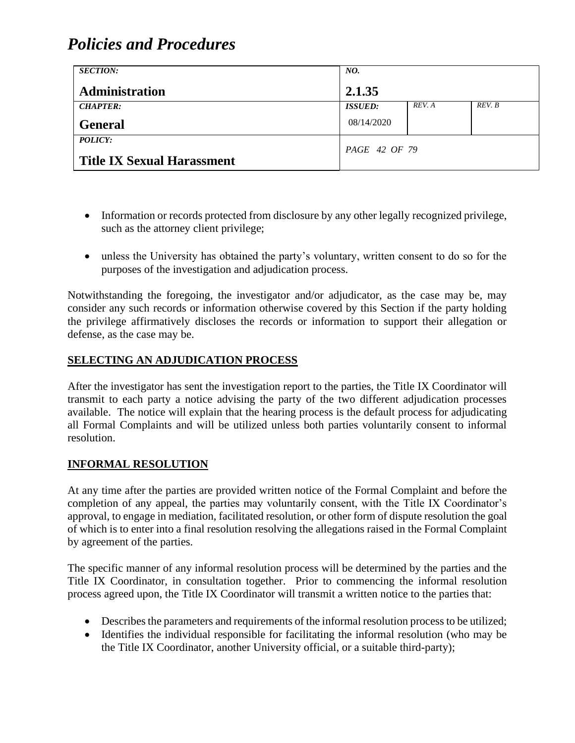| <b>SECTION:</b>                   | NO.                   |        |        |
|-----------------------------------|-----------------------|--------|--------|
| <b>Administration</b>             | 2.1.35                |        |        |
| <b>CHAPTER:</b>                   | <i><b>ISSUED:</b></i> | REV. A | REV. B |
| <b>General</b>                    | 08/14/2020            |        |        |
| <b>POLICY:</b>                    | PAGE 42 OF 79         |        |        |
| <b>Title IX Sexual Harassment</b> |                       |        |        |

- Information or records protected from disclosure by any other legally recognized privilege, such as the attorney client privilege;
- unless the University has obtained the party's voluntary, written consent to do so for the purposes of the investigation and adjudication process.

Notwithstanding the foregoing, the investigator and/or adjudicator, as the case may be, may consider any such records or information otherwise covered by this Section if the party holding the privilege affirmatively discloses the records or information to support their allegation or defense, as the case may be.

#### **SELECTING AN ADJUDICATION PROCESS**

After the investigator has sent the investigation report to the parties, the Title IX Coordinator will transmit to each party a notice advising the party of the two different adjudication processes available. The notice will explain that the hearing process is the default process for adjudicating all Formal Complaints and will be utilized unless both parties voluntarily consent to informal resolution.

#### **INFORMAL RESOLUTION**

At any time after the parties are provided written notice of the Formal Complaint and before the completion of any appeal, the parties may voluntarily consent, with the Title IX Coordinator's approval, to engage in mediation, facilitated resolution, or other form of dispute resolution the goal of which is to enter into a final resolution resolving the allegations raised in the Formal Complaint by agreement of the parties.

The specific manner of any informal resolution process will be determined by the parties and the Title IX Coordinator, in consultation together. Prior to commencing the informal resolution process agreed upon, the Title IX Coordinator will transmit a written notice to the parties that:

- Describes the parameters and requirements of the informal resolution process to be utilized;
- Identifies the individual responsible for facilitating the informal resolution (who may be the Title IX Coordinator, another University official, or a suitable third-party);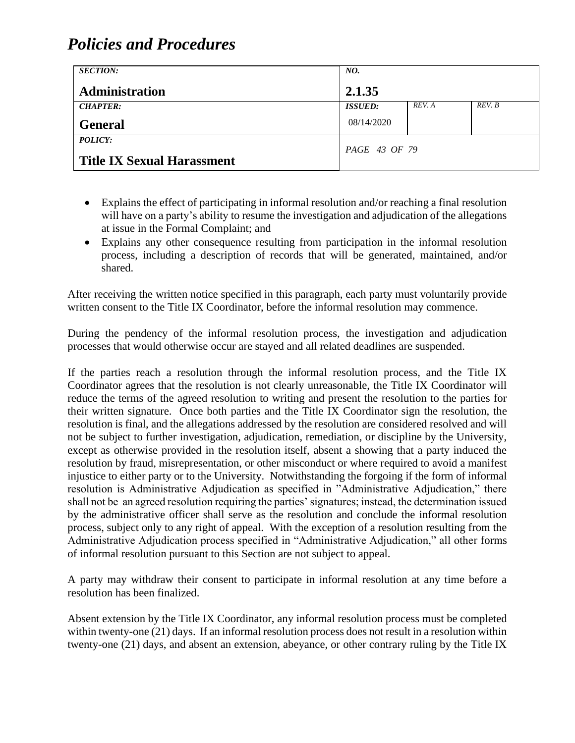| <b>SECTION:</b>                                     | NO.            |        |        |
|-----------------------------------------------------|----------------|--------|--------|
| Administration                                      | 2.1.35         |        |        |
| <b>CHAPTER:</b>                                     | <b>ISSUED:</b> | REV. A | REV. B |
| <b>General</b>                                      | 08/14/2020     |        |        |
| <b>POLICY:</b><br><b>Title IX Sexual Harassment</b> | PAGE 43 OF 79  |        |        |

- Explains the effect of participating in informal resolution and/or reaching a final resolution will have on a party's ability to resume the investigation and adjudication of the allegations at issue in the Formal Complaint; and
- Explains any other consequence resulting from participation in the informal resolution process, including a description of records that will be generated, maintained, and/or shared.

After receiving the written notice specified in this paragraph, each party must voluntarily provide written consent to the Title IX Coordinator, before the informal resolution may commence.

During the pendency of the informal resolution process, the investigation and adjudication processes that would otherwise occur are stayed and all related deadlines are suspended.

If the parties reach a resolution through the informal resolution process, and the Title IX Coordinator agrees that the resolution is not clearly unreasonable, the Title IX Coordinator will reduce the terms of the agreed resolution to writing and present the resolution to the parties for their written signature. Once both parties and the Title IX Coordinator sign the resolution, the resolution is final, and the allegations addressed by the resolution are considered resolved and will not be subject to further investigation, adjudication, remediation, or discipline by the University, except as otherwise provided in the resolution itself, absent a showing that a party induced the resolution by fraud, misrepresentation, or other misconduct or where required to avoid a manifest injustice to either party or to the University. Notwithstanding the forgoing if the form of informal resolution is Administrative Adjudication as specified in "Administrative Adjudication," there shall not be an agreed resolution requiring the parties' signatures; instead, the determination issued by the administrative officer shall serve as the resolution and conclude the informal resolution process, subject only to any right of appeal. With the exception of a resolution resulting from the Administrative Adjudication process specified in "Administrative Adjudication," all other forms of informal resolution pursuant to this Section are not subject to appeal.

A party may withdraw their consent to participate in informal resolution at any time before a resolution has been finalized.

Absent extension by the Title IX Coordinator, any informal resolution process must be completed within twenty-one (21) days. If an informal resolution process does not result in a resolution within twenty-one (21) days, and absent an extension, abeyance, or other contrary ruling by the Title IX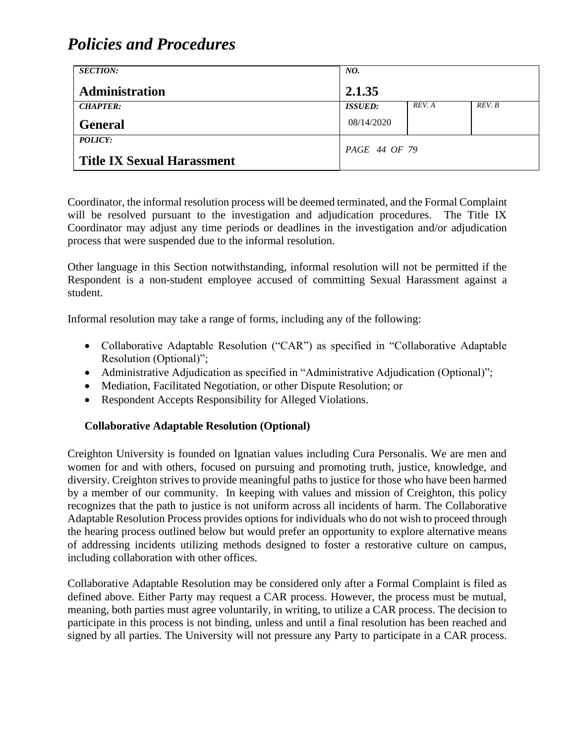| <b>SECTION:</b>                   | NO.                   |        |        |
|-----------------------------------|-----------------------|--------|--------|
| <b>Administration</b>             | 2.1.35                |        |        |
| <b>CHAPTER:</b>                   | <i><b>ISSUED:</b></i> | REV. A | REV. B |
| <b>General</b>                    | 08/14/2020            |        |        |
| <b>POLICY:</b>                    | PAGE 44 OF 79         |        |        |
| <b>Title IX Sexual Harassment</b> |                       |        |        |

Coordinator, the informal resolution process will be deemed terminated, and the Formal Complaint will be resolved pursuant to the investigation and adjudication procedures. The Title IX Coordinator may adjust any time periods or deadlines in the investigation and/or adjudication process that were suspended due to the informal resolution.

Other language in this Section notwithstanding, informal resolution will not be permitted if the Respondent is a non-student employee accused of committing Sexual Harassment against a student.

Informal resolution may take a range of forms, including any of the following:

- Collaborative Adaptable Resolution ("CAR") as specified in "Collaborative Adaptable Resolution (Optional)";
- Administrative Adjudication as specified in "Administrative Adjudication (Optional)";
- Mediation, Facilitated Negotiation, or other Dispute Resolution; or
- Respondent Accepts Responsibility for Alleged Violations.

#### **Collaborative Adaptable Resolution (Optional)**

Creighton University is founded on Ignatian values including Cura Personalis. We are men and women for and with others, focused on pursuing and promoting truth, justice, knowledge, and diversity. Creighton strives to provide meaningful paths to justice for those who have been harmed by a member of our community. In keeping with values and mission of Creighton, this policy recognizes that the path to justice is not uniform across all incidents of harm. The Collaborative Adaptable Resolution Process provides options for individuals who do not wish to proceed through the hearing process outlined below but would prefer an opportunity to explore alternative means of addressing incidents utilizing methods designed to foster a restorative culture on campus, including collaboration with other offices.

Collaborative Adaptable Resolution may be considered only after a Formal Complaint is filed as defined above. Either Party may request a CAR process. However, the process must be mutual, meaning, both parties must agree voluntarily, in writing, to utilize a CAR process. The decision to participate in this process is not binding, unless and until a final resolution has been reached and signed by all parties. The University will not pressure any Party to participate in a CAR process.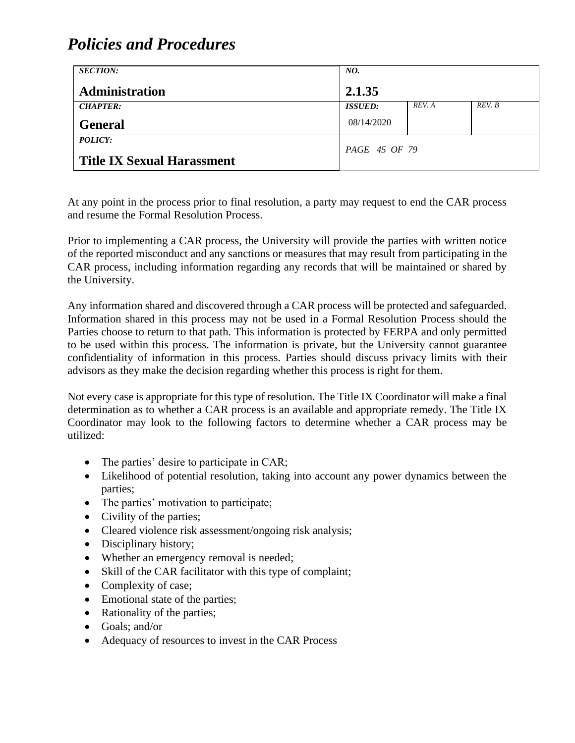| <b>SECTION:</b>                   | NO.            |        |        |
|-----------------------------------|----------------|--------|--------|
| <b>Administration</b>             | 2.1.35         |        |        |
| <b>CHAPTER:</b>                   | <b>ISSUED:</b> | REV. A | REV. B |
| <b>General</b>                    | 08/14/2020     |        |        |
| <b>POLICY:</b>                    | PAGE 45 OF 79  |        |        |
| <b>Title IX Sexual Harassment</b> |                |        |        |

At any point in the process prior to final resolution, a party may request to end the CAR process and resume the Formal Resolution Process.

Prior to implementing a CAR process, the University will provide the parties with written notice of the reported misconduct and any sanctions or measures that may result from participating in the CAR process, including information regarding any records that will be maintained or shared by the University.

Any information shared and discovered through a CAR process will be protected and safeguarded. Information shared in this process may not be used in a Formal Resolution Process should the Parties choose to return to that path. This information is protected by FERPA and only permitted to be used within this process. The information is private, but the University cannot guarantee confidentiality of information in this process. Parties should discuss privacy limits with their advisors as they make the decision regarding whether this process is right for them.

Not every case is appropriate for this type of resolution. The Title IX Coordinator will make a final determination as to whether a CAR process is an available and appropriate remedy. The Title IX Coordinator may look to the following factors to determine whether a CAR process may be utilized:

- The parties' desire to participate in CAR;
- Likelihood of potential resolution, taking into account any power dynamics between the parties;
- The parties' motivation to participate;
- Civility of the parties;
- Cleared violence risk assessment/ongoing risk analysis;
- Disciplinary history;
- Whether an emergency removal is needed;
- Skill of the CAR facilitator with this type of complaint;
- Complexity of case;
- Emotional state of the parties;
- Rationality of the parties;
- Goals: and/or
- Adequacy of resources to invest in the CAR Process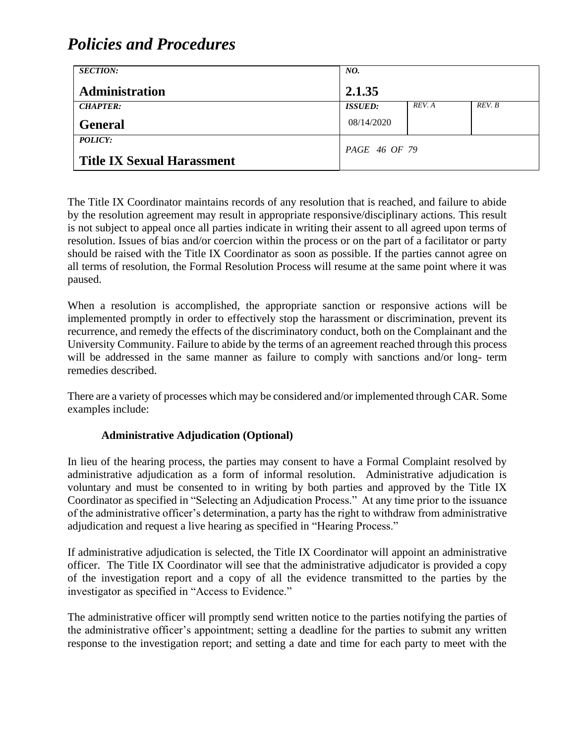| <b>SECTION:</b>                   | NO.            |        |        |
|-----------------------------------|----------------|--------|--------|
| <b>Administration</b>             | 2.1.35         |        |        |
| <b>CHAPTER:</b>                   | <b>ISSUED:</b> | REV. A | REV. B |
| <b>General</b>                    | 08/14/2020     |        |        |
| <b>POLICY:</b>                    | PAGE 46 OF 79  |        |        |
| <b>Title IX Sexual Harassment</b> |                |        |        |

The Title IX Coordinator maintains records of any resolution that is reached, and failure to abide by the resolution agreement may result in appropriate responsive/disciplinary actions. This result is not subject to appeal once all parties indicate in writing their assent to all agreed upon terms of resolution. Issues of bias and/or coercion within the process or on the part of a facilitator or party should be raised with the Title IX Coordinator as soon as possible. If the parties cannot agree on all terms of resolution, the Formal Resolution Process will resume at the same point where it was paused.

When a resolution is accomplished, the appropriate sanction or responsive actions will be implemented promptly in order to effectively stop the harassment or discrimination, prevent its recurrence, and remedy the effects of the discriminatory conduct, both on the Complainant and the University Community. Failure to abide by the terms of an agreement reached through this process will be addressed in the same manner as failure to comply with sanctions and/or long- term remedies described.

There are a variety of processes which may be considered and/or implemented through CAR. Some examples include:

#### **Administrative Adjudication (Optional)**

In lieu of the hearing process, the parties may consent to have a Formal Complaint resolved by administrative adjudication as a form of informal resolution. Administrative adjudication is voluntary and must be consented to in writing by both parties and approved by the Title IX Coordinator as specified in "Selecting an Adjudication Process." At any time prior to the issuance of the administrative officer's determination, a party has the right to withdraw from administrative adjudication and request a live hearing as specified in "Hearing Process."

If administrative adjudication is selected, the Title IX Coordinator will appoint an administrative officer. The Title IX Coordinator will see that the administrative adjudicator is provided a copy of the investigation report and a copy of all the evidence transmitted to the parties by the investigator as specified in "Access to Evidence."

The administrative officer will promptly send written notice to the parties notifying the parties of the administrative officer's appointment; setting a deadline for the parties to submit any written response to the investigation report; and setting a date and time for each party to meet with the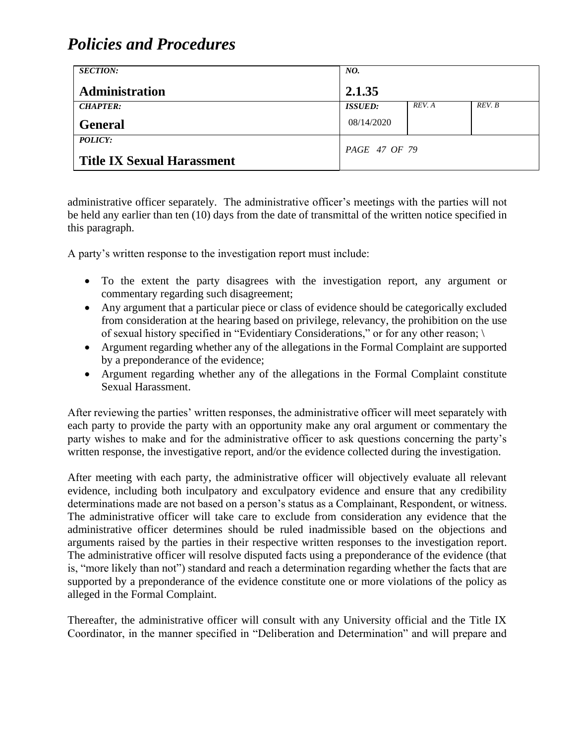| <b>SECTION:</b>                   | NO.            |        |        |
|-----------------------------------|----------------|--------|--------|
| <b>Administration</b>             | 2.1.35         |        |        |
| <b>CHAPTER:</b>                   | <b>ISSUED:</b> | REV. A | REV. B |
| <b>General</b>                    | 08/14/2020     |        |        |
| <b>POLICY:</b>                    | PAGE 47 OF 79  |        |        |
| <b>Title IX Sexual Harassment</b> |                |        |        |

administrative officer separately. The administrative officer's meetings with the parties will not be held any earlier than ten (10) days from the date of transmittal of the written notice specified in this paragraph.

A party's written response to the investigation report must include:

- To the extent the party disagrees with the investigation report, any argument or commentary regarding such disagreement;
- Any argument that a particular piece or class of evidence should be categorically excluded from consideration at the hearing based on privilege, relevancy, the prohibition on the use of sexual history specified in "Evidentiary Considerations," or for any other reason; \
- Argument regarding whether any of the allegations in the Formal Complaint are supported by a preponderance of the evidence;
- Argument regarding whether any of the allegations in the Formal Complaint constitute Sexual Harassment.

After reviewing the parties' written responses, the administrative officer will meet separately with each party to provide the party with an opportunity make any oral argument or commentary the party wishes to make and for the administrative officer to ask questions concerning the party's written response, the investigative report, and/or the evidence collected during the investigation.

After meeting with each party, the administrative officer will objectively evaluate all relevant evidence, including both inculpatory and exculpatory evidence and ensure that any credibility determinations made are not based on a person's status as a Complainant, Respondent, or witness. The administrative officer will take care to exclude from consideration any evidence that the administrative officer determines should be ruled inadmissible based on the objections and arguments raised by the parties in their respective written responses to the investigation report. The administrative officer will resolve disputed facts using a preponderance of the evidence (that is, "more likely than not") standard and reach a determination regarding whether the facts that are supported by a preponderance of the evidence constitute one or more violations of the policy as alleged in the Formal Complaint.

Thereafter, the administrative officer will consult with any University official and the Title IX Coordinator, in the manner specified in "Deliberation and Determination" and will prepare and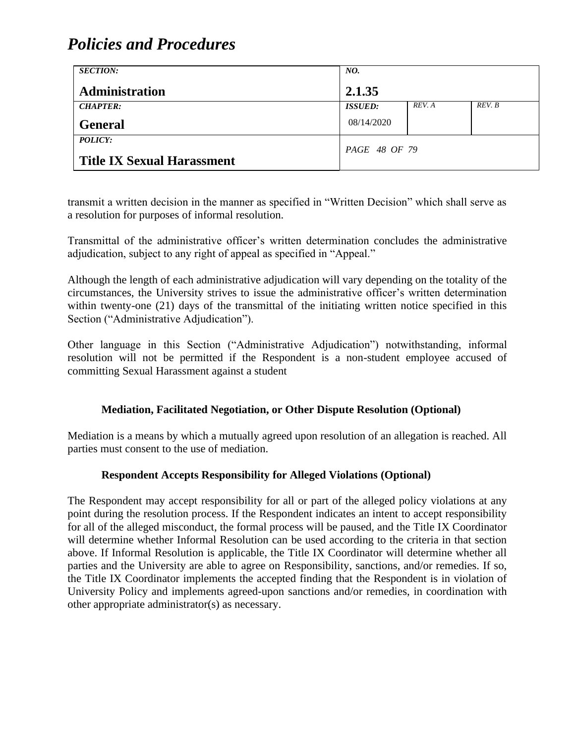| <b>SECTION:</b>                   | NO.            |        |        |
|-----------------------------------|----------------|--------|--------|
| <b>Administration</b>             | 2.1.35         |        |        |
| <b>CHAPTER:</b>                   | <b>ISSUED:</b> | REV. A | REV. B |
| <b>General</b>                    | 08/14/2020     |        |        |
| <i>POLICY:</i>                    | PAGE 48 OF 79  |        |        |
| <b>Title IX Sexual Harassment</b> |                |        |        |

transmit a written decision in the manner as specified in "Written Decision" which shall serve as a resolution for purposes of informal resolution.

Transmittal of the administrative officer's written determination concludes the administrative adjudication, subject to any right of appeal as specified in "Appeal."

Although the length of each administrative adjudication will vary depending on the totality of the circumstances, the University strives to issue the administrative officer's written determination within twenty-one (21) days of the transmittal of the initiating written notice specified in this Section ("Administrative Adjudication").

Other language in this Section ("Administrative Adjudication") notwithstanding, informal resolution will not be permitted if the Respondent is a non-student employee accused of committing Sexual Harassment against a student

#### **Mediation, Facilitated Negotiation, or Other Dispute Resolution (Optional)**

Mediation is a means by which a mutually agreed upon resolution of an allegation is reached. All parties must consent to the use of mediation.

#### **Respondent Accepts Responsibility for Alleged Violations (Optional)**

The Respondent may accept responsibility for all or part of the alleged policy violations at any point during the resolution process. If the Respondent indicates an intent to accept responsibility for all of the alleged misconduct, the formal process will be paused, and the Title IX Coordinator will determine whether Informal Resolution can be used according to the criteria in that section above. If Informal Resolution is applicable, the Title IX Coordinator will determine whether all parties and the University are able to agree on Responsibility, sanctions, and/or remedies. If so, the Title IX Coordinator implements the accepted finding that the Respondent is in violation of University Policy and implements agreed-upon sanctions and/or remedies, in coordination with other appropriate administrator(s) as necessary.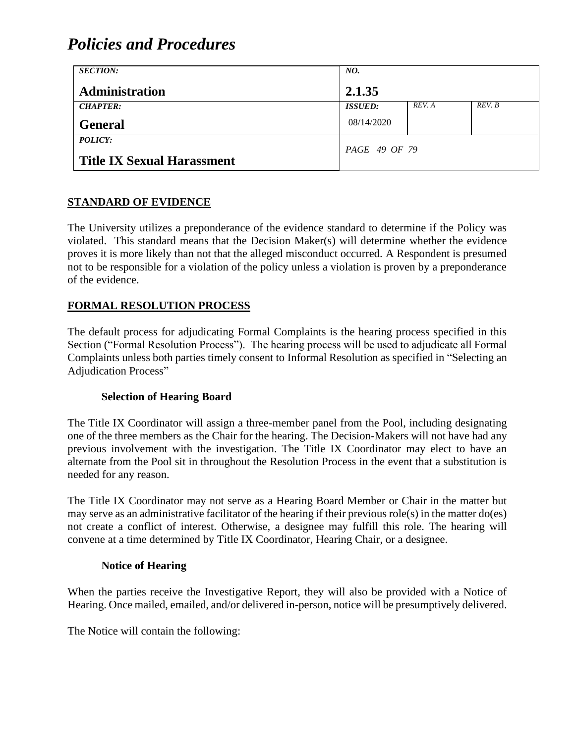| <b>SECTION:</b>                   | NO.            |        |        |
|-----------------------------------|----------------|--------|--------|
| <b>Administration</b>             | 2.1.35         |        |        |
| <b>CHAPTER:</b>                   | <b>ISSUED:</b> | REV. A | REV. B |
| <b>General</b>                    | 08/14/2020     |        |        |
| POLICY:                           | PAGE 49 OF 79  |        |        |
| <b>Title IX Sexual Harassment</b> |                |        |        |

#### **STANDARD OF EVIDENCE**

The University utilizes a preponderance of the evidence standard to determine if the Policy was violated. This standard means that the Decision Maker(s) will determine whether the evidence proves it is more likely than not that the alleged misconduct occurred. A Respondent is presumed not to be responsible for a violation of the policy unless a violation is proven by a preponderance of the evidence.

#### **FORMAL RESOLUTION PROCESS**

The default process for adjudicating Formal Complaints is the hearing process specified in this Section ("Formal Resolution Process"). The hearing process will be used to adjudicate all Formal Complaints unless both parties timely consent to Informal Resolution as specified in "Selecting an Adjudication Process"

#### **Selection of Hearing Board**

The Title IX Coordinator will assign a three-member panel from the Pool, including designating one of the three members as the Chair for the hearing. The Decision-Makers will not have had any previous involvement with the investigation. The Title IX Coordinator may elect to have an alternate from the Pool sit in throughout the Resolution Process in the event that a substitution is needed for any reason.

The Title IX Coordinator may not serve as a Hearing Board Member or Chair in the matter but may serve as an administrative facilitator of the hearing if their previous role(s) in the matter do(es) not create a conflict of interest. Otherwise, a designee may fulfill this role. The hearing will convene at a time determined by Title IX Coordinator, Hearing Chair, or a designee.

#### **Notice of Hearing**

When the parties receive the Investigative Report, they will also be provided with a Notice of Hearing. Once mailed, emailed, and/or delivered in-person, notice will be presumptively delivered.

The Notice will contain the following: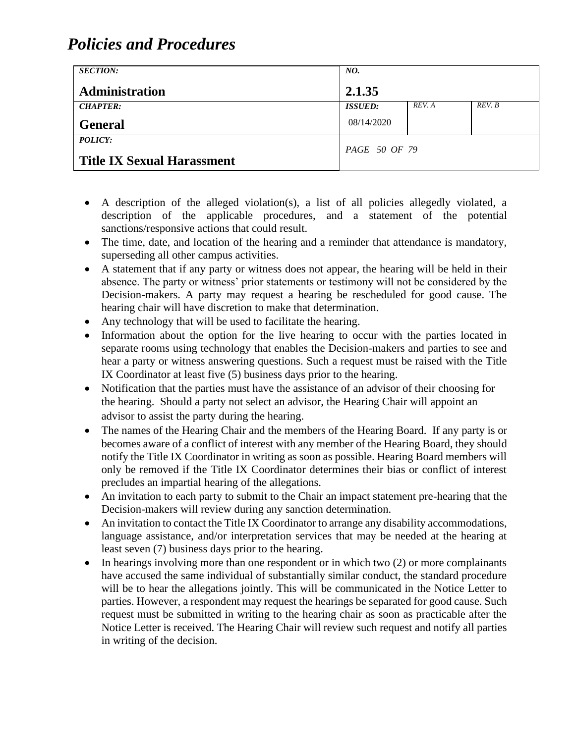| <b>SECTION:</b>                   | NO.            |        |        |
|-----------------------------------|----------------|--------|--------|
| Administration                    | 2.1.35         |        |        |
| <b>CHAPTER:</b>                   | <b>ISSUED:</b> | REV. A | REV. B |
| <b>General</b>                    | 08/14/2020     |        |        |
| <b>POLICY:</b>                    | PAGE 50 OF 79  |        |        |
| <b>Title IX Sexual Harassment</b> |                |        |        |

- A description of the alleged violation(s), a list of all policies allegedly violated, a description of the applicable procedures, and a statement of the potential sanctions/responsive actions that could result.
- The time, date, and location of the hearing and a reminder that attendance is mandatory, superseding all other campus activities.
- A statement that if any party or witness does not appear, the hearing will be held in their absence. The party or witness' prior statements or testimony will not be considered by the Decision-makers. A party may request a hearing be rescheduled for good cause. The hearing chair will have discretion to make that determination.
- Any technology that will be used to facilitate the hearing.
- Information about the option for the live hearing to occur with the parties located in separate rooms using technology that enables the Decision-makers and parties to see and hear a party or witness answering questions. Such a request must be raised with the Title IX Coordinator at least five (5) business days prior to the hearing.
- Notification that the parties must have the assistance of an advisor of their choosing for the hearing. Should a party not select an advisor, the Hearing Chair will appoint an advisor to assist the party during the hearing.
- The names of the Hearing Chair and the members of the Hearing Board. If any party is or becomes aware of a conflict of interest with any member of the Hearing Board, they should notify the Title IX Coordinator in writing as soon as possible. Hearing Board members will only be removed if the Title IX Coordinator determines their bias or conflict of interest precludes an impartial hearing of the allegations.
- An invitation to each party to submit to the Chair an impact statement pre-hearing that the Decision-makers will review during any sanction determination.
- An invitation to contact the Title IX Coordinator to arrange any disability accommodations, language assistance, and/or interpretation services that may be needed at the hearing at least seven (7) business days prior to the hearing.
- In hearings involving more than one respondent or in which two (2) or more complainants have accused the same individual of substantially similar conduct, the standard procedure will be to hear the allegations jointly. This will be communicated in the Notice Letter to parties. However, a respondent may request the hearings be separated for good cause. Such request must be submitted in writing to the hearing chair as soon as practicable after the Notice Letter is received. The Hearing Chair will review such request and notify all parties in writing of the decision.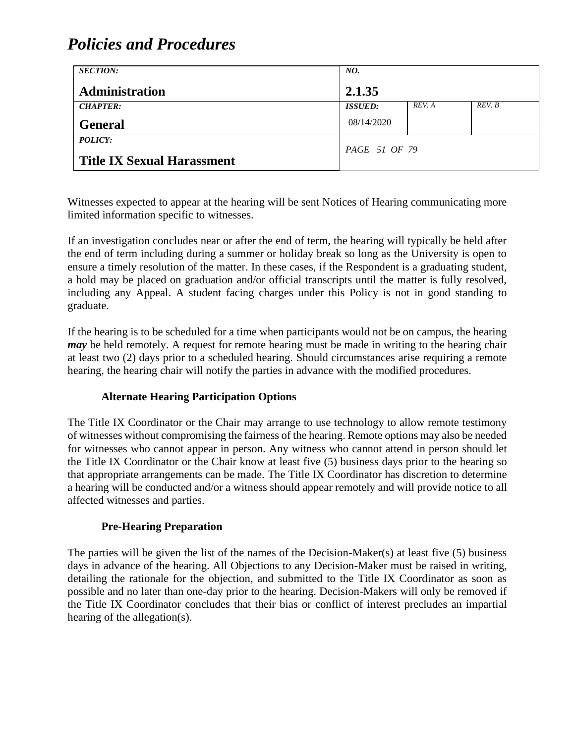| <b>SECTION:</b>                   | NO.            |        |        |
|-----------------------------------|----------------|--------|--------|
| <b>Administration</b>             | 2.1.35         |        |        |
| <b>CHAPTER:</b>                   | <b>ISSUED:</b> | REV. A | REV. B |
| <b>General</b>                    | 08/14/2020     |        |        |
| POLICY:                           | PAGE 51 OF 79  |        |        |
| <b>Title IX Sexual Harassment</b> |                |        |        |

Witnesses expected to appear at the hearing will be sent Notices of Hearing communicating more limited information specific to witnesses.

If an investigation concludes near or after the end of term, the hearing will typically be held after the end of term including during a summer or holiday break so long as the University is open to ensure a timely resolution of the matter. In these cases, if the Respondent is a graduating student, a hold may be placed on graduation and/or official transcripts until the matter is fully resolved, including any Appeal. A student facing charges under this Policy is not in good standing to graduate.

If the hearing is to be scheduled for a time when participants would not be on campus, the hearing *may* be held remotely. A request for remote hearing must be made in writing to the hearing chair at least two (2) days prior to a scheduled hearing. Should circumstances arise requiring a remote hearing, the hearing chair will notify the parties in advance with the modified procedures.

#### **Alternate Hearing Participation Options**

The Title IX Coordinator or the Chair may arrange to use technology to allow remote testimony of witnesses without compromising the fairness of the hearing. Remote options may also be needed for witnesses who cannot appear in person. Any witness who cannot attend in person should let the Title IX Coordinator or the Chair know at least five (5) business days prior to the hearing so that appropriate arrangements can be made. The Title IX Coordinator has discretion to determine a hearing will be conducted and/or a witness should appear remotely and will provide notice to all affected witnesses and parties.

#### **Pre-Hearing Preparation**

The parties will be given the list of the names of the Decision-Maker(s) at least five (5) business days in advance of the hearing. All Objections to any Decision-Maker must be raised in writing, detailing the rationale for the objection, and submitted to the Title IX Coordinator as soon as possible and no later than one-day prior to the hearing. Decision-Makers will only be removed if the Title IX Coordinator concludes that their bias or conflict of interest precludes an impartial hearing of the allegation(s).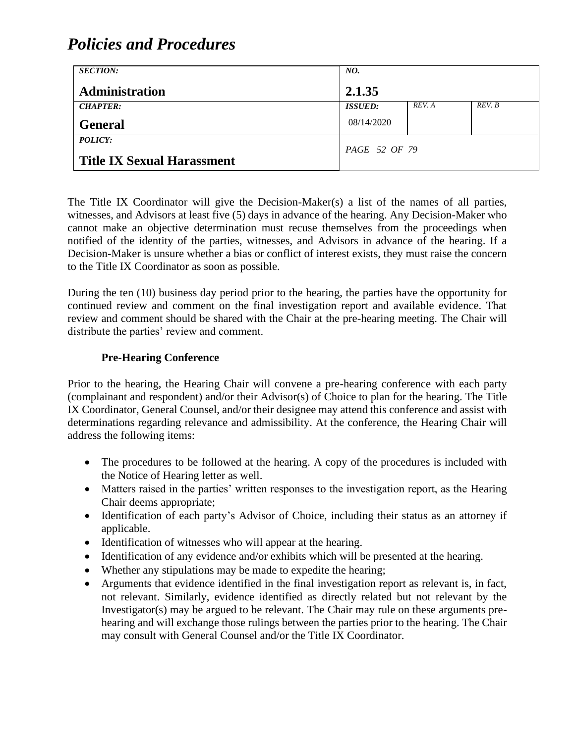| <b>SECTION:</b>                   | NO.            |        |        |
|-----------------------------------|----------------|--------|--------|
| <b>Administration</b>             | 2.1.35         |        |        |
| <b>CHAPTER:</b>                   | <b>ISSUED:</b> | REV. A | REV. B |
| <b>General</b>                    | 08/14/2020     |        |        |
| POLICY:                           | PAGE 52 OF 79  |        |        |
| <b>Title IX Sexual Harassment</b> |                |        |        |

The Title IX Coordinator will give the Decision-Maker(s) a list of the names of all parties, witnesses, and Advisors at least five (5) days in advance of the hearing. Any Decision-Maker who cannot make an objective determination must recuse themselves from the proceedings when notified of the identity of the parties, witnesses, and Advisors in advance of the hearing. If a Decision-Maker is unsure whether a bias or conflict of interest exists, they must raise the concern to the Title IX Coordinator as soon as possible.

During the ten (10) business day period prior to the hearing, the parties have the opportunity for continued review and comment on the final investigation report and available evidence. That review and comment should be shared with the Chair at the pre-hearing meeting. The Chair will distribute the parties' review and comment.

#### **Pre-Hearing Conference**

Prior to the hearing, the Hearing Chair will convene a pre-hearing conference with each party (complainant and respondent) and/or their Advisor(s) of Choice to plan for the hearing. The Title IX Coordinator, General Counsel, and/or their designee may attend this conference and assist with determinations regarding relevance and admissibility. At the conference, the Hearing Chair will address the following items:

- The procedures to be followed at the hearing. A copy of the procedures is included with the Notice of Hearing letter as well.
- Matters raised in the parties' written responses to the investigation report, as the Hearing Chair deems appropriate;
- Identification of each party's Advisor of Choice, including their status as an attorney if applicable.
- Identification of witnesses who will appear at the hearing.
- Identification of any evidence and/or exhibits which will be presented at the hearing.
- Whether any stipulations may be made to expedite the hearing;
- Arguments that evidence identified in the final investigation report as relevant is, in fact, not relevant. Similarly, evidence identified as directly related but not relevant by the Investigator(s) may be argued to be relevant. The Chair may rule on these arguments prehearing and will exchange those rulings between the parties prior to the hearing. The Chair may consult with General Counsel and/or the Title IX Coordinator.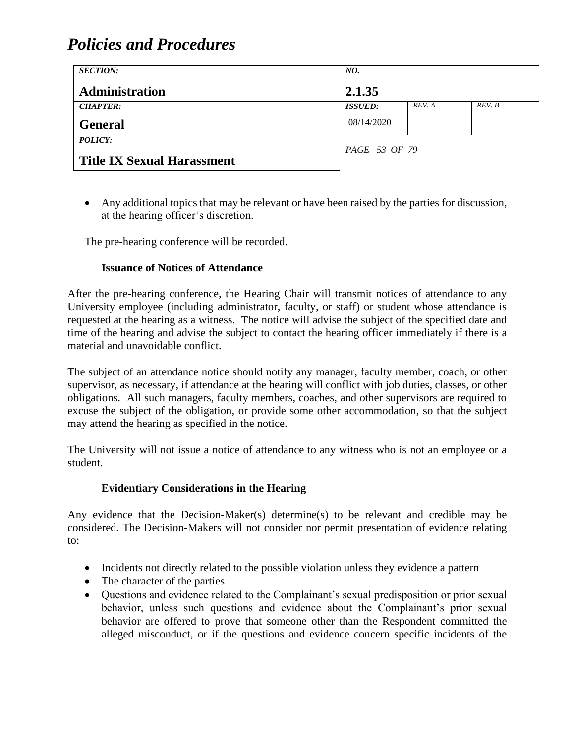| <b>SECTION:</b>                   | NO.                   |        |        |
|-----------------------------------|-----------------------|--------|--------|
| <b>Administration</b>             | 2.1.35                |        |        |
| <b>CHAPTER:</b>                   | <i><b>ISSUED:</b></i> | REV. A | REV. B |
| <b>General</b>                    | 08/14/2020            |        |        |
| <b>POLICY:</b>                    | PAGE 53 OF 79         |        |        |
| <b>Title IX Sexual Harassment</b> |                       |        |        |

• Any additional topics that may be relevant or have been raised by the parties for discussion, at the hearing officer's discretion.

The pre-hearing conference will be recorded.

#### **Issuance of Notices of Attendance**

After the pre-hearing conference, the Hearing Chair will transmit notices of attendance to any University employee (including administrator, faculty, or staff) or student whose attendance is requested at the hearing as a witness. The notice will advise the subject of the specified date and time of the hearing and advise the subject to contact the hearing officer immediately if there is a material and unavoidable conflict.

The subject of an attendance notice should notify any manager, faculty member, coach, or other supervisor, as necessary, if attendance at the hearing will conflict with job duties, classes, or other obligations. All such managers, faculty members, coaches, and other supervisors are required to excuse the subject of the obligation, or provide some other accommodation, so that the subject may attend the hearing as specified in the notice.

The University will not issue a notice of attendance to any witness who is not an employee or a student.

#### **Evidentiary Considerations in the Hearing**

Any evidence that the Decision-Maker(s) determine(s) to be relevant and credible may be considered. The Decision-Makers will not consider nor permit presentation of evidence relating to:

- Incidents not directly related to the possible violation unless they evidence a pattern
- The character of the parties
- Questions and evidence related to the Complainant's sexual predisposition or prior sexual behavior, unless such questions and evidence about the Complainant's prior sexual behavior are offered to prove that someone other than the Respondent committed the alleged misconduct, or if the questions and evidence concern specific incidents of the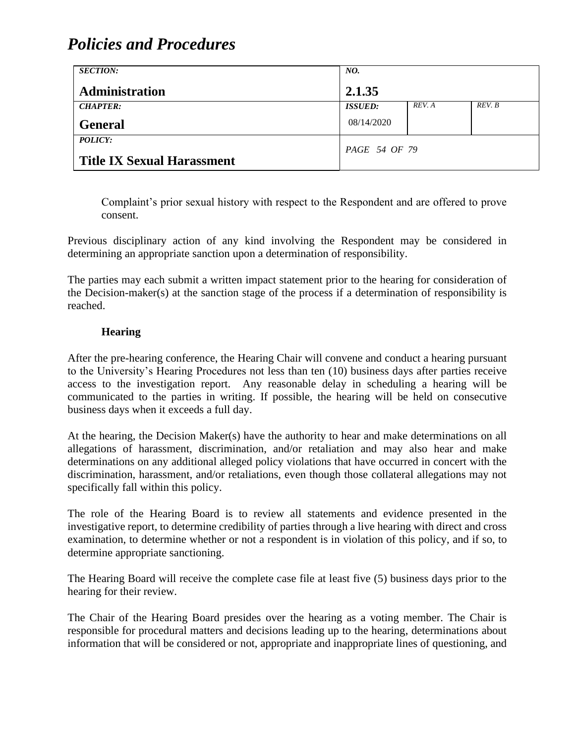| <b>SECTION:</b>                                     | NO.            |        |        |
|-----------------------------------------------------|----------------|--------|--------|
| Administration                                      | 2.1.35         |        |        |
| <b>CHAPTER:</b>                                     | <b>ISSUED:</b> | REV. A | REV. B |
| <b>General</b>                                      | 08/14/2020     |        |        |
| <b>POLICY:</b><br><b>Title IX Sexual Harassment</b> | PAGE 54 OF 79  |        |        |

Complaint's prior sexual history with respect to the Respondent and are offered to prove consent.

Previous disciplinary action of any kind involving the Respondent may be considered in determining an appropriate sanction upon a determination of responsibility.

The parties may each submit a written impact statement prior to the hearing for consideration of the Decision-maker(s) at the sanction stage of the process if a determination of responsibility is reached.

#### **Hearing**

After the pre-hearing conference, the Hearing Chair will convene and conduct a hearing pursuant to the University's Hearing Procedures not less than ten (10) business days after parties receive access to the investigation report. Any reasonable delay in scheduling a hearing will be communicated to the parties in writing. If possible, the hearing will be held on consecutive business days when it exceeds a full day.

At the hearing, the Decision Maker(s) have the authority to hear and make determinations on all allegations of harassment, discrimination, and/or retaliation and may also hear and make determinations on any additional alleged policy violations that have occurred in concert with the discrimination, harassment, and/or retaliations, even though those collateral allegations may not specifically fall within this policy.

The role of the Hearing Board is to review all statements and evidence presented in the investigative report, to determine credibility of parties through a live hearing with direct and cross examination, to determine whether or not a respondent is in violation of this policy, and if so, to determine appropriate sanctioning.

The Hearing Board will receive the complete case file at least five (5) business days prior to the hearing for their review.

The Chair of the Hearing Board presides over the hearing as a voting member. The Chair is responsible for procedural matters and decisions leading up to the hearing, determinations about information that will be considered or not, appropriate and inappropriate lines of questioning, and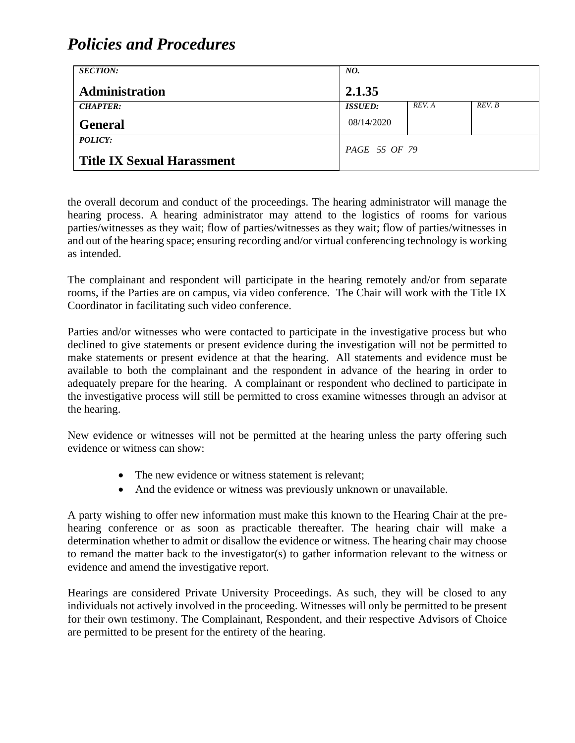| <b>SECTION:</b>                   | NO.            |        |        |
|-----------------------------------|----------------|--------|--------|
| <b>Administration</b>             | 2.1.35         |        |        |
| <b>CHAPTER:</b>                   | <b>ISSUED:</b> | REV. A | REV. B |
| <b>General</b>                    | 08/14/2020     |        |        |
| POLICY:                           | PAGE 55 OF 79  |        |        |
| <b>Title IX Sexual Harassment</b> |                |        |        |

the overall decorum and conduct of the proceedings. The hearing administrator will manage the hearing process. A hearing administrator may attend to the logistics of rooms for various parties/witnesses as they wait; flow of parties/witnesses as they wait; flow of parties/witnesses in and out of the hearing space; ensuring recording and/or virtual conferencing technology is working as intended.

The complainant and respondent will participate in the hearing remotely and/or from separate rooms, if the Parties are on campus, via video conference. The Chair will work with the Title IX Coordinator in facilitating such video conference.

Parties and/or witnesses who were contacted to participate in the investigative process but who declined to give statements or present evidence during the investigation will not be permitted to make statements or present evidence at that the hearing. All statements and evidence must be available to both the complainant and the respondent in advance of the hearing in order to adequately prepare for the hearing. A complainant or respondent who declined to participate in the investigative process will still be permitted to cross examine witnesses through an advisor at the hearing.

New evidence or witnesses will not be permitted at the hearing unless the party offering such evidence or witness can show:

- The new evidence or witness statement is relevant;
- And the evidence or witness was previously unknown or unavailable.

A party wishing to offer new information must make this known to the Hearing Chair at the prehearing conference or as soon as practicable thereafter. The hearing chair will make a determination whether to admit or disallow the evidence or witness. The hearing chair may choose to remand the matter back to the investigator(s) to gather information relevant to the witness or evidence and amend the investigative report.

Hearings are considered Private University Proceedings. As such, they will be closed to any individuals not actively involved in the proceeding. Witnesses will only be permitted to be present for their own testimony. The Complainant, Respondent, and their respective Advisors of Choice are permitted to be present for the entirety of the hearing.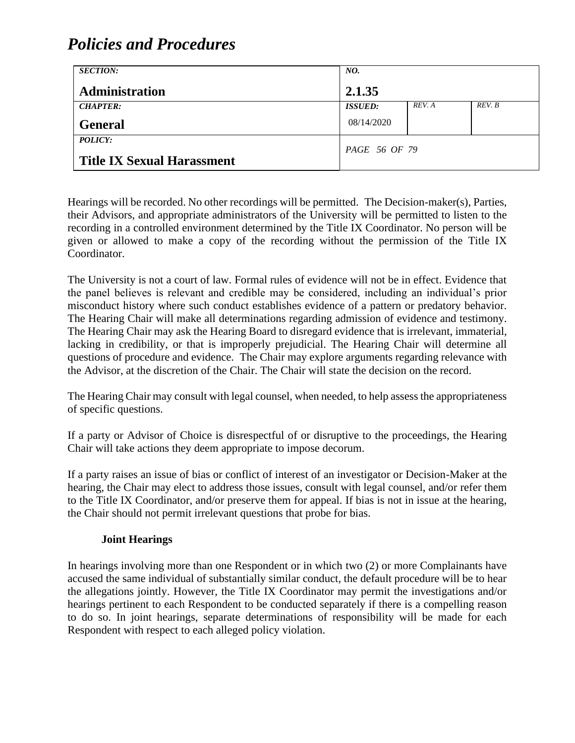| <b>SECTION:</b>                   | NO.            |        |        |
|-----------------------------------|----------------|--------|--------|
| <b>Administration</b>             | 2.1.35         |        |        |
| <b>CHAPTER:</b>                   | <b>ISSUED:</b> | REV. A | REV. B |
| <b>General</b>                    | 08/14/2020     |        |        |
| POLICY:                           | PAGE 56 OF 79  |        |        |
| <b>Title IX Sexual Harassment</b> |                |        |        |

Hearings will be recorded. No other recordings will be permitted. The Decision-maker(s), Parties, their Advisors, and appropriate administrators of the University will be permitted to listen to the recording in a controlled environment determined by the Title IX Coordinator. No person will be given or allowed to make a copy of the recording without the permission of the Title IX Coordinator.

The University is not a court of law. Formal rules of evidence will not be in effect. Evidence that the panel believes is relevant and credible may be considered, including an individual's prior misconduct history where such conduct establishes evidence of a pattern or predatory behavior. The Hearing Chair will make all determinations regarding admission of evidence and testimony. The Hearing Chair may ask the Hearing Board to disregard evidence that is irrelevant, immaterial, lacking in credibility, or that is improperly prejudicial. The Hearing Chair will determine all questions of procedure and evidence. The Chair may explore arguments regarding relevance with the Advisor, at the discretion of the Chair. The Chair will state the decision on the record.

The Hearing Chair may consult with legal counsel, when needed, to help assess the appropriateness of specific questions.

If a party or Advisor of Choice is disrespectful of or disruptive to the proceedings, the Hearing Chair will take actions they deem appropriate to impose decorum.

If a party raises an issue of bias or conflict of interest of an investigator or Decision-Maker at the hearing, the Chair may elect to address those issues, consult with legal counsel, and/or refer them to the Title IX Coordinator, and/or preserve them for appeal. If bias is not in issue at the hearing, the Chair should not permit irrelevant questions that probe for bias.

#### **Joint Hearings**

In hearings involving more than one Respondent or in which two (2) or more Complainants have accused the same individual of substantially similar conduct, the default procedure will be to hear the allegations jointly. However, the Title IX Coordinator may permit the investigations and/or hearings pertinent to each Respondent to be conducted separately if there is a compelling reason to do so. In joint hearings, separate determinations of responsibility will be made for each Respondent with respect to each alleged policy violation.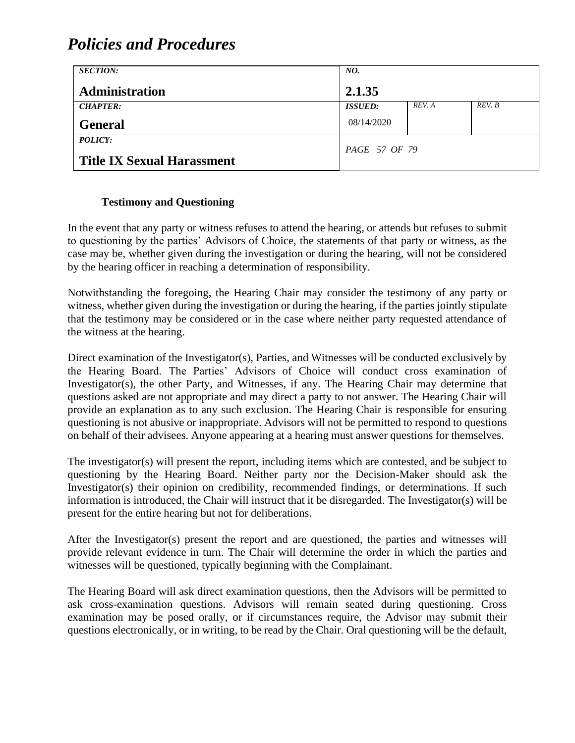| <b>SECTION:</b>                   | NO.            |        |        |
|-----------------------------------|----------------|--------|--------|
| <b>Administration</b>             | 2.1.35         |        |        |
| <b>CHAPTER:</b>                   | <b>ISSUED:</b> | REV. A | REV. B |
| <b>General</b>                    | 08/14/2020     |        |        |
| <i>POLICY:</i>                    | PAGE 57 OF 79  |        |        |
| <b>Title IX Sexual Harassment</b> |                |        |        |

#### **Testimony and Questioning**

In the event that any party or witness refuses to attend the hearing, or attends but refuses to submit to questioning by the parties' Advisors of Choice, the statements of that party or witness, as the case may be, whether given during the investigation or during the hearing, will not be considered by the hearing officer in reaching a determination of responsibility.

Notwithstanding the foregoing, the Hearing Chair may consider the testimony of any party or witness, whether given during the investigation or during the hearing, if the parties jointly stipulate that the testimony may be considered or in the case where neither party requested attendance of the witness at the hearing.

Direct examination of the Investigator(s), Parties, and Witnesses will be conducted exclusively by the Hearing Board. The Parties' Advisors of Choice will conduct cross examination of Investigator(s), the other Party, and Witnesses, if any. The Hearing Chair may determine that questions asked are not appropriate and may direct a party to not answer. The Hearing Chair will provide an explanation as to any such exclusion. The Hearing Chair is responsible for ensuring questioning is not abusive or inappropriate. Advisors will not be permitted to respond to questions on behalf of their advisees. Anyone appearing at a hearing must answer questions for themselves.

The investigator(s) will present the report, including items which are contested, and be subject to questioning by the Hearing Board. Neither party nor the Decision-Maker should ask the Investigator(s) their opinion on credibility, recommended findings, or determinations. If such information is introduced, the Chair will instruct that it be disregarded. The Investigator(s) will be present for the entire hearing but not for deliberations.

After the Investigator(s) present the report and are questioned, the parties and witnesses will provide relevant evidence in turn. The Chair will determine the order in which the parties and witnesses will be questioned, typically beginning with the Complainant.

The Hearing Board will ask direct examination questions, then the Advisors will be permitted to ask cross-examination questions. Advisors will remain seated during questioning. Cross examination may be posed orally, or if circumstances require, the Advisor may submit their questions electronically, or in writing, to be read by the Chair. Oral questioning will be the default,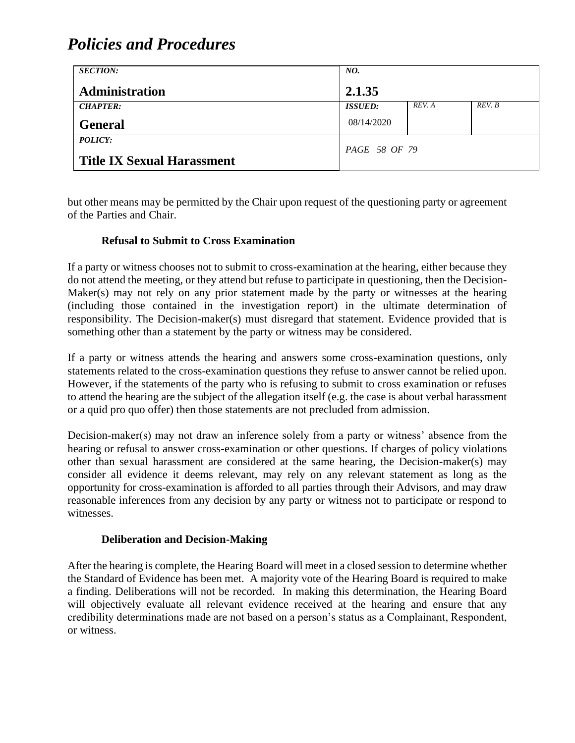| <b>SECTION:</b>                   | NO.            |        |        |
|-----------------------------------|----------------|--------|--------|
| <b>Administration</b>             | 2.1.35         |        |        |
| <b>CHAPTER:</b>                   | <b>ISSUED:</b> | REV. A | REV. B |
| <b>General</b>                    | 08/14/2020     |        |        |
| <b>POLICY:</b>                    | PAGE 58 OF 79  |        |        |
| <b>Title IX Sexual Harassment</b> |                |        |        |

but other means may be permitted by the Chair upon request of the questioning party or agreement of the Parties and Chair.

#### **Refusal to Submit to Cross Examination**

If a party or witness chooses not to submit to cross-examination at the hearing, either because they do not attend the meeting, or they attend but refuse to participate in questioning, then the Decision-Maker(s) may not rely on any prior statement made by the party or witnesses at the hearing (including those contained in the investigation report) in the ultimate determination of responsibility. The Decision-maker(s) must disregard that statement. Evidence provided that is something other than a statement by the party or witness may be considered.

If a party or witness attends the hearing and answers some cross-examination questions, only statements related to the cross-examination questions they refuse to answer cannot be relied upon. However, if the statements of the party who is refusing to submit to cross examination or refuses to attend the hearing are the subject of the allegation itself (e.g. the case is about verbal harassment or a quid pro quo offer) then those statements are not precluded from admission.

Decision-maker(s) may not draw an inference solely from a party or witness' absence from the hearing or refusal to answer cross-examination or other questions. If charges of policy violations other than sexual harassment are considered at the same hearing, the Decision-maker(s) may consider all evidence it deems relevant, may rely on any relevant statement as long as the opportunity for cross-examination is afforded to all parties through their Advisors, and may draw reasonable inferences from any decision by any party or witness not to participate or respond to witnesses.

#### **Deliberation and Decision-Making**

After the hearing is complete, the Hearing Board will meet in a closed session to determine whether the Standard of Evidence has been met. A majority vote of the Hearing Board is required to make a finding. Deliberations will not be recorded. In making this determination, the Hearing Board will objectively evaluate all relevant evidence received at the hearing and ensure that any credibility determinations made are not based on a person's status as a Complainant, Respondent, or witness.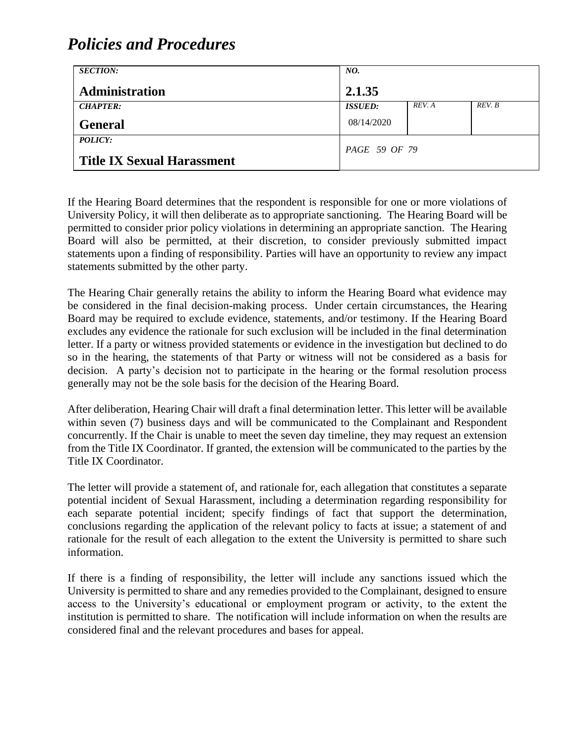| <b>SECTION:</b>                   | NO.            |        |        |
|-----------------------------------|----------------|--------|--------|
| <b>Administration</b>             | 2.1.35         |        |        |
| <b>CHAPTER:</b>                   | <b>ISSUED:</b> | REV. A | REV. B |
| <b>General</b>                    | 08/14/2020     |        |        |
| POLICY:                           | PAGE 59 OF 79  |        |        |
| <b>Title IX Sexual Harassment</b> |                |        |        |

If the Hearing Board determines that the respondent is responsible for one or more violations of University Policy, it will then deliberate as to appropriate sanctioning. The Hearing Board will be permitted to consider prior policy violations in determining an appropriate sanction. The Hearing Board will also be permitted, at their discretion, to consider previously submitted impact statements upon a finding of responsibility. Parties will have an opportunity to review any impact statements submitted by the other party.

The Hearing Chair generally retains the ability to inform the Hearing Board what evidence may be considered in the final decision-making process. Under certain circumstances, the Hearing Board may be required to exclude evidence, statements, and/or testimony. If the Hearing Board excludes any evidence the rationale for such exclusion will be included in the final determination letter. If a party or witness provided statements or evidence in the investigation but declined to do so in the hearing, the statements of that Party or witness will not be considered as a basis for decision. A party's decision not to participate in the hearing or the formal resolution process generally may not be the sole basis for the decision of the Hearing Board.

After deliberation, Hearing Chair will draft a final determination letter. This letter will be available within seven (7) business days and will be communicated to the Complainant and Respondent concurrently. If the Chair is unable to meet the seven day timeline, they may request an extension from the Title IX Coordinator. If granted, the extension will be communicated to the parties by the Title IX Coordinator.

The letter will provide a statement of, and rationale for, each allegation that constitutes a separate potential incident of Sexual Harassment, including a determination regarding responsibility for each separate potential incident; specify findings of fact that support the determination, conclusions regarding the application of the relevant policy to facts at issue; a statement of and rationale for the result of each allegation to the extent the University is permitted to share such information.

If there is a finding of responsibility, the letter will include any sanctions issued which the University is permitted to share and any remedies provided to the Complainant, designed to ensure access to the University's educational or employment program or activity, to the extent the institution is permitted to share. The notification will include information on when the results are considered final and the relevant procedures and bases for appeal.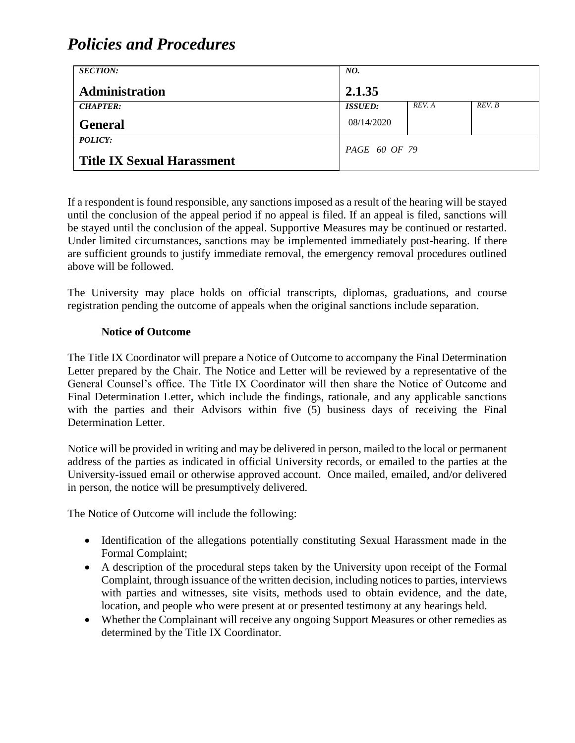| <b>SECTION:</b>                   | NO.            |        |        |
|-----------------------------------|----------------|--------|--------|
| <b>Administration</b>             | 2.1.35         |        |        |
| <b>CHAPTER:</b>                   | <b>ISSUED:</b> | REV. A | REV. B |
| <b>General</b>                    | 08/14/2020     |        |        |
| POLICY:                           | PAGE 60 OF 79  |        |        |
| <b>Title IX Sexual Harassment</b> |                |        |        |

If a respondent is found responsible, any sanctions imposed as a result of the hearing will be stayed until the conclusion of the appeal period if no appeal is filed. If an appeal is filed, sanctions will be stayed until the conclusion of the appeal. Supportive Measures may be continued or restarted. Under limited circumstances, sanctions may be implemented immediately post-hearing. If there are sufficient grounds to justify immediate removal, the emergency removal procedures outlined above will be followed.

The University may place holds on official transcripts, diplomas, graduations, and course registration pending the outcome of appeals when the original sanctions include separation.

#### **Notice of Outcome**

The Title IX Coordinator will prepare a Notice of Outcome to accompany the Final Determination Letter prepared by the Chair. The Notice and Letter will be reviewed by a representative of the General Counsel's office. The Title IX Coordinator will then share the Notice of Outcome and Final Determination Letter, which include the findings, rationale, and any applicable sanctions with the parties and their Advisors within five (5) business days of receiving the Final Determination Letter.

Notice will be provided in writing and may be delivered in person, mailed to the local or permanent address of the parties as indicated in official University records, or emailed to the parties at the University-issued email or otherwise approved account. Once mailed, emailed, and/or delivered in person, the notice will be presumptively delivered.

The Notice of Outcome will include the following:

- Identification of the allegations potentially constituting Sexual Harassment made in the Formal Complaint;
- A description of the procedural steps taken by the University upon receipt of the Formal Complaint, through issuance of the written decision, including notices to parties, interviews with parties and witnesses, site visits, methods used to obtain evidence, and the date, location, and people who were present at or presented testimony at any hearings held.
- Whether the Complainant will receive any ongoing Support Measures or other remedies as determined by the Title IX Coordinator.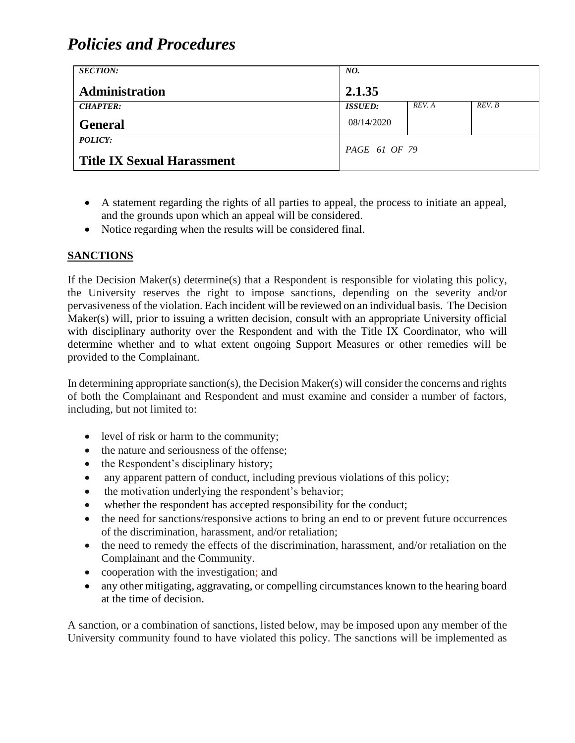| <b>SECTION:</b>                   | NO.                   |        |        |
|-----------------------------------|-----------------------|--------|--------|
| Administration                    | 2.1.35                |        |        |
| <b>CHAPTER:</b>                   | <i><b>ISSUED:</b></i> | REV. A | REV. B |
| <b>General</b>                    | 08/14/2020            |        |        |
| <b>POLICY:</b>                    | PAGE 61 OF 79         |        |        |
| <b>Title IX Sexual Harassment</b> |                       |        |        |

- A statement regarding the rights of all parties to appeal, the process to initiate an appeal, and the grounds upon which an appeal will be considered.
- Notice regarding when the results will be considered final.

### **SANCTIONS**

If the Decision Maker(s) determine(s) that a Respondent is responsible for violating this policy, the University reserves the right to impose sanctions, depending on the severity and/or pervasiveness of the violation. Each incident will be reviewed on an individual basis. The Decision Maker(s) will, prior to issuing a written decision, consult with an appropriate University official with disciplinary authority over the Respondent and with the Title IX Coordinator, who will determine whether and to what extent ongoing Support Measures or other remedies will be provided to the Complainant.

In determining appropriate sanction(s), the Decision Maker(s) will consider the concerns and rights of both the Complainant and Respondent and must examine and consider a number of factors, including, but not limited to:

- level of risk or harm to the community;
- the nature and seriousness of the offense:
- the Respondent's disciplinary history;
- any apparent pattern of conduct, including previous violations of this policy;
- the motivation underlying the respondent's behavior;
- whether the respondent has accepted responsibility for the conduct;
- the need for sanctions/responsive actions to bring an end to or prevent future occurrences of the discrimination, harassment, and/or retaliation;
- the need to remedy the effects of the discrimination, harassment, and/or retaliation on the Complainant and the Community.
- cooperation with the investigation; and
- any other mitigating, aggravating, or compelling circumstances known to the hearing board at the time of decision.

A sanction, or a combination of sanctions, listed below, may be imposed upon any member of the University community found to have violated this policy. The sanctions will be implemented as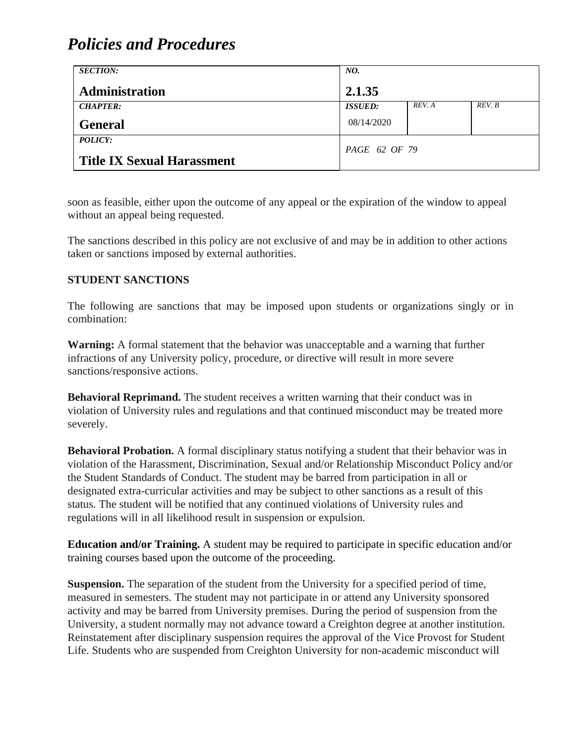| <b>SECTION:</b>                                     | NO.            |        |        |
|-----------------------------------------------------|----------------|--------|--------|
| Administration                                      | 2.1.35         |        |        |
| <b>CHAPTER:</b>                                     | <b>ISSUED:</b> | REV. A | REV. B |
| <b>General</b>                                      | 08/14/2020     |        |        |
| <b>POLICY:</b><br><b>Title IX Sexual Harassment</b> | PAGE 62 OF 79  |        |        |

soon as feasible, either upon the outcome of any appeal or the expiration of the window to appeal without an appeal being requested.

The sanctions described in this policy are not exclusive of and may be in addition to other actions taken or sanctions imposed by external authorities.

#### **STUDENT SANCTIONS**

The following are sanctions that may be imposed upon students or organizations singly or in combination:

**Warning:** A formal statement that the behavior was unacceptable and a warning that further infractions of any University policy, procedure, or directive will result in more severe sanctions/responsive actions.

**Behavioral Reprimand.** The student receives a written warning that their conduct was in violation of University rules and regulations and that continued misconduct may be treated more severely.

**Behavioral Probation.** A formal disciplinary status notifying a student that their behavior was in violation of the Harassment, Discrimination, Sexual and/or Relationship Misconduct Policy and/or the Student Standards of Conduct. The student may be barred from participation in all or designated extra-curricular activities and may be subject to other sanctions as a result of this status. The student will be notified that any continued violations of University rules and regulations will in all likelihood result in suspension or expulsion.

**Education and/or Training.** A student may be required to participate in specific education and/or training courses based upon the outcome of the proceeding.

**Suspension.** The separation of the student from the University for a specified period of time, measured in semesters. The student may not participate in or attend any University sponsored activity and may be barred from University premises. During the period of suspension from the University, a student normally may not advance toward a Creighton degree at another institution. Reinstatement after disciplinary suspension requires the approval of the Vice Provost for Student Life. Students who are suspended from Creighton University for non-academic misconduct will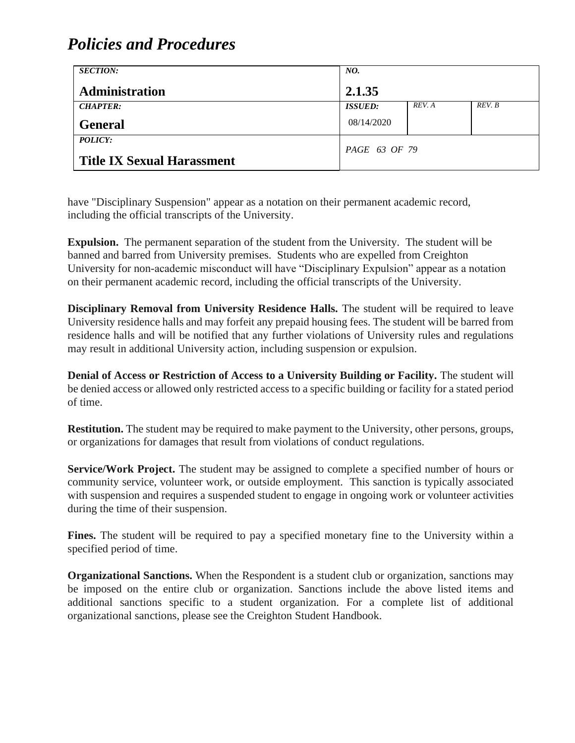| <b>SECTION:</b>                   | NO.            |        |        |
|-----------------------------------|----------------|--------|--------|
| Administration                    | 2.1.35         |        |        |
| <b>CHAPTER:</b>                   | <b>ISSUED:</b> | REV. A | REV. B |
| <b>General</b>                    | 08/14/2020     |        |        |
| <b>POLICY:</b>                    | PAGE 63 OF 79  |        |        |
| <b>Title IX Sexual Harassment</b> |                |        |        |

have "Disciplinary Suspension" appear as a notation on their permanent academic record, including the official transcripts of the University.

**Expulsion.** The permanent separation of the student from the University. The student will be banned and barred from University premises. Students who are expelled from Creighton University for non-academic misconduct will have "Disciplinary Expulsion" appear as a notation on their permanent academic record, including the official transcripts of the University.

**Disciplinary Removal from University Residence Halls.** The student will be required to leave University residence halls and may forfeit any prepaid housing fees. The student will be barred from residence halls and will be notified that any further violations of University rules and regulations may result in additional University action, including suspension or expulsion.

**Denial of Access or Restriction of Access to a University Building or Facility.** The student will be denied access or allowed only restricted access to a specific building or facility for a stated period of time.

**Restitution.** The student may be required to make payment to the University, other persons, groups, or organizations for damages that result from violations of conduct regulations.

**Service/Work Project.** The student may be assigned to complete a specified number of hours or community service, volunteer work, or outside employment. This sanction is typically associated with suspension and requires a suspended student to engage in ongoing work or volunteer activities during the time of their suspension.

**Fines.** The student will be required to pay a specified monetary fine to the University within a specified period of time.

**Organizational Sanctions.** When the Respondent is a student club or organization, sanctions may be imposed on the entire club or organization. Sanctions include the above listed items and additional sanctions specific to a student organization. For a complete list of additional organizational sanctions, please see the Creighton Student Handbook.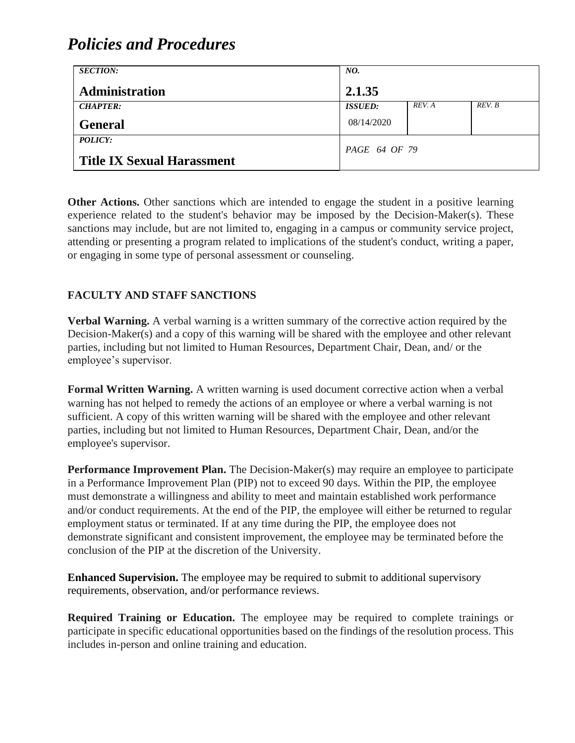| <b>SECTION:</b>                   | NO.                   |        |        |
|-----------------------------------|-----------------------|--------|--------|
| <b>Administration</b>             | 2.1.35                |        |        |
| <b>CHAPTER:</b>                   | <i><b>ISSUED:</b></i> | REV. A | REV. B |
| <b>General</b>                    | 08/14/2020            |        |        |
| <b>POLICY:</b>                    | PAGE 64 OF 79         |        |        |
| <b>Title IX Sexual Harassment</b> |                       |        |        |

**Other Actions.** Other sanctions which are intended to engage the student in a positive learning experience related to the student's behavior may be imposed by the Decision-Maker(s). These sanctions may include, but are not limited to, engaging in a campus or community service project, attending or presenting a program related to implications of the student's conduct, writing a paper, or engaging in some type of personal assessment or counseling.

### **FACULTY AND STAFF SANCTIONS**

**Verbal Warning.** A verbal warning is a written summary of the corrective action required by the Decision-Maker(s) and a copy of this warning will be shared with the employee and other relevant parties, including but not limited to Human Resources, Department Chair, Dean, and/ or the employee's supervisor.

**Formal Written Warning.** A written warning is used document corrective action when a verbal warning has not helped to remedy the actions of an employee or where a verbal warning is not sufficient. A copy of this written warning will be shared with the employee and other relevant parties, including but not limited to Human Resources, Department Chair, Dean, and/or the employee's supervisor.

**Performance Improvement Plan.** The Decision-Maker(s) may require an employee to participate in a Performance Improvement Plan (PIP) not to exceed 90 days. Within the PIP, the employee must demonstrate a willingness and ability to meet and maintain established work performance and/or conduct requirements. At the end of the PIP, the employee will either be returned to regular employment status or terminated. If at any time during the PIP, the employee does not demonstrate significant and consistent improvement, the employee may be terminated before the conclusion of the PIP at the discretion of the University.

**Enhanced Supervision.** The employee may be required to submit to additional supervisory requirements, observation, and/or performance reviews.

**Required Training or Education.** The employee may be required to complete trainings or participate in specific educational opportunities based on the findings of the resolution process. This includes in-person and online training and education.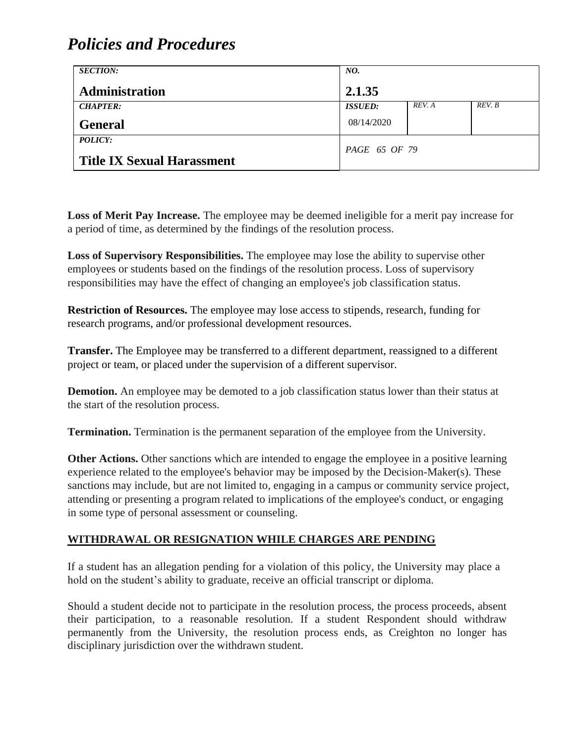| <b>SECTION:</b>                   | NO.                  |        |        |
|-----------------------------------|----------------------|--------|--------|
| Administration                    | 2.1.35               |        |        |
| <b>CHAPTER:</b>                   | <b>ISSUED:</b>       | REV. A | REV. B |
| <b>General</b>                    | 08/14/2020           |        |        |
| <b>POLICY:</b>                    | <i>PAGE 65 OF 79</i> |        |        |
| <b>Title IX Sexual Harassment</b> |                      |        |        |

**Loss of Merit Pay Increase.** The employee may be deemed ineligible for a merit pay increase for a period of time, as determined by the findings of the resolution process.

**Loss of Supervisory Responsibilities.** The employee may lose the ability to supervise other employees or students based on the findings of the resolution process. Loss of supervisory responsibilities may have the effect of changing an employee's job classification status.

**Restriction of Resources.** The employee may lose access to stipends, research, funding for research programs, and/or professional development resources.

**Transfer.** The Employee may be transferred to a different department, reassigned to a different project or team, or placed under the supervision of a different supervisor.

**Demotion.** An employee may be demoted to a job classification status lower than their status at the start of the resolution process.

**Termination.** Termination is the permanent separation of the employee from the University.

**Other Actions.** Other sanctions which are intended to engage the employee in a positive learning experience related to the employee's behavior may be imposed by the Decision-Maker(s). These sanctions may include, but are not limited to, engaging in a campus or community service project, attending or presenting a program related to implications of the employee's conduct, or engaging in some type of personal assessment or counseling.

### **WITHDRAWAL OR RESIGNATION WHILE CHARGES ARE PENDING**

If a student has an allegation pending for a violation of this policy, the University may place a hold on the student's ability to graduate, receive an official transcript or diploma.

Should a student decide not to participate in the resolution process, the process proceeds, absent their participation, to a reasonable resolution. If a student Respondent should withdraw permanently from the University, the resolution process ends, as Creighton no longer has disciplinary jurisdiction over the withdrawn student.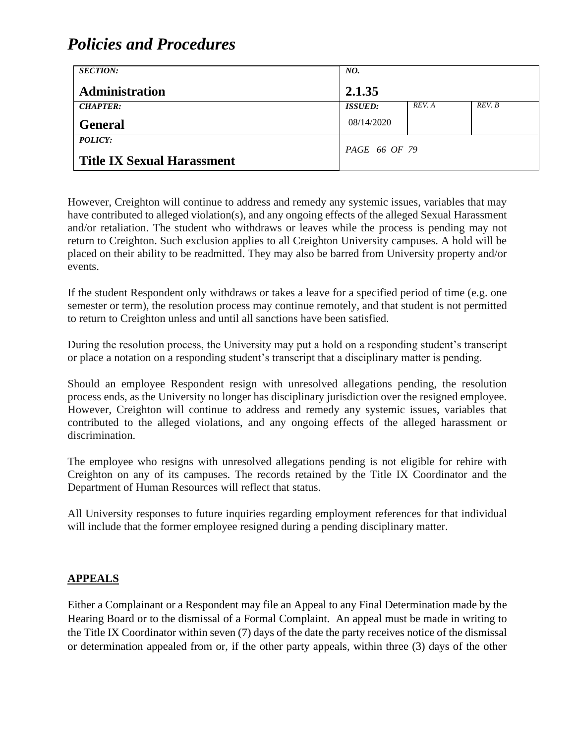| <b>SECTION:</b>                   | NO.            |        |        |
|-----------------------------------|----------------|--------|--------|
| <b>Administration</b>             | 2.1.35         |        |        |
| <b>CHAPTER:</b>                   | <b>ISSUED:</b> | REV. A | REV. B |
| <b>General</b>                    | 08/14/2020     |        |        |
| POLICY:                           | PAGE 66 OF 79  |        |        |
| <b>Title IX Sexual Harassment</b> |                |        |        |

However, Creighton will continue to address and remedy any systemic issues, variables that may have contributed to alleged violation(s), and any ongoing effects of the alleged Sexual Harassment and/or retaliation. The student who withdraws or leaves while the process is pending may not return to Creighton. Such exclusion applies to all Creighton University campuses. A hold will be placed on their ability to be readmitted. They may also be barred from University property and/or events.

If the student Respondent only withdraws or takes a leave for a specified period of time (e.g. one semester or term), the resolution process may continue remotely, and that student is not permitted to return to Creighton unless and until all sanctions have been satisfied.

During the resolution process, the University may put a hold on a responding student's transcript or place a notation on a responding student's transcript that a disciplinary matter is pending.

Should an employee Respondent resign with unresolved allegations pending, the resolution process ends, as the University no longer has disciplinary jurisdiction over the resigned employee. However, Creighton will continue to address and remedy any systemic issues, variables that contributed to the alleged violations, and any ongoing effects of the alleged harassment or discrimination.

The employee who resigns with unresolved allegations pending is not eligible for rehire with Creighton on any of its campuses. The records retained by the Title IX Coordinator and the Department of Human Resources will reflect that status.

All University responses to future inquiries regarding employment references for that individual will include that the former employee resigned during a pending disciplinary matter.

### **APPEALS**

Either a Complainant or a Respondent may file an Appeal to any Final Determination made by the Hearing Board or to the dismissal of a Formal Complaint. An appeal must be made in writing to the Title IX Coordinator within seven (7) days of the date the party receives notice of the dismissal or determination appealed from or, if the other party appeals, within three (3) days of the other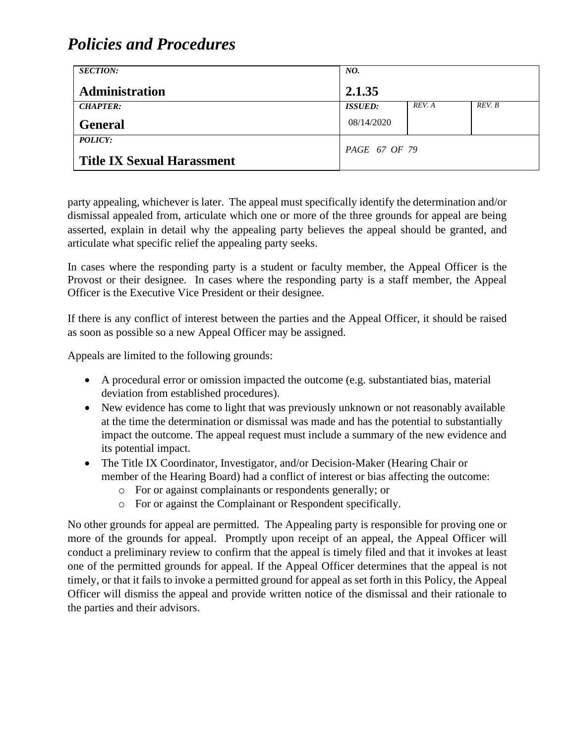| <b>SECTION:</b>                   | NO.            |        |        |
|-----------------------------------|----------------|--------|--------|
| Administration                    | 2.1.35         |        |        |
| <b>CHAPTER:</b>                   | <b>ISSUED:</b> | REV. A | REV. B |
| <b>General</b>                    | 08/14/2020     |        |        |
| POLICY:                           | PAGE 67 OF 79  |        |        |
| <b>Title IX Sexual Harassment</b> |                |        |        |

party appealing, whichever is later. The appeal must specifically identify the determination and/or dismissal appealed from, articulate which one or more of the three grounds for appeal are being asserted, explain in detail why the appealing party believes the appeal should be granted, and articulate what specific relief the appealing party seeks.

In cases where the responding party is a student or faculty member, the Appeal Officer is the Provost or their designee. In cases where the responding party is a staff member, the Appeal Officer is the Executive Vice President or their designee.

If there is any conflict of interest between the parties and the Appeal Officer, it should be raised as soon as possible so a new Appeal Officer may be assigned.

Appeals are limited to the following grounds:

- A procedural error or omission impacted the outcome (e.g. substantiated bias, material deviation from established procedures).
- New evidence has come to light that was previously unknown or not reasonably available at the time the determination or dismissal was made and has the potential to substantially impact the outcome. The appeal request must include a summary of the new evidence and its potential impact.
- The Title IX Coordinator, Investigator, and/or Decision-Maker (Hearing Chair or member of the Hearing Board) had a conflict of interest or bias affecting the outcome:
	- o For or against complainants or respondents generally; or
	- o For or against the Complainant or Respondent specifically.

No other grounds for appeal are permitted. The Appealing party is responsible for proving one or more of the grounds for appeal. Promptly upon receipt of an appeal, the Appeal Officer will conduct a preliminary review to confirm that the appeal is timely filed and that it invokes at least one of the permitted grounds for appeal. If the Appeal Officer determines that the appeal is not timely, or that it fails to invoke a permitted ground for appeal as set forth in this Policy, the Appeal Officer will dismiss the appeal and provide written notice of the dismissal and their rationale to the parties and their advisors.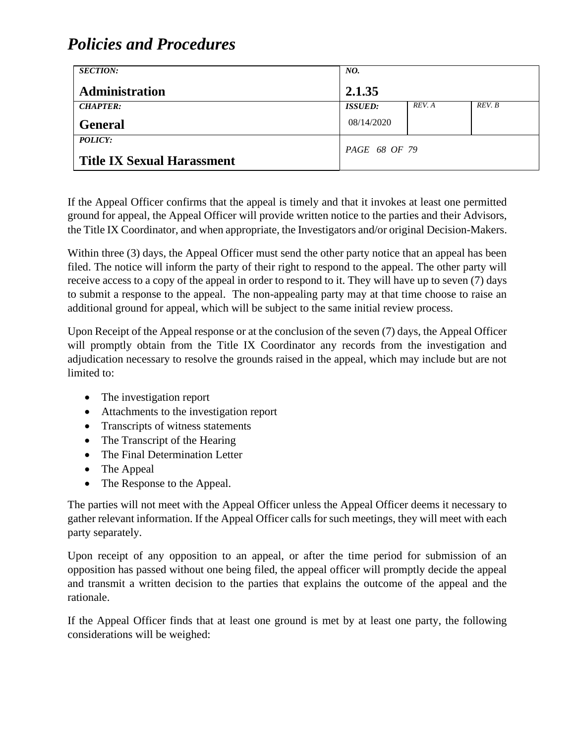| <b>SECTION:</b>                   | NO.            |        |        |
|-----------------------------------|----------------|--------|--------|
| <b>Administration</b>             | 2.1.35         |        |        |
| <b>CHAPTER:</b>                   | <b>ISSUED:</b> | REV. A | REV. B |
| <b>General</b>                    | 08/14/2020     |        |        |
| POLICY:                           | PAGE 68 OF 79  |        |        |
| <b>Title IX Sexual Harassment</b> |                |        |        |

If the Appeal Officer confirms that the appeal is timely and that it invokes at least one permitted ground for appeal, the Appeal Officer will provide written notice to the parties and their Advisors, the Title IX Coordinator, and when appropriate, the Investigators and/or original Decision-Makers.

Within three (3) days, the Appeal Officer must send the other party notice that an appeal has been filed. The notice will inform the party of their right to respond to the appeal. The other party will receive access to a copy of the appeal in order to respond to it. They will have up to seven (7) days to submit a response to the appeal. The non-appealing party may at that time choose to raise an additional ground for appeal, which will be subject to the same initial review process.

Upon Receipt of the Appeal response or at the conclusion of the seven (7) days, the Appeal Officer will promptly obtain from the Title IX Coordinator any records from the investigation and adjudication necessary to resolve the grounds raised in the appeal, which may include but are not limited to:

- The investigation report
- Attachments to the investigation report
- Transcripts of witness statements
- The Transcript of the Hearing
- The Final Determination Letter
- The Appeal
- The Response to the Appeal.

The parties will not meet with the Appeal Officer unless the Appeal Officer deems it necessary to gather relevant information. If the Appeal Officer calls for such meetings, they will meet with each party separately.

Upon receipt of any opposition to an appeal, or after the time period for submission of an opposition has passed without one being filed, the appeal officer will promptly decide the appeal and transmit a written decision to the parties that explains the outcome of the appeal and the rationale.

If the Appeal Officer finds that at least one ground is met by at least one party, the following considerations will be weighed: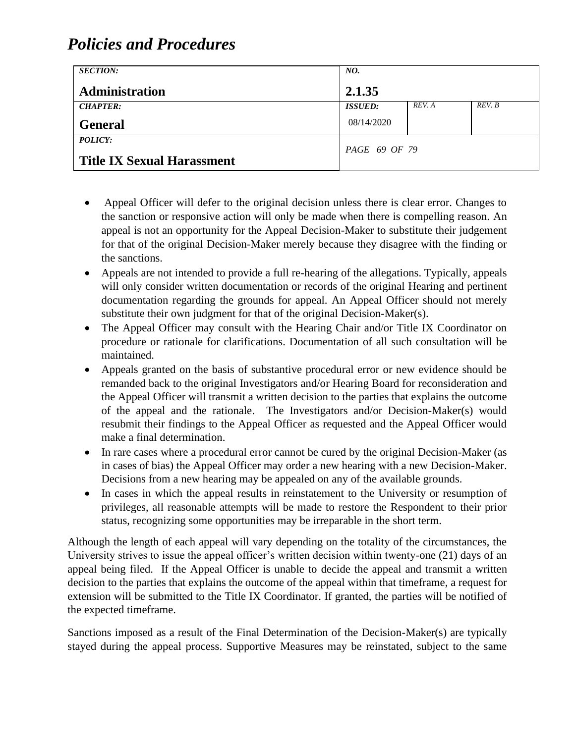| <b>SECTION:</b>                   | NO.            |        |        |
|-----------------------------------|----------------|--------|--------|
| <b>Administration</b>             | 2.1.35         |        |        |
| <b>CHAPTER:</b>                   | <b>ISSUED:</b> | REV. A | REV. B |
| <b>General</b>                    | 08/14/2020     |        |        |
| POLICY:                           | PAGE 69 OF 79  |        |        |
| <b>Title IX Sexual Harassment</b> |                |        |        |

- Appeal Officer will defer to the original decision unless there is clear error. Changes to the sanction or responsive action will only be made when there is compelling reason. An appeal is not an opportunity for the Appeal Decision-Maker to substitute their judgement for that of the original Decision-Maker merely because they disagree with the finding or the sanctions.
- Appeals are not intended to provide a full re-hearing of the allegations. Typically, appeals will only consider written documentation or records of the original Hearing and pertinent documentation regarding the grounds for appeal. An Appeal Officer should not merely substitute their own judgment for that of the original Decision-Maker(s).
- The Appeal Officer may consult with the Hearing Chair and/or Title IX Coordinator on procedure or rationale for clarifications. Documentation of all such consultation will be maintained.
- Appeals granted on the basis of substantive procedural error or new evidence should be remanded back to the original Investigators and/or Hearing Board for reconsideration and the Appeal Officer will transmit a written decision to the parties that explains the outcome of the appeal and the rationale. The Investigators and/or Decision-Maker(s) would resubmit their findings to the Appeal Officer as requested and the Appeal Officer would make a final determination.
- In rare cases where a procedural error cannot be cured by the original Decision-Maker (as in cases of bias) the Appeal Officer may order a new hearing with a new Decision-Maker. Decisions from a new hearing may be appealed on any of the available grounds.
- In cases in which the appeal results in reinstatement to the University or resumption of privileges, all reasonable attempts will be made to restore the Respondent to their prior status, recognizing some opportunities may be irreparable in the short term.

Although the length of each appeal will vary depending on the totality of the circumstances, the University strives to issue the appeal officer's written decision within twenty-one (21) days of an appeal being filed. If the Appeal Officer is unable to decide the appeal and transmit a written decision to the parties that explains the outcome of the appeal within that timeframe, a request for extension will be submitted to the Title IX Coordinator. If granted, the parties will be notified of the expected timeframe.

Sanctions imposed as a result of the Final Determination of the Decision-Maker(s) are typically stayed during the appeal process. Supportive Measures may be reinstated, subject to the same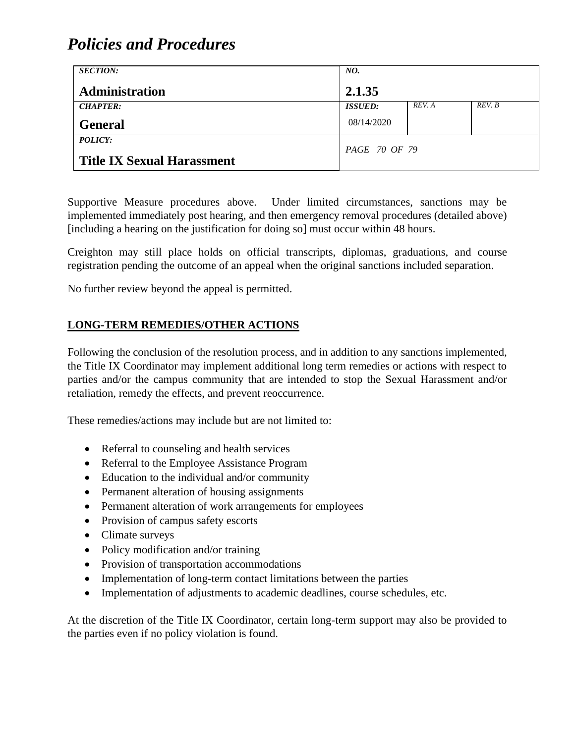| <b>SECTION:</b>                   | NO.                  |        |        |
|-----------------------------------|----------------------|--------|--------|
| Administration                    | 2.1.35               |        |        |
| <b>CHAPTER:</b>                   | <b>ISSUED:</b>       | REV. A | REV. B |
| <b>General</b>                    | 08/14/2020           |        |        |
| <b>POLICY:</b>                    | <i>PAGE 70 OF 79</i> |        |        |
| <b>Title IX Sexual Harassment</b> |                      |        |        |

Supportive Measure procedures above. Under limited circumstances, sanctions may be implemented immediately post hearing, and then emergency removal procedures (detailed above) [including a hearing on the justification for doing so] must occur within 48 hours.

Creighton may still place holds on official transcripts, diplomas, graduations, and course registration pending the outcome of an appeal when the original sanctions included separation.

No further review beyond the appeal is permitted.

### **LONG-TERM REMEDIES/OTHER ACTIONS**

Following the conclusion of the resolution process, and in addition to any sanctions implemented, the Title IX Coordinator may implement additional long term remedies or actions with respect to parties and/or the campus community that are intended to stop the Sexual Harassment and/or retaliation, remedy the effects, and prevent reoccurrence.

These remedies/actions may include but are not limited to:

- Referral to counseling and health services
- Referral to the Employee Assistance Program
- Education to the individual and/or community
- Permanent alteration of housing assignments
- Permanent alteration of work arrangements for employees
- Provision of campus safety escorts
- Climate surveys
- Policy modification and/or training
- Provision of transportation accommodations
- Implementation of long-term contact limitations between the parties
- Implementation of adjustments to academic deadlines, course schedules, etc.

At the discretion of the Title IX Coordinator, certain long-term support may also be provided to the parties even if no policy violation is found.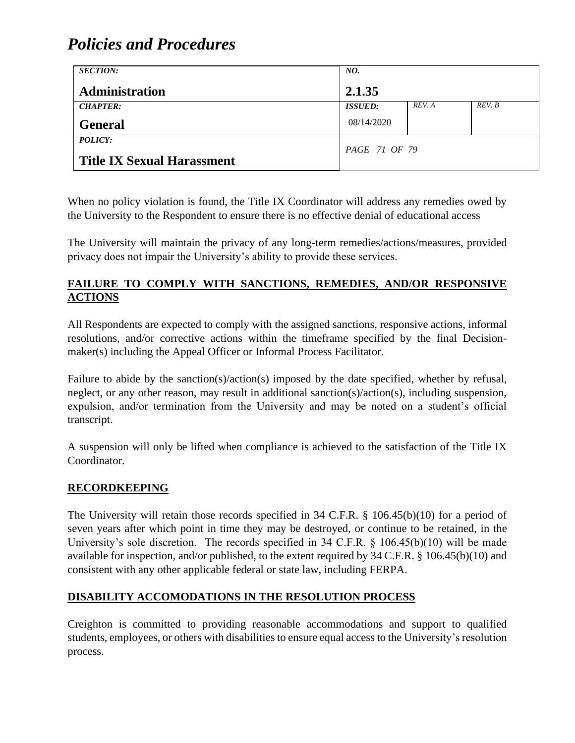| <b>SECTION:</b>                                     | NO.            |        |        |
|-----------------------------------------------------|----------------|--------|--------|
| Administration                                      | 2.1.35         |        |        |
| <b>CHAPTER:</b>                                     | <b>ISSUED:</b> | REV. A | REV. B |
| <b>General</b>                                      | 08/14/2020     |        |        |
| <b>POLICY:</b><br><b>Title IX Sexual Harassment</b> | PAGE 71 OF 79  |        |        |

When no policy violation is found, the Title IX Coordinator will address any remedies owed by the University to the Respondent to ensure there is no effective denial of educational access

The University will maintain the privacy of any long-term remedies/actions/measures, provided privacy does not impair the University's ability to provide these services.

### **FAILURE TO COMPLY WITH SANCTIONS, REMEDIES, AND/OR RESPONSIVE ACTIONS**

All Respondents are expected to comply with the assigned sanctions, responsive actions, informal resolutions, and/or corrective actions within the timeframe specified by the final Decisionmaker(s) including the Appeal Officer or Informal Process Facilitator.

Failure to abide by the sanction(s)/action(s) imposed by the date specified, whether by refusal, neglect, or any other reason, may result in additional sanction(s)/action(s), including suspension, expulsion, and/or termination from the University and may be noted on a student's official transcript.

A suspension will only be lifted when compliance is achieved to the satisfaction of the Title IX Coordinator.

#### **RECORDKEEPING**

The University will retain those records specified in 34 C.F.R. § 106.45(b)(10) for a period of seven years after which point in time they may be destroyed, or continue to be retained, in the University's sole discretion. The records specified in 34 C.F.R. § 106.45(b)(10) will be made available for inspection, and/or published, to the extent required by 34 C.F.R. § 106.45(b)(10) and consistent with any other applicable federal or state law, including FERPA.

### **DISABILITY ACCOMODATIONS IN THE RESOLUTION PROCESS**

Creighton is committed to providing reasonable accommodations and support to qualified students, employees, or others with disabilities to ensure equal access to the University's resolution process.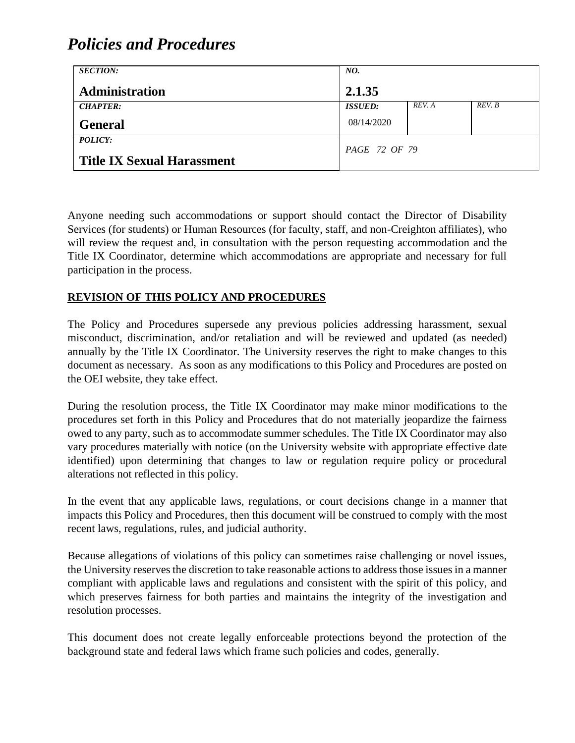| <b>SECTION:</b>                   | NO.            |        |        |
|-----------------------------------|----------------|--------|--------|
| <b>Administration</b>             | 2.1.35         |        |        |
| <b>CHAPTER:</b>                   | <b>ISSUED:</b> | REV. A | REV. B |
| <b>General</b>                    | 08/14/2020     |        |        |
| POLICY:                           | PAGE 72 OF 79  |        |        |
| <b>Title IX Sexual Harassment</b> |                |        |        |

Anyone needing such accommodations or support should contact the Director of Disability Services (for students) or Human Resources (for faculty, staff, and non-Creighton affiliates), who will review the request and, in consultation with the person requesting accommodation and the Title IX Coordinator, determine which accommodations are appropriate and necessary for full participation in the process.

### **REVISION OF THIS POLICY AND PROCEDURES**

The Policy and Procedures supersede any previous policies addressing harassment, sexual misconduct, discrimination, and/or retaliation and will be reviewed and updated (as needed) annually by the Title IX Coordinator. The University reserves the right to make changes to this document as necessary. As soon as any modifications to this Policy and Procedures are posted on the OEI website, they take effect.

During the resolution process, the Title IX Coordinator may make minor modifications to the procedures set forth in this Policy and Procedures that do not materially jeopardize the fairness owed to any party, such as to accommodate summer schedules. The Title IX Coordinator may also vary procedures materially with notice (on the University website with appropriate effective date identified) upon determining that changes to law or regulation require policy or procedural alterations not reflected in this policy.

In the event that any applicable laws, regulations, or court decisions change in a manner that impacts this Policy and Procedures, then this document will be construed to comply with the most recent laws, regulations, rules, and judicial authority.

Because allegations of violations of this policy can sometimes raise challenging or novel issues, the University reserves the discretion to take reasonable actions to address those issues in a manner compliant with applicable laws and regulations and consistent with the spirit of this policy, and which preserves fairness for both parties and maintains the integrity of the investigation and resolution processes.

This document does not create legally enforceable protections beyond the protection of the background state and federal laws which frame such policies and codes, generally.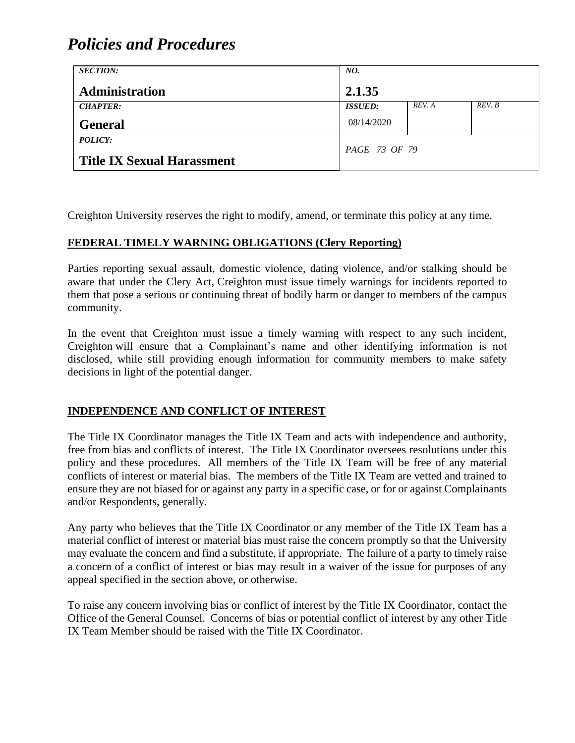| <b>SECTION:</b>                   | NO.                  |        |        |
|-----------------------------------|----------------------|--------|--------|
| <b>Administration</b>             | 2.1.35               |        |        |
| <b>CHAPTER:</b>                   | <b>ISSUED:</b>       | REV. A | REV. B |
| <b>General</b>                    | 08/14/2020           |        |        |
| POLICY:                           | <i>PAGE 73 OF 79</i> |        |        |
| <b>Title IX Sexual Harassment</b> |                      |        |        |

Creighton University reserves the right to modify, amend, or terminate this policy at any time.

## **FEDERAL TIMELY WARNING OBLIGATIONS (Clery Reporting)**

Parties reporting sexual assault, domestic violence, dating violence, and/or stalking should be aware that under the Clery Act, Creighton must issue timely warnings for incidents reported to them that pose a serious or continuing threat of bodily harm or danger to members of the campus community.

In the event that Creighton must issue a timely warning with respect to any such incident, Creighton will ensure that a Complainant's name and other identifying information is not disclosed, while still providing enough information for community members to make safety decisions in light of the potential danger.

#### **INDEPENDENCE AND CONFLICT OF INTEREST**

The Title IX Coordinator manages the Title IX Team and acts with independence and authority, free from bias and conflicts of interest. The Title IX Coordinator oversees resolutions under this policy and these procedures. All members of the Title IX Team will be free of any material conflicts of interest or material bias. The members of the Title IX Team are vetted and trained to ensure they are not biased for or against any party in a specific case, or for or against Complainants and/or Respondents, generally.

Any party who believes that the Title IX Coordinator or any member of the Title IX Team has a material conflict of interest or material bias must raise the concern promptly so that the University may evaluate the concern and find a substitute, if appropriate. The failure of a party to timely raise a concern of a conflict of interest or bias may result in a waiver of the issue for purposes of any appeal specified in the section above, or otherwise.

To raise any concern involving bias or conflict of interest by the Title IX Coordinator, contact the Office of the General Counsel. Concerns of bias or potential conflict of interest by any other Title IX Team Member should be raised with the Title IX Coordinator.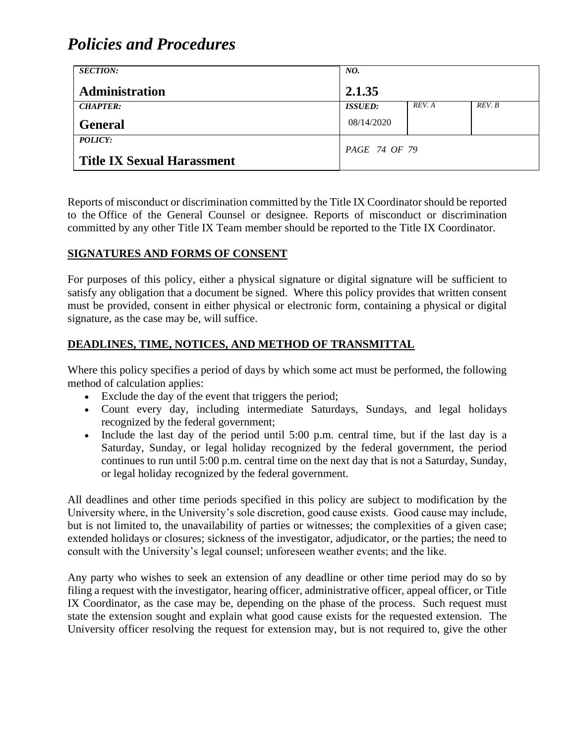| <b>SECTION:</b>                   | NO.            |        |        |
|-----------------------------------|----------------|--------|--------|
| <b>Administration</b>             | 2.1.35         |        |        |
| <b>CHAPTER:</b>                   | <b>ISSUED:</b> | REV. A | REV. B |
| <b>General</b>                    | 08/14/2020     |        |        |
| POLICY:                           |                |        |        |
| <b>Title IX Sexual Harassment</b> | PAGE 74 OF 79  |        |        |

Reports of misconduct or discrimination committed by the Title IX Coordinator should be reported to the Office of the General Counsel or designee. Reports of misconduct or discrimination committed by any other Title IX Team member should be reported to the Title IX Coordinator.

### **SIGNATURES AND FORMS OF CONSENT**

For purposes of this policy, either a physical signature or digital signature will be sufficient to satisfy any obligation that a document be signed. Where this policy provides that written consent must be provided, consent in either physical or electronic form, containing a physical or digital signature, as the case may be, will suffice.

### **DEADLINES, TIME, NOTICES, AND METHOD OF TRANSMITTAL**

Where this policy specifies a period of days by which some act must be performed, the following method of calculation applies:

- Exclude the day of the event that triggers the period;
- Count every day, including intermediate Saturdays, Sundays, and legal holidays recognized by the federal government;
- Include the last day of the period until 5:00 p.m. central time, but if the last day is a Saturday, Sunday, or legal holiday recognized by the federal government, the period continues to run until 5:00 p.m. central time on the next day that is not a Saturday, Sunday, or legal holiday recognized by the federal government.

All deadlines and other time periods specified in this policy are subject to modification by the University where, in the University's sole discretion, good cause exists. Good cause may include, but is not limited to, the unavailability of parties or witnesses; the complexities of a given case; extended holidays or closures; sickness of the investigator, adjudicator, or the parties; the need to consult with the University's legal counsel; unforeseen weather events; and the like.

Any party who wishes to seek an extension of any deadline or other time period may do so by filing a request with the investigator, hearing officer, administrative officer, appeal officer, or Title IX Coordinator, as the case may be, depending on the phase of the process. Such request must state the extension sought and explain what good cause exists for the requested extension. The University officer resolving the request for extension may, but is not required to, give the other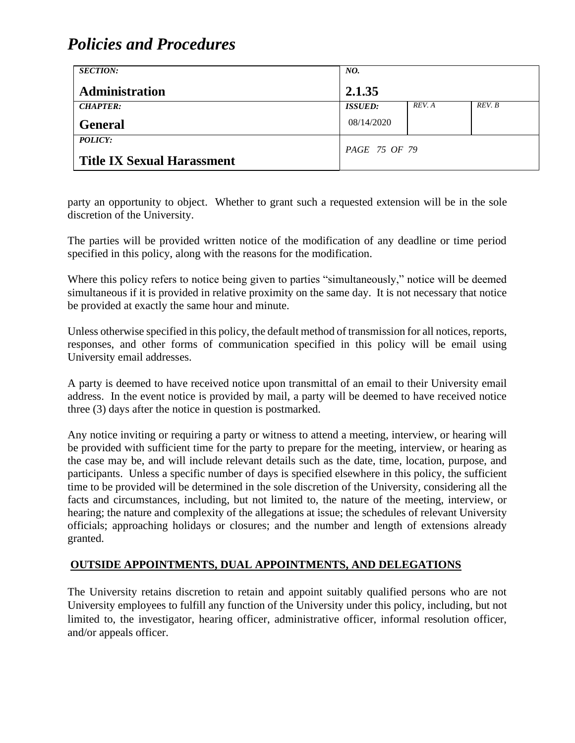| <b>SECTION:</b>                   | NO.                   |        |        |
|-----------------------------------|-----------------------|--------|--------|
| <b>Administration</b>             | 2.1.35                |        |        |
| <b>CHAPTER:</b>                   | <i><b>ISSUED:</b></i> | REV. A | REV. B |
| <b>General</b>                    | 08/14/2020            |        |        |
| <b>POLICY:</b>                    | PAGE 75 OF 79         |        |        |
| <b>Title IX Sexual Harassment</b> |                       |        |        |

party an opportunity to object. Whether to grant such a requested extension will be in the sole discretion of the University.

The parties will be provided written notice of the modification of any deadline or time period specified in this policy, along with the reasons for the modification.

Where this policy refers to notice being given to parties "simultaneously," notice will be deemed simultaneous if it is provided in relative proximity on the same day. It is not necessary that notice be provided at exactly the same hour and minute.

Unless otherwise specified in this policy, the default method of transmission for all notices, reports, responses, and other forms of communication specified in this policy will be email using University email addresses.

A party is deemed to have received notice upon transmittal of an email to their University email address. In the event notice is provided by mail, a party will be deemed to have received notice three (3) days after the notice in question is postmarked.

Any notice inviting or requiring a party or witness to attend a meeting, interview, or hearing will be provided with sufficient time for the party to prepare for the meeting, interview, or hearing as the case may be, and will include relevant details such as the date, time, location, purpose, and participants. Unless a specific number of days is specified elsewhere in this policy, the sufficient time to be provided will be determined in the sole discretion of the University, considering all the facts and circumstances, including, but not limited to, the nature of the meeting, interview, or hearing; the nature and complexity of the allegations at issue; the schedules of relevant University officials; approaching holidays or closures; and the number and length of extensions already granted.

## **OUTSIDE APPOINTMENTS, DUAL APPOINTMENTS, AND DELEGATIONS**

The University retains discretion to retain and appoint suitably qualified persons who are not University employees to fulfill any function of the University under this policy, including, but not limited to, the investigator, hearing officer, administrative officer, informal resolution officer, and/or appeals officer.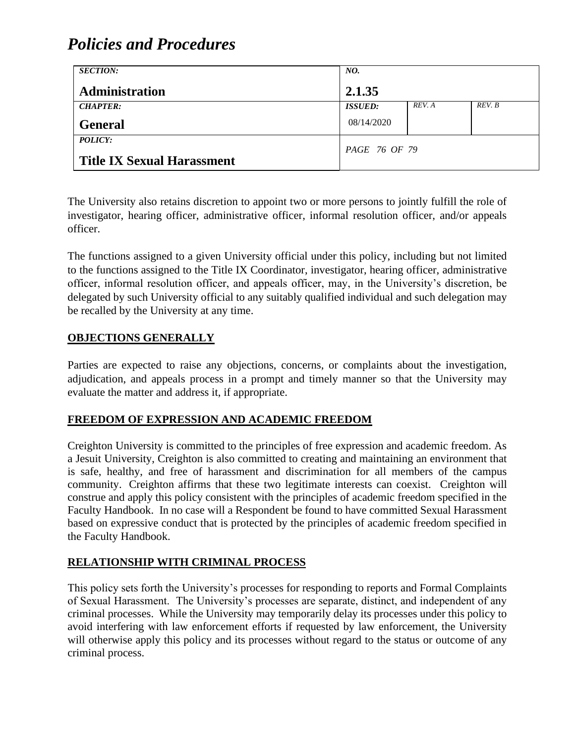| <b>SECTION:</b>                   | NO.            |        |        |
|-----------------------------------|----------------|--------|--------|
| <b>Administration</b>             | 2.1.35         |        |        |
| <b>CHAPTER:</b>                   | <b>ISSUED:</b> | REV. A | REV. B |
| <b>General</b>                    | 08/14/2020     |        |        |
| <b>POLICY:</b>                    |                |        |        |
| <b>Title IX Sexual Harassment</b> | PAGE 76 OF 79  |        |        |

The University also retains discretion to appoint two or more persons to jointly fulfill the role of investigator, hearing officer, administrative officer, informal resolution officer, and/or appeals officer.

The functions assigned to a given University official under this policy, including but not limited to the functions assigned to the Title IX Coordinator, investigator, hearing officer, administrative officer, informal resolution officer, and appeals officer, may, in the University's discretion, be delegated by such University official to any suitably qualified individual and such delegation may be recalled by the University at any time.

### **OBJECTIONS GENERALLY**

Parties are expected to raise any objections, concerns, or complaints about the investigation, adjudication, and appeals process in a prompt and timely manner so that the University may evaluate the matter and address it, if appropriate.

#### **FREEDOM OF EXPRESSION AND ACADEMIC FREEDOM**

Creighton University is committed to the principles of free expression and academic freedom. As a Jesuit University, Creighton is also committed to creating and maintaining an environment that is safe, healthy, and free of harassment and discrimination for all members of the campus community. Creighton affirms that these two legitimate interests can coexist. Creighton will construe and apply this policy consistent with the principles of academic freedom specified in the Faculty Handbook. In no case will a Respondent be found to have committed Sexual Harassment based on expressive conduct that is protected by the principles of academic freedom specified in the Faculty Handbook.

## **RELATIONSHIP WITH CRIMINAL PROCESS**

This policy sets forth the University's processes for responding to reports and Formal Complaints of Sexual Harassment. The University's processes are separate, distinct, and independent of any criminal processes. While the University may temporarily delay its processes under this policy to avoid interfering with law enforcement efforts if requested by law enforcement, the University will otherwise apply this policy and its processes without regard to the status or outcome of any criminal process.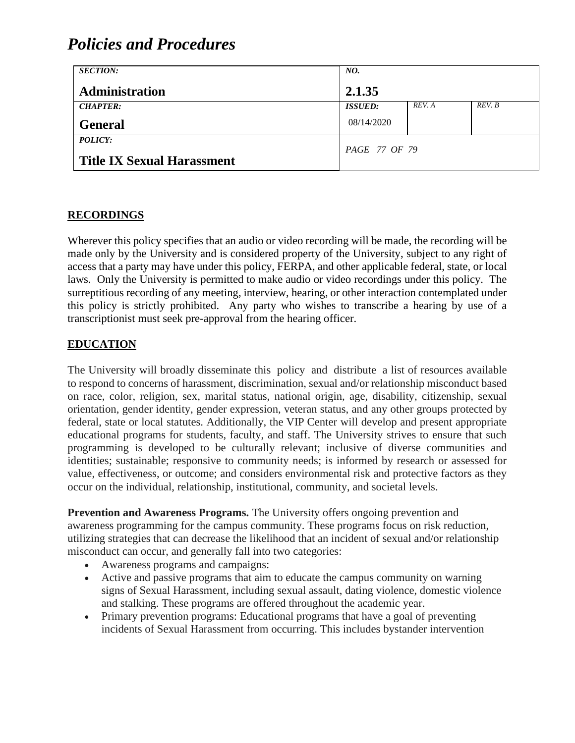| <b>SECTION:</b>                   | NO.            |        |        |
|-----------------------------------|----------------|--------|--------|
| <b>Administration</b>             | 2.1.35         |        |        |
| <b>CHAPTER:</b>                   | <b>ISSUED:</b> | REV. A | REV. B |
| <b>General</b>                    | 08/14/2020     |        |        |
| POLICY:                           | PAGE 77 OF 79  |        |        |
| <b>Title IX Sexual Harassment</b> |                |        |        |

#### **RECORDINGS**

Wherever this policy specifies that an audio or video recording will be made, the recording will be made only by the University and is considered property of the University, subject to any right of access that a party may have under this policy, FERPA, and other applicable federal, state, or local laws. Only the University is permitted to make audio or video recordings under this policy. The surreptitious recording of any meeting, interview, hearing, or other interaction contemplated under this policy is strictly prohibited. Any party who wishes to transcribe a hearing by use of a transcriptionist must seek pre-approval from the hearing officer.

#### **EDUCATION**

The University will broadly disseminate this policy and distribute a list of resources available to respond to concerns of harassment, discrimination, sexual and/or relationship misconduct based on race, color, religion, sex, marital status, national origin, age, disability, citizenship, sexual orientation, gender identity, gender expression, veteran status, and any other groups protected by federal, state or local statutes. Additionally, the VIP Center will develop and present appropriate educational programs for students, faculty, and staff. The University strives to ensure that such programming is developed to be culturally relevant; inclusive of diverse communities and identities; sustainable; responsive to community needs; is informed by research or assessed for value, effectiveness, or outcome; and considers environmental risk and protective factors as they occur on the individual, relationship, institutional, community, and societal levels.

**Prevention and Awareness Programs.** The University offers ongoing prevention and awareness programming for the campus community. These programs focus on risk reduction, utilizing strategies that can decrease the likelihood that an incident of sexual and/or relationship misconduct can occur, and generally fall into two categories:

- Awareness programs and campaigns:
- Active and passive programs that aim to educate the campus community on warning signs of Sexual Harassment, including sexual assault, dating violence, domestic violence and stalking. These programs are offered throughout the academic year.
- Primary prevention programs: Educational programs that have a goal of preventing incidents of Sexual Harassment from occurring. This includes bystander intervention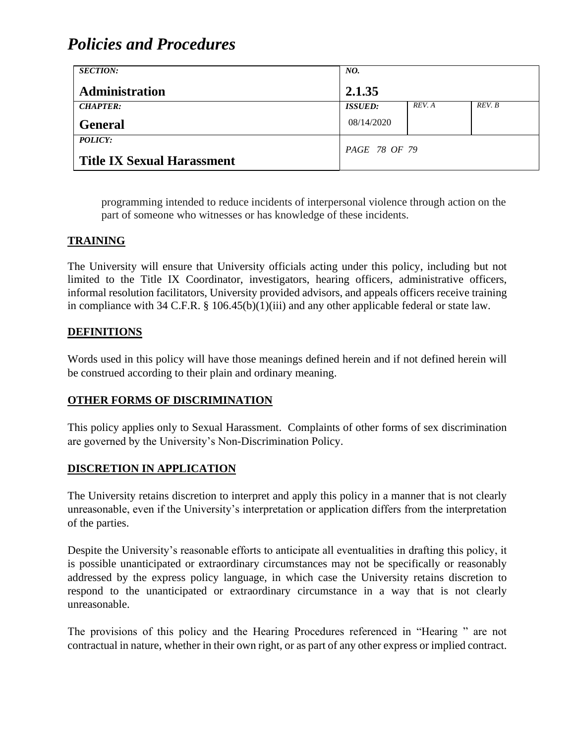| <b>SECTION:</b>                                     | NO.            |        |        |
|-----------------------------------------------------|----------------|--------|--------|
| <b>Administration</b>                               | 2.1.35         |        |        |
| <b>CHAPTER:</b>                                     | <b>ISSUED:</b> | REV. A | REV. B |
| <b>General</b>                                      | 08/14/2020     |        |        |
| <b>POLICY:</b><br><b>Title IX Sexual Harassment</b> | PAGE 78 OF 79  |        |        |

programming intended to reduce incidents of interpersonal violence through action on the part of someone who witnesses or has knowledge of these incidents.

### **TRAINING**

The University will ensure that University officials acting under this policy, including but not limited to the Title IX Coordinator, investigators, hearing officers, administrative officers, informal resolution facilitators, University provided advisors, and appeals officers receive training in compliance with 34 C.F.R. § 106.45(b)(1)(iii) and any other applicable federal or state law.

#### **DEFINITIONS**

Words used in this policy will have those meanings defined herein and if not defined herein will be construed according to their plain and ordinary meaning.

### **OTHER FORMS OF DISCRIMINATION**

This policy applies only to Sexual Harassment. Complaints of other forms of sex discrimination are governed by the University's Non-Discrimination Policy.

#### **DISCRETION IN APPLICATION**

The University retains discretion to interpret and apply this policy in a manner that is not clearly unreasonable, even if the University's interpretation or application differs from the interpretation of the parties.

Despite the University's reasonable efforts to anticipate all eventualities in drafting this policy, it is possible unanticipated or extraordinary circumstances may not be specifically or reasonably addressed by the express policy language, in which case the University retains discretion to respond to the unanticipated or extraordinary circumstance in a way that is not clearly unreasonable.

The provisions of this policy and the Hearing Procedures referenced in "Hearing " are not contractual in nature, whether in their own right, or as part of any other express or implied contract.